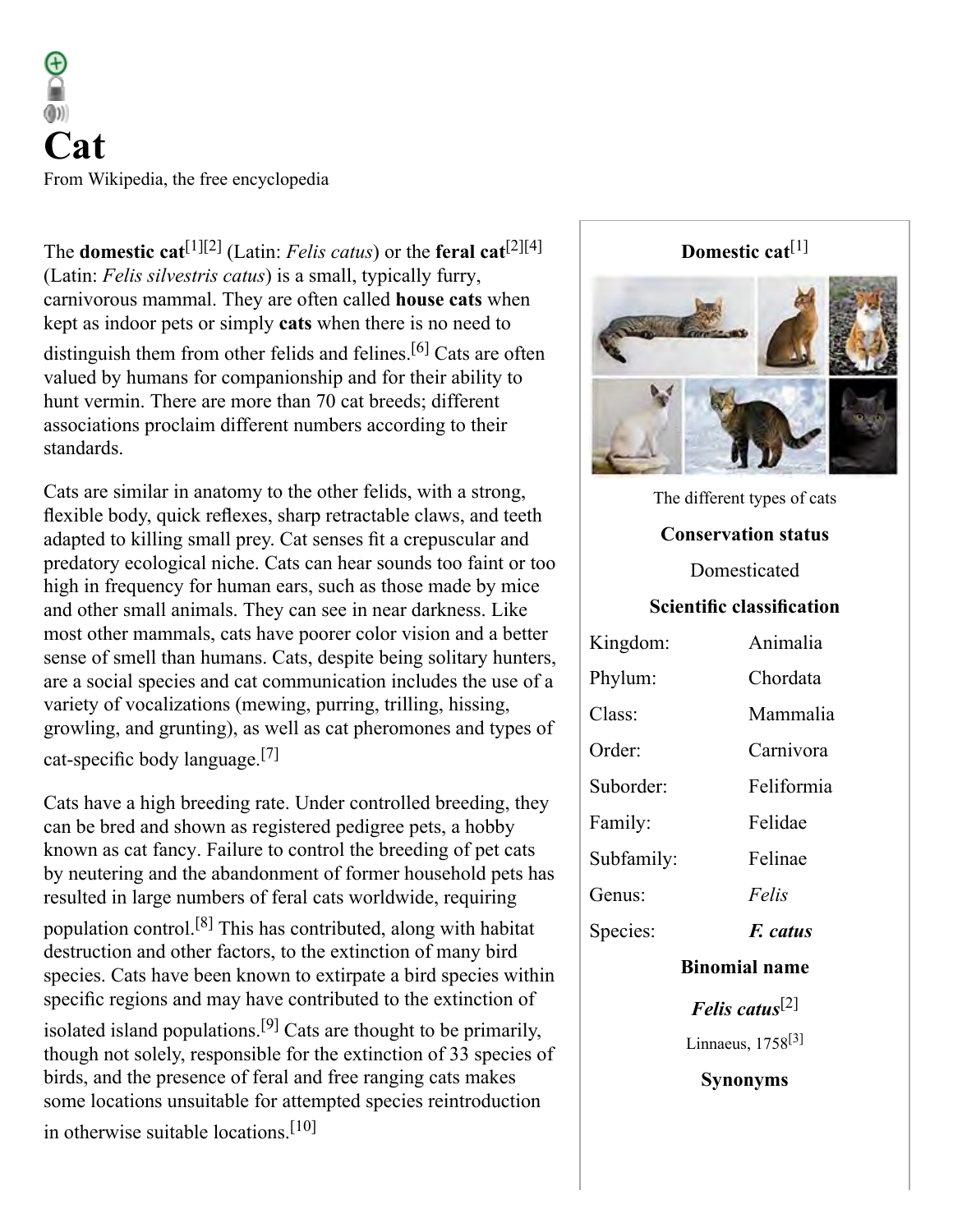**Cat** From Wikipedia, the free encyclopedia

The **domestic cat**<sup>[\[1\]](#page-20-0)[\[2\]](#page-20-1)</sup> [\(Latin](https://en.wikipedia.org/wiki/Latin_language): *Felis catus*) or the **[feral cat](https://en.wikipedia.org/wiki/Feral_cat)**<sup>[2][\[4\]](#page-20-3)</sup> [\(Latin](https://en.wikipedia.org/wiki/Latin_language): *Felis silvestris catus*) is a small, typically [furry](https://en.wikipedia.org/wiki/Fur), [carnivorous](https://en.wikipedia.org/wiki/Carnivore) [mammal.](https://en.wikipedia.org/wiki/Mammal) They are often called **house cats** when kept as indoor [pets](https://en.wikipedia.org/wiki/Pet) or simply **cats** when there is no need to

distinguish them from other [felids](https://en.wikipedia.org/wiki/Felidae) and [felines.](https://en.wikipedia.org/wiki/Felinae)<sup>[\[6\]](#page-21-0)</sup> Cats are often valued by [humans](https://en.wikipedia.org/wiki/Homo_sapiens) for companionship and for their ability to hunt [vermin](https://en.wikipedia.org/wiki/Vermin). There are more than 70 cat breeds; different associations proclaim different numbers according to their standards.

Cats are similar in [anatomy](https://en.wikipedia.org/wiki/Cat_anatomy) to the other felids, with a strong, flexible body, quick reflexes, sharp retractable claws, and teeth adapted to killing small prey. [Cat senses](https://en.wikipedia.org/wiki/Cat_senses) fit a [crepuscular](https://en.wikipedia.org/wiki/Crepuscular) and predatory [ecological niche.](https://en.wikipedia.org/wiki/Ecological_niche) Cats can hear sounds too faint or too high in [frequency](https://en.wikipedia.org/wiki/Frequency) for human ears, such as those made by mice and other small animals. They can see in near darkness. Like most other mammals, cats have poorer [color vision](https://en.wikipedia.org/wiki/Color_vision) and a better [sense of smell](https://en.wikipedia.org/wiki/Olfaction) than humans. Cats, despite being solitary hunters, are a [social species](https://en.wikipedia.org/wiki/Social_animal) and [cat communication](https://en.wikipedia.org/wiki/Cat_communication) includes the use of a variety of [vocalizations](https://en.wikipedia.org/wiki/Animal_communication) [\(mewing,](https://en.wikipedia.org/wiki/Cat_communication) [purring,](https://en.wikipedia.org/wiki/Purr) [trilling,](https://en.wikipedia.org/wiki/Trill_consonant) hissing, [growling](https://en.wikipedia.org/wiki/Growling), and [grunting](https://en.wikipedia.org/wiki/Guttural)), as well as [cat pheromones](https://en.wikipedia.org/wiki/Cat_pheromone) and types of [cat-specific body language.](https://en.wikipedia.org/wiki/Cat_body_language)[\[7\]](#page-21-1)

Cats have a high breeding rate. Under controlled breeding, they can be bred and shown as [registered](https://en.wikipedia.org/wiki/Cat_registry) pedigree pets, a hobby known as [cat fancy](https://en.wikipedia.org/wiki/Cat_fancy). Failure to control the breeding of pet cats by [neutering](https://en.wikipedia.org/wiki/Neutering) and the [abandonment of former household pets](https://en.wikipedia.org/wiki/Abandoned_pets) has resulted in large numbers of [feral cats](https://en.wikipedia.org/wiki/Feral_cat) worldwide, requiring [population control](https://en.wikipedia.org/wiki/Animal_population_control).[\[8\]](#page-21-2) This has contributed, along with habitat destruction and other factors, to the extinction of many bird species. Cats have been known to extirpate a bird species within specific regions and may have contributed to the extinction of

isolated island populations.<sup>[\[9\]](#page-21-3)</sup> Cats are thought to be primarily, though not solely, responsible for the extinction of 33 species of birds, and the presence of feral and free ranging cats makes some locations unsuitable for attempted [species reintroduction](https://en.wikipedia.org/wiki/Species_reintroduction)

in otherwise suitable locations.<sup>[\[10\]](#page-21-4)</sup>



## **[Scientific classification](https://en.wikipedia.org/wiki/Taxonomy_(biology))** Kingdom: [Animalia](https://en.wikipedia.org/wiki/Animal) Phylum: [Chordata](https://en.wikipedia.org/wiki/Chordate) Class: [Mammalia](https://en.wikipedia.org/wiki/Mammal) Order: [Carnivora](https://en.wikipedia.org/wiki/Carnivora) Suborder: [Feliformia](https://en.wikipedia.org/wiki/Feliformia) Family: [Felidae](https://en.wikipedia.org/wiki/Felidae) Subfamily: [Felinae](https://en.wikipedia.org/wiki/Felinae) Genus: *[Felis](https://en.wikipedia.org/wiki/Felis)* Species: *F. catus*

*Felis catus*[\[2\]](#page-20-1) [Linnaeus,](https://en.wikipedia.org/wiki/Carl_Linnaeus) [1758](https://en.wikipedia.org/wiki/10th_edition_of_Systema_Naturae)[\[3\]](#page-20-2) **[Synonyms](https://en.wikipedia.org/wiki/Synonym_(taxonomy))**

**[Binomial name](https://en.wikipedia.org/wiki/Binomial_nomenclature)**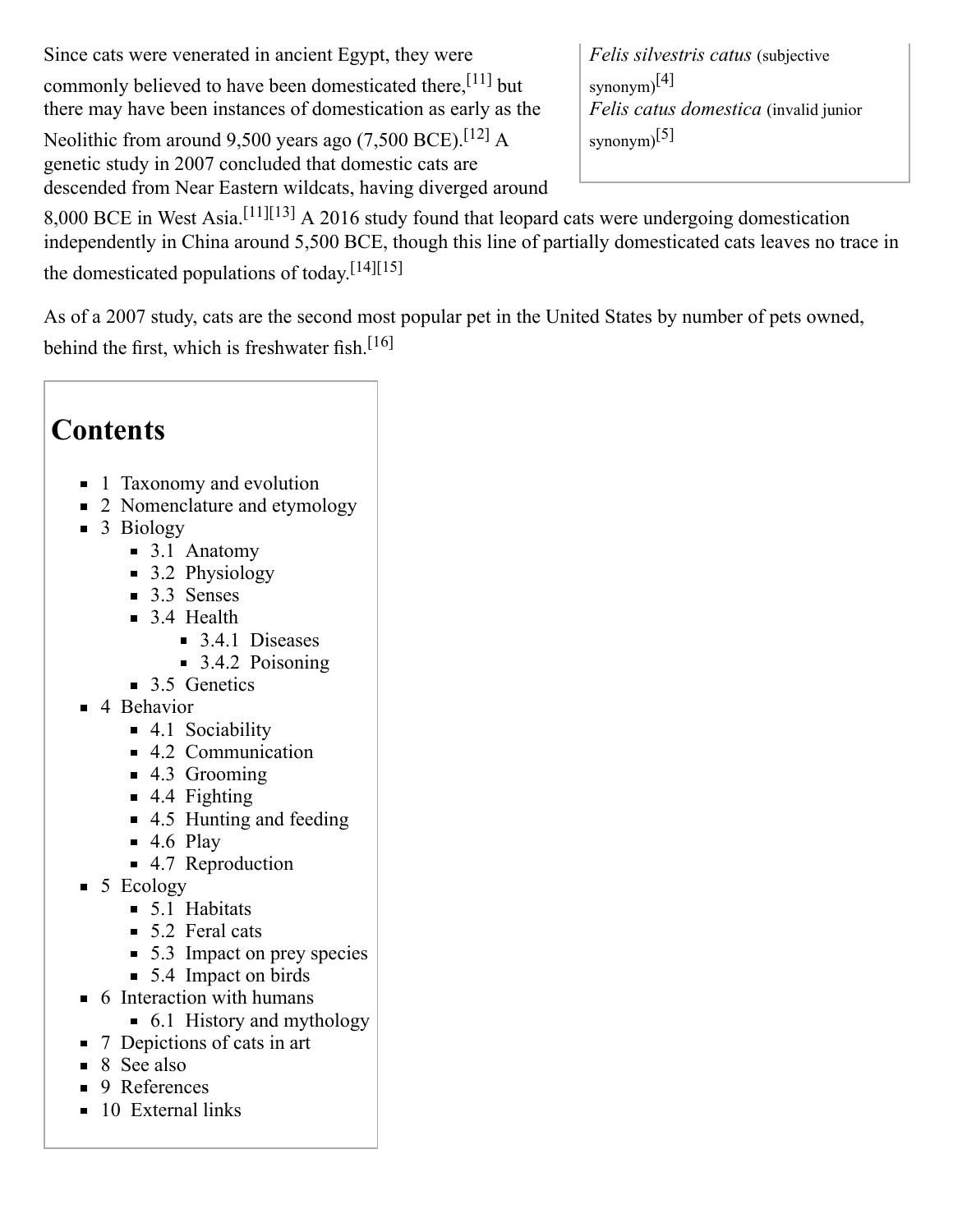Since cats were [venerated in ancient Egypt,](https://en.wikipedia.org/wiki/Cats_in_ancient_Egypt) they were

commonly believed to have been domesticated there,<sup>[\[11\]](#page-21-5)</sup> but there may have been instances of domestication as early as the

[Neolithic](https://en.wikipedia.org/wiki/Neolithic) from around 9,500 years ago (7,500 BCE).<sup>[\[12\]](#page-21-6)</sup> A genetic study in 2007 concluded that domestic cats are descended from Near Eastern wildcats, having diverged around

*[Felis silvestris](https://en.wikipedia.org/wiki/Felis_silvestris) [catus](https://en.wikipedia.org/wiki/Subjective_synonym)* (subjective synonym $)^{[4]}$  $)^{[4]}$  $)^{[4]}$ *[Felis catus domestica](https://en.wikipedia.org/wiki/Junior_synonym)* (invalid junior synonym $[5]$ 

8,000 BCE in [West Asia](https://en.wikipedia.org/wiki/West_Asia).[\[11\]](#page-21-5)[\[13\]](#page-21-7) A 2016 study found that [leopard cats](https://en.wikipedia.org/wiki/Leopard_cat) were undergoing domestication independently in China around 5,500 BCE, though this line of partially domesticated cats leaves no trace in the domesticated populations of today.[\[14\]](#page-21-8)[\[15\]](#page-21-9)

As of a 2007 study, cats are the second most popular pet in the [United States](https://en.wikipedia.org/wiki/United_States) by number of pets owned, behind the first, which is [freshwater fish.](https://en.wikipedia.org/wiki/Fishkeeping#Freshwater)<sup>[\[16\]](#page-21-10)</sup>

# **Contents**

- **1** Taxonomy and evolution
- [2 Nomenclature and etymology](#page-3-0)
- [3 Biology](#page-3-1)
	- $\blacksquare$  [3.1 Anatomy](#page-4-0)
	- [3.2 Physiology](#page-5-0)
	- $\blacksquare$  [3.3 Senses](#page-6-0)
	- $\blacksquare$  [3.4 Health](#page-8-0)
		- $\blacksquare$  [3.4.1 Diseases](#page-8-1)
		- $\blacksquare$  [3.4.2 Poisoning](#page-8-2)
	- [3.5 Genetics](#page-9-0)
- [4 Behavior](#page-9-1)
	- [4.1 Sociability](#page-10-0)
	- [4.2 Communication](#page-10-1)
	- $\blacksquare$  [4.3 Grooming](#page-11-0)
	- $\blacksquare$  [4.4 Fighting](#page-11-1)
	- [4.5 Hunting and feeding](#page-12-0)
	- $\blacksquare$  [4.6 Play](#page-13-0)
	- [4.7 Reproduction](#page-14-0)
- $\blacksquare$  [5 Ecology](#page-15-0)
	- $\blacksquare$  [5.1 Habitats](#page-15-1)
	- $\blacksquare$  [5.2 Feral cats](#page-15-2)
	- [5.3 Impact on prey species](#page-16-0)
	- [5.4 Impact on birds](#page-16-1)
- [6 Interaction with humans](#page-17-0)
	- [6.1 History and mythology](#page-18-0)
- [7 Depictions of cats in art](#page-19-0)
- [8 See also](#page-20-5)
- [9 References](#page-20-6)
- [10 External links](#page-30-0)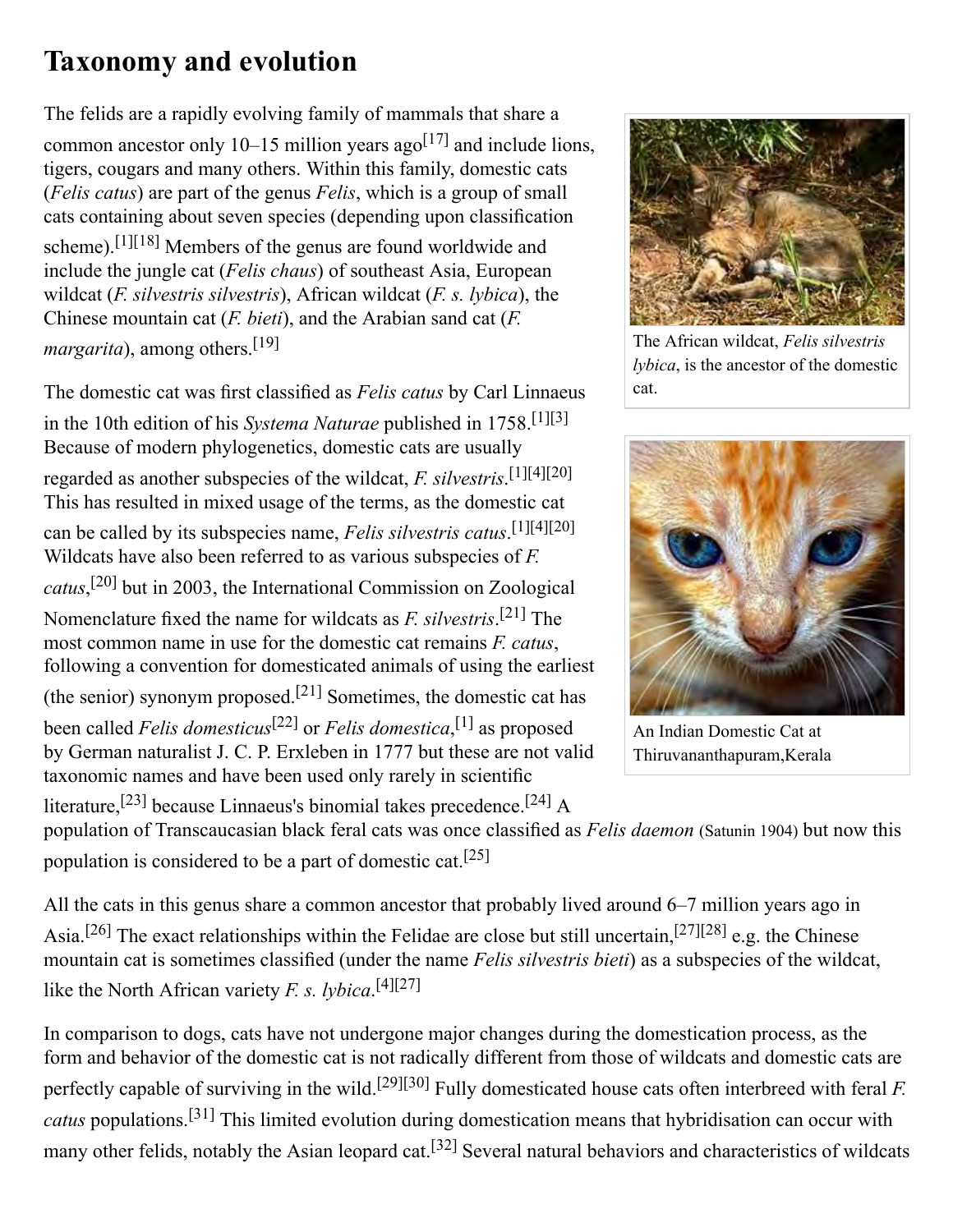# <span id="page-2-0"></span>**Taxonomy and evolution**

The felids are a rapidly evolving family of mammals that share a common ancestor only 10–15 million years ago<sup>[\[17\]](#page-21-11)</sup> and include [lions](https://en.wikipedia.org/wiki/Lion), [tigers,](https://en.wikipedia.org/wiki/Tiger) [cougars](https://en.wikipedia.org/wiki/Cougar) and many others. Within this family, domestic cats (*Felis catus*) are part of the [genus](https://en.wikipedia.org/wiki/Genus) *[Felis](https://en.wikipedia.org/wiki/Felis)*, which is a group of small cats containing about seven species (depending upon classification scheme).[\[1\]](#page-20-0)[\[18\]](#page-21-12) Members of the genus are found worldwide and include the [jungle cat](https://en.wikipedia.org/wiki/Jungle_cat) (*Felis chaus*[\) of southeast Asia, European](https://en.wikipedia.org/wiki/European_wildcat) wildcat (*F. silvestris silvestris*), [African wildcat](https://en.wikipedia.org/wiki/African_wildcat) (*F. s. lybica*), the [Chinese mountain cat](https://en.wikipedia.org/wiki/Chinese_mountain_cat) (*F. bieti*), and the Arabian [sand cat](https://en.wikipedia.org/wiki/Sand_cat) (*F. margarita*), among others.<sup>[\[19\]](#page-21-13)</sup>

The domestic cat was first classified as *Felis catus* by [Carl Linnaeus](https://en.wikipedia.org/wiki/Carl_Linnaeus) in the 10th edition of his *[Systema Naturae](https://en.wikipedia.org/wiki/10th_edition_of_Systema_Naturae)* published in 1758.[\[1\]](#page-20-0)[\[3\]](#page-20-2) Because of modern [phylogenetics,](https://en.wikipedia.org/wiki/Phylogenetics) domestic cats are usually regarded as another subspecies of the wildcat, *F. silvestris*. [\[1\]](#page-20-0)[\[4\]](#page-20-3)[\[20\]](#page-21-14) This has resulted in mixed usage of the terms, as the domestic cat can be called by its subspecies name, *Felis silvestris catus*. [\[1\]](#page-20-0)[\[4\]](#page-20-3)[\[20\]](#page-21-14) Wildcats have also been referred to as various subspecies of *F. catus*, [\[20\]](#page-21-14) [but in 2003, the International Commission on Zoological](https://en.wikipedia.org/wiki/International_Commission_on_Zoological_Nomenclature) Nomenclature fixed the name for wildcats as *F. silvestris*. [\[21\]](#page-21-15) The most common name in use for the domestic cat remains *F. catus*, following a [convention](https://en.wikipedia.org/wiki/Convention_(norm)) for domesticated animals of using the earliest (the senior) [synonym](https://en.wikipedia.org/wiki/Synonym_(taxonomy)) proposed.<sup>[\[21\]](#page-21-15)</sup> Sometimes, the domestic cat has been called *Felis domesticus*[\[22\]](#page-21-16) or *Felis domestica*, [\[1\]](#page-20-0) as proposed by German naturalist [J. C. P. Erxleben](https://en.wikipedia.org/wiki/Johann_Christian_Polycarp_Erxleben) in 1777 but these are not valid taxonomic names and have been used only rarely in scientific literature,[\[23\]](#page-21-17) because Linnaeus's binomial takes precedence.[\[24\]](#page-21-18) A

population of [Transcaucasian](https://en.wikipedia.org/wiki/Transcaucasus) black feral cats was once classified as *Felis daemon* ([Satunin](https://en.wikipedia.org/wiki/Konstantin_Alekseevich_Satunin) 1904) but now this population is considered to be a part of domestic cat.[\[25\]](#page-21-19)

All the cats in this genus share a common ancestor that probably lived around 6–7 million years ago in Asia.[\[26\]](#page-21-20) The exact relationships within the Felidae are close but still uncertain,[\[27\]](#page-21-21)[\[28\]](#page-21-22) e.g. the Chinese mountain cat is sometimes classified (under the name *Felis silvestris bieti*) as a [subspecies](https://en.wikipedia.org/wiki/Subspecies) of the wildcat, like the North African variety *F. s. lybica*. [\[4\]](#page-20-3)[\[27\]](#page-21-21)

In comparison to dogs, cats have not undergone major changes during the domestication process, as the form and behavior of the domestic cat is not radically different from those of wildcats and domestic cats are perfectly capable of surviving in the wild.[\[29\]](#page-21-23)[\[30\]](#page-22-0) Fully domesticated house cats often interbreed with [feral](https://en.wikipedia.org/wiki/Feral) *F. catus* populations.[\[31\]](#page-22-1) [This limited evolution during domestication means that hybridisation can occur with](https://en.wikipedia.org/wiki/Felid_hybrid#Domestic_cat_and_hybridization) many other felids, notably the Asian [leopard cat](https://en.wikipedia.org/wiki/Leopard_cat).<sup>[\[32\]](#page-22-2)</sup> Several natural behaviors and characteristics of wildcats



The African wildcat, *Felis silvestris lybica*, is the ancestor of the domestic cat.



An Indian Domestic Cat at Thiruvananthapuram,Kerala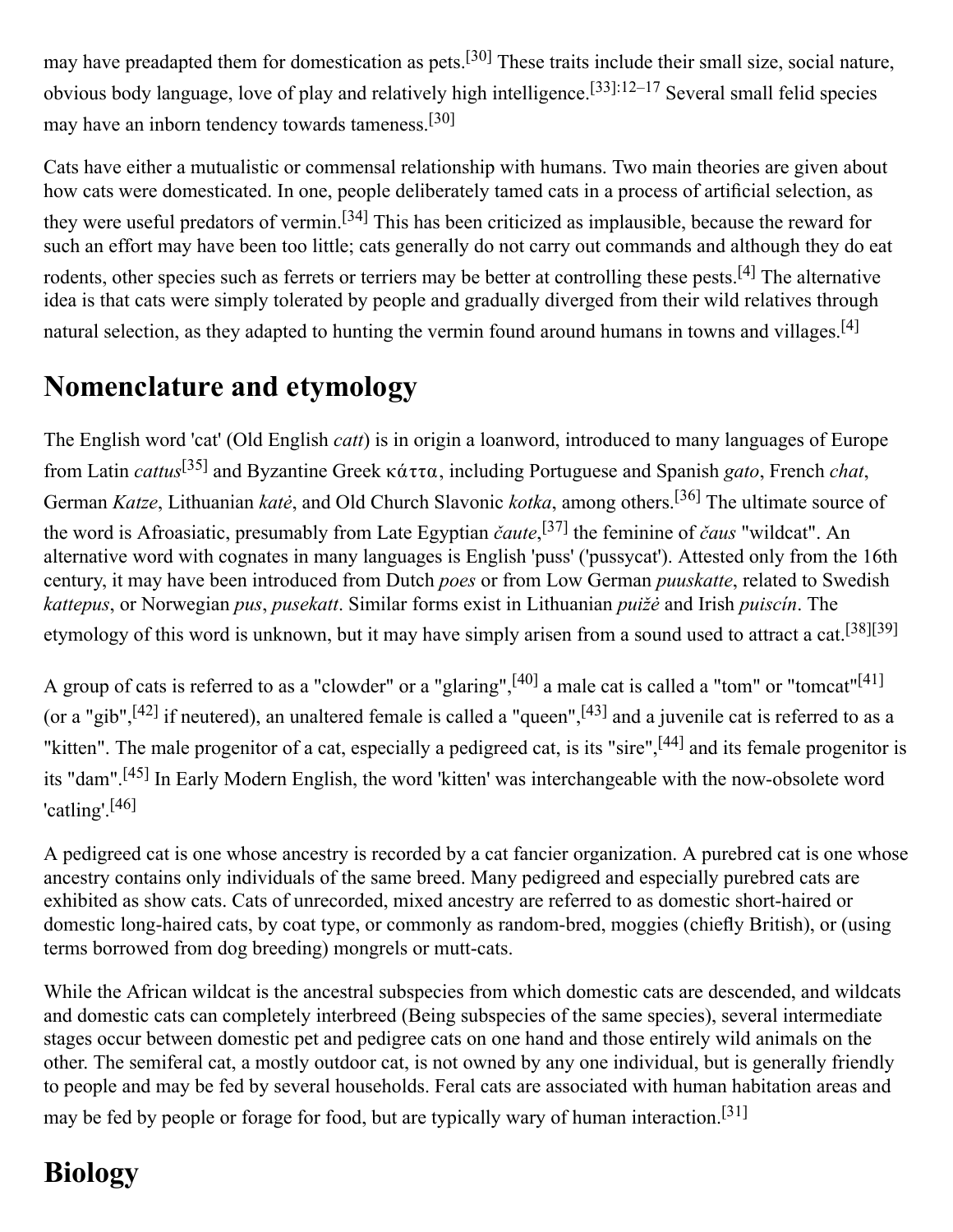may have [preadapted](https://en.wikipedia.org/wiki/Preadaptation) them for domestication as pets.[\[30\]](#page-22-0) These traits include their small size, social nature, obvious body language, love of play and relatively high intelligence.[\[33\]](#page-22-3):12–17 Several small felid species may have an inborn tendency towards tameness.[\[30\]](#page-22-0)

Cats have either a [mutualistic](https://en.wikipedia.org/wiki/Mutualism_(biology)) or [commensal](https://en.wikipedia.org/wiki/Commensalism) relationship with humans. Two main theories are given about how cats were domesticated. In one, people deliberately tamed cats in a process of [artificial selection,](https://en.wikipedia.org/wiki/Artificial_selection) as they were useful predators of vermin.[\[34\]](#page-22-4) This has been criticized as implausible, because the reward for such an effort may have been too little; cats generally do not carry out commands and although they do eat rodents, other species such as [ferrets](https://en.wikipedia.org/wiki/Ferret) or [terriers](https://en.wikipedia.org/wiki/Terrier) may be better at controlling these pests.[\[4\]](#page-20-3) The alternative idea is that cats were simply tolerated by people and gradually diverged from their wild relatives through [natural selection](https://en.wikipedia.org/wiki/Natural_selection), as they adapted to hunting the vermin found around humans in towns and villages.<sup>[\[4\]](#page-20-3)</sup>

## <span id="page-3-0"></span>**Nomenclature and etymology**

The English word '[cat](https://en.wiktionary.org/wiki/cat#English)' [\(Old English](https://en.wikipedia.org/wiki/Old_English) *catt*) is in origin a [loanword](https://en.wikipedia.org/wiki/Loanword), introduced to many [languages of Europe](https://en.wikipedia.org/wiki/Languages_of_Europe) from Latin *cattus*[\[35\]](#page-22-5) and [Byzantine Greek](https://en.wikipedia.org/wiki/Byzantine_Greek) κάττα, including [Portuguese](https://en.wikipedia.org/wiki/Portuguese_language) and [Spanish](https://en.wikipedia.org/wiki/Spanish_language) *gato*, [French](https://en.wikipedia.org/wiki/French_language) *chat*, [German](https://en.wikipedia.org/wiki/German_language) *Katze*, [Lithuanian](https://en.wikipedia.org/wiki/Lithuanian_language) *katė*, and [Old Church Slavonic](https://en.wikipedia.org/wiki/Old_Church_Slavonic) *kotka*, among others.[\[36\]](#page-22-6) The ultimate source of the word is [Afroasiatic,](https://en.wikipedia.org/wiki/Afroasiatic_languages) presumably from [Late Egyptian](https://en.wikipedia.org/wiki/Late_Egyptian) *čaute*, [\[37\]](#page-22-7) the feminine of *čaus* "wildcat". An alternative word with cognates in many languages is English '[puss](https://en.wiktionary.org/wiki/puss#English)' ('pussycat'). Attested only from the 16th century, it may have been introduced from [Dutch](https://en.wikipedia.org/wiki/Dutch_language) *poes* or from [Low German](https://en.wikipedia.org/wiki/Low_German) *puuskatte*, related to [Swedish](https://en.wikipedia.org/wiki/Swedish_language) *kattepus*, or [Norwegian](https://en.wikipedia.org/wiki/Norwegian_language) *pus*, *pusekatt*. Similar forms exist in Lithuanian *puižė* and [Irish](https://en.wikipedia.org/wiki/Irish_language) *puiscín*. The etymology of this word is unknown, but it may have simply arisen from a sound used to attract a cat.[\[38\]](#page-22-8)[\[39\]](#page-22-9)

A group of cats is referred to as a "clowder" or a "glaring", $[40]$  a male cat is called a "tom" or "tomcat" $[41]$ (or a "gib", $[42]$  if neutered), an [unaltered](https://en.wikipedia.org/wiki/Spaying) female is called a "queen", $[43]$  and a juvenile cat is referred to as a "[kitten](https://en.wikipedia.org/wiki/Kitten)". The male progenitor of a cat, especially a pedigreed cat, is its "sire",<sup>[\[44\]](#page-22-14)</sup> and its female progenitor is its "dam".[\[45\]](#page-22-15) In [Early Modern English,](https://en.wikipedia.org/wiki/Early_Modern_English) the word 'kitten' was interchangeable with the now-obsolete word 'catling'.[\[46\]](#page-22-16)

A [pedigreed cat](https://en.wikipedia.org/wiki/Pedigree_(cat)) is one whose ancestry is recorded by a [cat fancier](https://en.wikipedia.org/wiki/Cat_fancy) organization. A [purebred cat](https://en.wikipedia.org/wiki/Purebred_cat) is one whose ancestry contains only individuals of the same breed. Many pedigreed and especially purebred cats are exhibited as [show cats.](https://en.wikipedia.org/wiki/Show_cat) Cats of unrecorded, mixed ancestry are referred to as [domestic short-haired](https://en.wikipedia.org/wiki/Domestic_short-haired_cat) or [domestic long-haired cats](https://en.wikipedia.org/wiki/Domestic_long-haired_cat), by [coat](https://en.wikipedia.org/wiki/Coat_(animal)) type, or commonly as random-bred, moggies (chiefly [British](https://en.wikipedia.org/wiki/British_English)), or (using terms borrowed from [dog breeding\)](https://en.wikipedia.org/wiki/Dog_breeds) mongrels or mutt-cats.

While the [African wildcat](https://en.wikipedia.org/wiki/African_wildcat) is the ancestral subspecies from which domestic cats are descended, and wildcats and domestic cats can completely interbreed (Being subspecies of the same species), several intermediate stages occur between domestic pet and pedigree cats on one hand and those entirely wild animals on the other. The semiferal cat, a mostly outdoor cat, is not owned by any one individual, but is generally friendly to people and may be fed by several households. [Feral cats](https://en.wikipedia.org/wiki/Feral_cat) are associated with human habitation areas and may be fed by people or forage for food, but are typically wary of human interaction.[\[31\]](#page-22-1)

# <span id="page-3-1"></span>**Biology**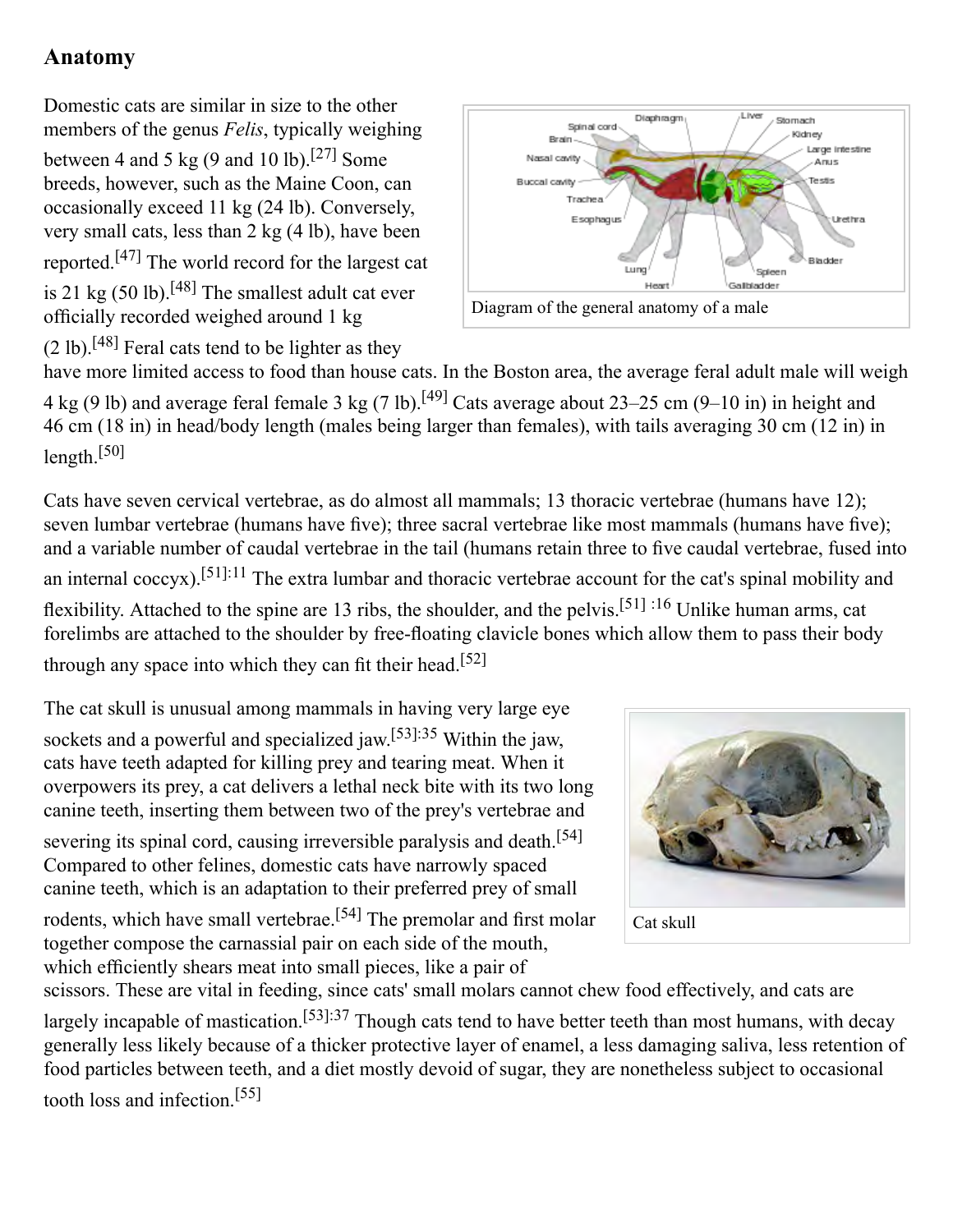#### <span id="page-4-0"></span>**Anatomy**

Domestic cats are similar in size to the other members of the genus *Felis*, typically weighing between 4 and 5 kg (9 and 10 lb).<sup>[\[27\]](#page-21-21)</sup> Some [breeds,](https://en.wikipedia.org/wiki/Cat_breed) however, such as the [Maine Coon,](https://en.wikipedia.org/wiki/Maine_Coon) can occasionally exceed 11 kg (24 lb). Conversely, very small cats, less than 2 kg (4 lb), have been reported.[\[47\]](#page-22-17) The world record for the largest cat is 21 kg  $(50 \text{ lb})$ .<sup>[\[48\]](#page-22-18)</sup> The smallest adult cat ever officially recorded weighed around 1 kg



 $(2 \text{ lb})$ .<sup>[\[48\]](#page-22-18)</sup> Feral cats tend to be lighter as they

have more limited access to food than house cats. In the [Boston](https://en.wikipedia.org/wiki/Boston) area, the average feral adult male will weigh 4 kg (9 lb) and average feral female 3 kg (7 lb).<sup>[\[49\]](#page-22-19)</sup> Cats average about 23–25 cm (9–10 in) in height and 46 cm (18 in) in head/body length (males being larger than females), with tails averaging 30 cm (12 in) in length. $[50]$ 

Cats have seven [cervical vertebrae,](https://en.wikipedia.org/wiki/Cervical_vertebrae) as do almost all [mammals](https://en.wikipedia.org/wiki/Mammals); 13 [thoracic vertebrae](https://en.wikipedia.org/wiki/Thoracic_vertebrae) (humans have 12); seven [lumbar vertebrae](https://en.wikipedia.org/wiki/Lumbar_vertebrae) (humans have five); three [sacral vertebrae](https://en.wikipedia.org/wiki/Sacrum) like most mammals (humans have five); and a variable number of [caudal vertebrae](https://en.wikipedia.org/wiki/Caudal_vertebrae) in the tail (humans retain three to five caudal vertebrae, fused into an internal [coccyx](https://en.wikipedia.org/wiki/Coccyx)).[\[51\]](#page-22-21):11 The extra lumbar and thoracic vertebrae account for the cat's spinal mobility and flexibility. Attached to the spine are 13 ribs, the shoulder, and the [pelvis.](https://en.wikipedia.org/wiki/Pelvis)[\[51\]](#page-22-21) :16 Unlike human arms, cat forelimbs are attached to the shoulder by free-floating [clavicle](https://en.wikipedia.org/wiki/Clavicle) bones which allow them to pass their body through any space into which they can fit their head.<sup>[\[52\]](#page-22-22)</sup>

[The cat skull is unusual among mammals in having very large eye](https://en.wikipedia.org/wiki/Eye_socket) sockets and a powerful and specialized jaw.[\[53\]:](#page-22-23)35 Within the jaw, cats have teeth adapted for killing prey and tearing meat. When it overpowers its prey, a cat delivers a lethal neck bite with its two long [canine teeth,](https://en.wikipedia.org/wiki/Canine_tooth) inserting them between two of the prey's vertebrae and

severing its [spinal cord](https://en.wikipedia.org/wiki/Spinal_cord), causing irreversible [paralysis](https://en.wikipedia.org/wiki/Paralysis) and death.[\[54\]](#page-22-24) Compared to other felines, domestic cats have narrowly spaced canine teeth, which is an adaptation to their preferred prey of small

rodents, which have small vertebrae.[\[54\]](#page-22-24) The [premolar](https://en.wikipedia.org/wiki/Premolar) and first [molar](https://en.wikipedia.org/wiki/Molar_(tooth)) together compose the [carnassial](https://en.wikipedia.org/wiki/Carnassial) pair on each side of the mouth, which efficiently shears meat into small pieces, like a pair of



Cat skull

scissors. These are vital in feeding, since cats' small [molars](https://en.wikipedia.org/wiki/Molar_(tooth)) cannot chew food effectively, and cats are largely incapable of mastication.<sup>[\[53\]:](#page-22-23)37</sup> Though cats tend to have better teeth than most humans, with decay generally less likely because of a thicker protective layer of enamel, a less damaging saliva, less retention of food particles between teeth, and a diet mostly devoid of sugar, they are nonetheless subject to occasional tooth loss and infection.[\[55\]](#page-22-25)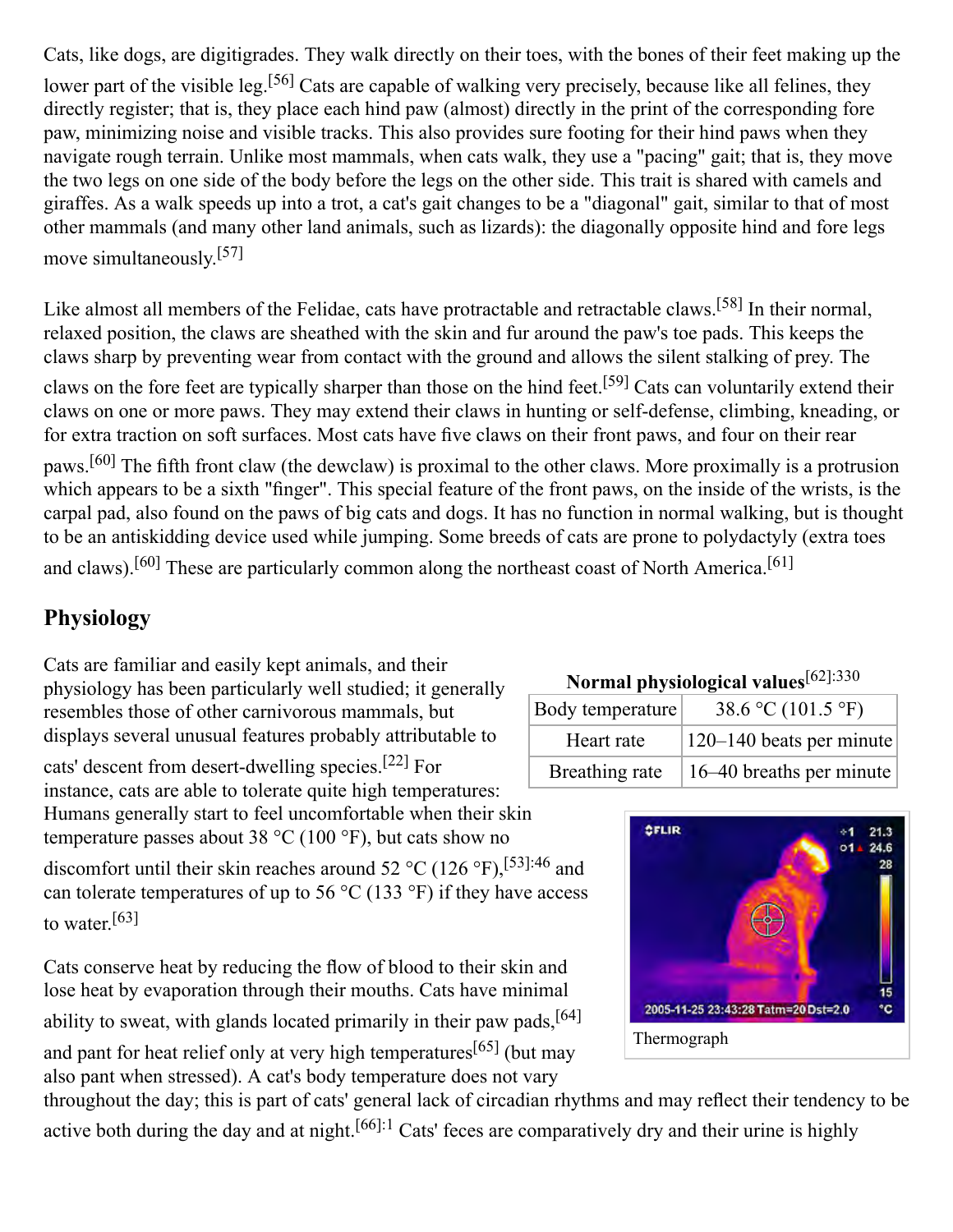Cats, like dogs, are [digitigrades](https://en.wikipedia.org/wiki/Digitigrade). They walk directly on their toes, with the bones of their feet making up the lower part of the visible leg.<sup>[\[56\]](#page-22-26)</sup> Cats are capable of walking very precisely, because like all [felines](https://en.wikipedia.org/wiki/Felinae), they directly register; that is, they place each hind paw (almost) directly in the print of the corresponding fore paw, minimizing noise and visible tracks. This also provides sure footing for their hind paws when they navigate rough terrain. Unlike most mammals, when cats walk, they use a "pacing" [gait;](https://en.wikipedia.org/wiki/Gait) that is, they move the two legs on one side of the body before the legs on the other side. This trait is shared with [camels](https://en.wikipedia.org/wiki/Camel) and [giraffes.](https://en.wikipedia.org/wiki/Giraffe) As a walk speeds up into a trot, a cat's gait changes to be a "diagonal" gait, similar to that of most other mammals (and many other land animals, such as [lizards\)](https://en.wikipedia.org/wiki/Lizard): the diagonally opposite hind and fore legs move simultaneously.[\[57\]](#page-22-27)

Like almost all members of the Felidae, cats have protractable and retractable [claws](https://en.wikipedia.org/wiki/Claw).[\[58\]](#page-22-28) In their normal, relaxed position, the claws are sheathed with the skin and [fur](https://en.wikipedia.org/wiki/Fur) around the [paw](https://en.wikipedia.org/wiki/Paw)'s toe pads. This keeps the claws sharp by preventing wear from contact with the ground and allows the silent stalking of prey. The

claws on the fore feet are typically sharper than those on the hind feet.<sup>[\[59\]](#page-23-1)</sup> Cats can voluntarily extend their claws on one or more paws. They may extend their claws in hunting or self-defense, climbing, [kneading](https://en.wikipedia.org/wiki/Kneading_(cats)), or for extra traction on soft surfaces. Most cats have five claws on their front paws, and four on their rear

paws.<sup>[\[60\]](#page-23-2)</sup> The fifth front claw (the [dewclaw](https://en.wikipedia.org/wiki/Dewclaw)) is [proximal](https://en.wikipedia.org/wiki/Proximal) to the other claws. More proximally is a protrusion which appears to be a sixth "finger". This special feature of the front paws, on the inside of the wrists, is the carpal pad, also found on the paws of [big cats](https://en.wikipedia.org/wiki/Big_cat) and dogs. It has no function in normal walking, but is thought to be an antiskidding device used while jumping. Some breeds of cats are prone to [polydactyly](https://en.wikipedia.org/wiki/Polydactyl_cat) (extra toes and claws).<sup>[\[60\]](#page-23-2)</sup> These are particularly common along the northeast coast of North America.<sup>[\[61\]](#page-23-3)</sup>

### <span id="page-5-0"></span>**Physiology**

Cats are familiar and easily kept animals, and their physiology has been particularly well studied; it generally resembles those of other carnivorous mammals, but displays several unusual features probably attributable to

cats' descent from desert-dwelling species.[\[22\]](#page-21-16) For instance, cats are able to tolerate quite high temperatures: Humans generally start to feel uncomfortable when their skin temperature passes about 38 °C (100 °F), but cats show no

discomfort until their skin reaches around 52 °C (126 °F),<sup>[\[53\]](#page-22-23):46</sup> and can tolerate temperatures of up to 56  $^{\circ}$ C (133  $^{\circ}$ F) if they have access to water.  $[63]$ 

Cats conserve heat by reducing the flow of blood to their skin and lose heat by evaporation through their mouths. Cats have minimal ability to sweat, with glands located primarily in their paw pads.  $[64]$ and [pant for heat relief](https://en.wikipedia.org/wiki/Thermoregulation#Endothermy) only at very high temperatures<sup>[\[65\]](#page-23-6)</sup> (but may also pant when stressed). A cat's body temperature does not vary

throughout the day; this is part of cats' general lack of [circadian rhythms](https://en.wikipedia.org/wiki/Circadian_rhythm) and may reflect their tendency to be active both during the day and at night.<sup>[\[66\]](#page-23-7):1</sup> Cats' feces are comparatively dry and their urine is highly

**Normal physiological values**[\[62\]:](#page-23-0)330

| Body temperature | 38.6 °C (101.5 °F)          |
|------------------|-----------------------------|
| Heart rate       | $ 120-140$ beats per minute |
| Breathing rate   | 16–40 breaths per minute    |

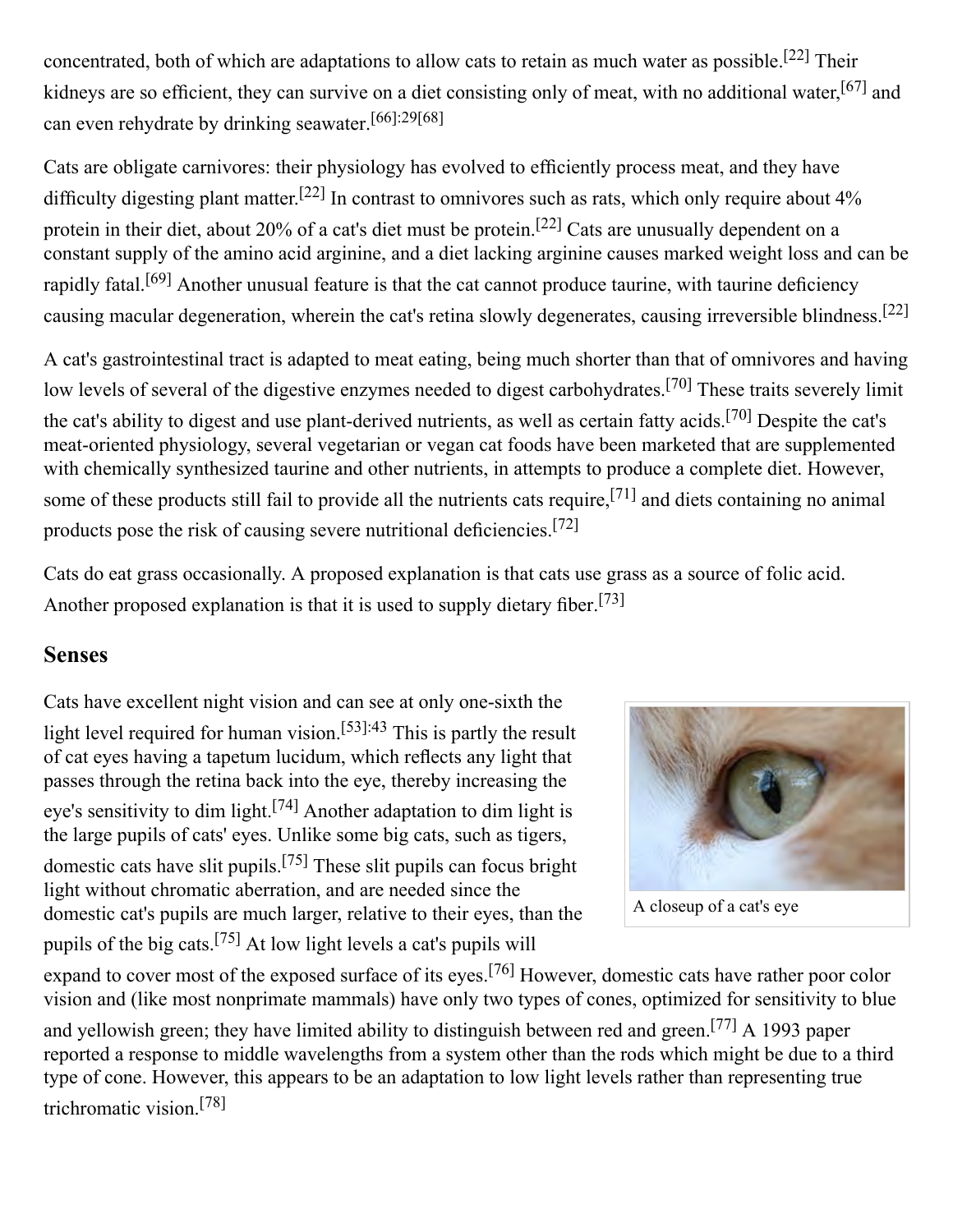concentrated, both of which are adaptations to allow cats to retain as much water as possible.[\[22\]](#page-21-16) Their kidneys are so efficient, they can survive on a diet consisting only of meat, with no additional water,[\[67\]](#page-23-8) and can even rehydrate by drinking [seawater](https://en.wikipedia.org/wiki/Seawater).[\[66\]](#page-23-7):29[\[68\]](#page-23-9)

Cats are [obligate carnivores](https://en.wikipedia.org/wiki/Obligate_carnivores): their [physiology](https://en.wikipedia.org/wiki/Physiology) has evolved to efficiently process meat, and they have difficulty digesting plant matter.<sup>[\[22\]](#page-21-16)</sup> In contrast to [omnivores](https://en.wikipedia.org/wiki/Omnivore) such as [rats](https://en.wikipedia.org/wiki/Rat), which only require about  $4\%$ protein in their diet, about 20% of a cat's diet must be protein.<sup>[\[22\]](#page-21-16)</sup> Cats are unusually dependent on a constant supply of the [amino acid](https://en.wikipedia.org/wiki/Amino_acid) [arginine](https://en.wikipedia.org/wiki/Arginine), and a diet lacking arginine causes marked weight loss and can be rapidly fatal.[\[69\]](#page-23-10) Another unusual feature is that the cat cannot produce [taurine](https://en.wikipedia.org/wiki/Taurine), with taurine deficiency causing [macular degeneration,](https://en.wikipedia.org/wiki/Macular_degeneration) wherein the cat's retina slowly degenerates, causing irreversible blindness.[\[22\]](#page-21-16)

A cat's [gastrointestinal tract](https://en.wikipedia.org/wiki/Gut_(anatomy)) is adapted to meat eating, being much shorter than that of omnivores and having low levels of several of the [digestive enzymes](https://en.wikipedia.org/wiki/Digestive_enzyme) needed to digest carbohydrates.<sup>[\[70\]](#page-23-11)</sup> These traits severely limit the cat's ability to digest and use plant-derived nutrients, as well as certain [fatty acids](https://en.wikipedia.org/wiki/Fatty_acid).[\[70\]](#page-23-11) Despite the cat's meat-oriented physiology, several vegetarian or vegan cat foods have been marketed that are supplemented with [chemically synthesized](https://en.wikipedia.org/wiki/Chemical_synthesis) taurine and other nutrients, in attempts to produce a complete diet. However, some of these products still fail to provide all the nutrients cats require,<sup>[\[71\]](#page-23-12)</sup> and diets containing no animal products pose the risk of causing severe nutritional deficiencies.[\[72\]](#page-23-13)

Cats do eat [grass](https://en.wikipedia.org/wiki/Grass) occasionally. A proposed explanation is that cats use grass as a source of [folic acid](https://en.wikipedia.org/wiki/Folic_acid). Another proposed explanation is that it is used to supply [dietary fiber](https://en.wikipedia.org/wiki/Dietary_fiber).<sup>[\[73\]](#page-23-14)</sup>

#### <span id="page-6-0"></span>**Senses**

Cats have excellent [night vision](https://en.wikipedia.org/wiki/Night_vision) and can see at only one-sixth the light level required for human vision.<sup>[\[53\]](#page-22-23):43</sup> This is partly the result of cat eyes having a [tapetum lucidum](https://en.wikipedia.org/wiki/Tapetum_lucidum), which reflects any light that passes through the [retina](https://en.wikipedia.org/wiki/Retina) back into the eye, thereby increasing the eye's sensitivity to dim light.<sup>[\[74\]](#page-23-15)</sup> Another adaptation to dim light is the large pupils of cats' eyes. Unlike some big cats, such as tigers, domestic cats have [slit pupils.](https://en.wikipedia.org/wiki/Pupil#In_other_animals)[\[75\]](#page-23-16) These slit pupils can focus bright light without [chromatic aberration](https://en.wikipedia.org/wiki/Chromatic_aberration), and are needed since the domestic cat's pupils are much larger, relative to their eyes, than the pupils of the big cats.[\[75\]](#page-23-16) At low light levels a cat's pupils will



A closeup of a [cat's eye](https://en.wikipedia.org/wiki/Cat_senses)

expand to cover most of the exposed surface of its eyes.<sup>[\[76\]](#page-23-17)</sup> However, domestic cats have rather poor color [vision and \(like most nonprimate mammals\) have only two types of cones, optimized for sensitivity to blue](https://en.wikipedia.org/wiki/Color_vision)

and yellowish green; they have limited ability to distinguish between red and green.[\[77\]](#page-23-18) A 1993 paper reported a response to middle wavelengths from a system other than the [rods](https://en.wikipedia.org/wiki/Rod_cell) which might be due to a third type of cone. However, this appears to be an adaptation to low light levels rather than representing true [trichromatic](https://en.wikipedia.org/wiki/Trichromacy) vision.[\[78\]](#page-23-19)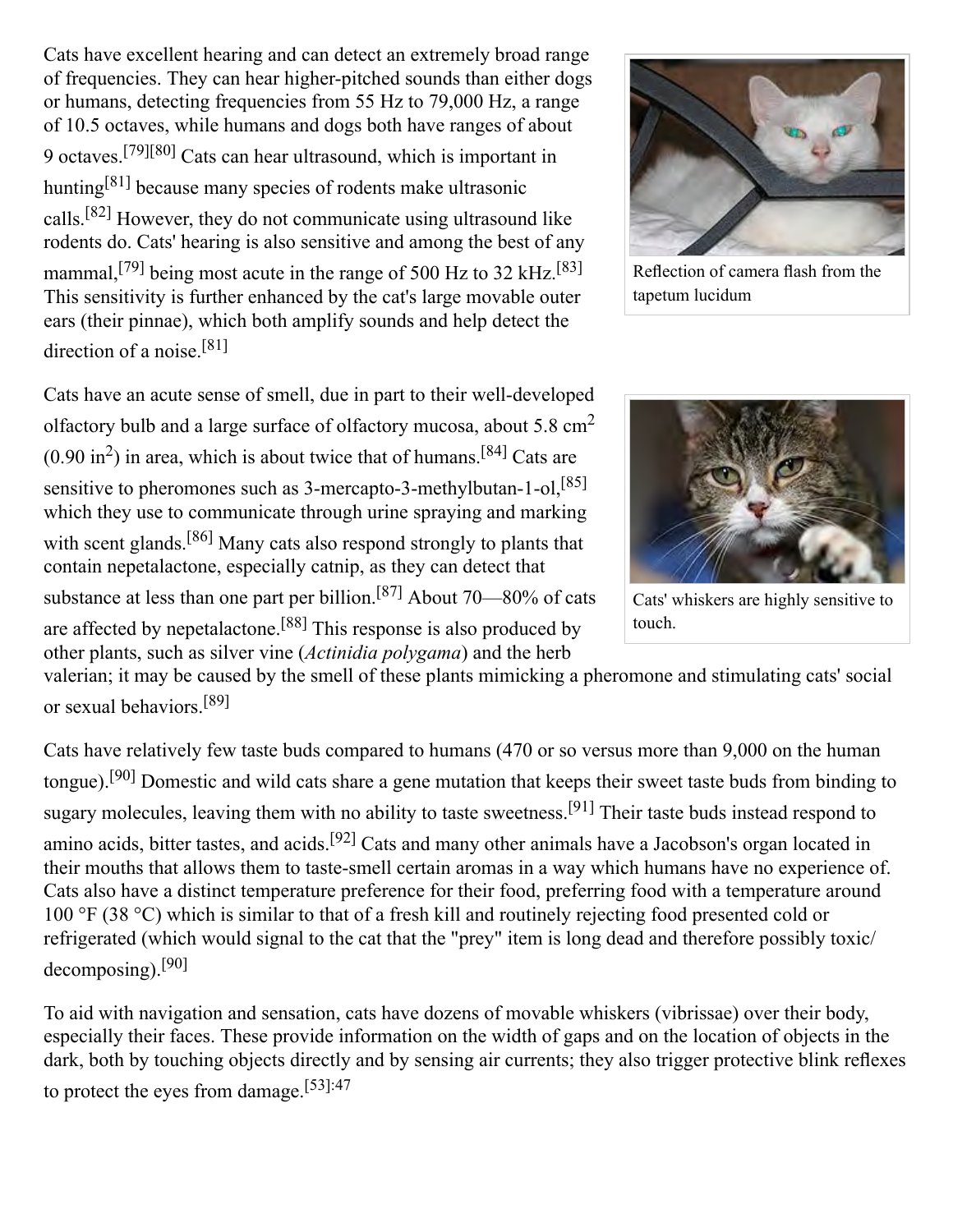Cats have excellent hearing and can detect an extremely broad range of frequencies. They can hear higher-pitched sounds than either dogs or humans, detecting frequencies from 55 Hz to 79,000 Hz, a range of 10.5 octaves, while humans and dogs both have ranges of about 9 octaves.[\[79\]](#page-23-20)[\[80\]](#page-23-21) Cats can hear [ultrasound](https://en.wikipedia.org/wiki/Ultrasound), which is important in hunting[\[81\]](#page-23-22) because many species of rodents make ultrasonic calls.[\[82\]](#page-23-23) However, they do not communicate using ultrasound like rodents do. Cats' hearing is also sensitive and among the best of any mammal,<sup>[\[79\]](#page-23-20)</sup> being most acute in the range of 500 Hz to 32 kHz.<sup>[\[83\]](#page-23-24)</sup> This sensitivity is further enhanced by the cat's large movable outer ears (their [pinnae\)](https://en.wikipedia.org/wiki/Pinna_(anatomy)), which both amplify sounds and help detect the direction of a noise.<sup>[\[81\]](#page-23-22)</sup>





Reflection of camera flash from the [tapetum lucidum](https://en.wikipedia.org/wiki/Tapetum_lucidum)



Cats' whiskers are highly sensitive to touch.

[valerian;](https://en.wikipedia.org/wiki/Valerian_(herb)) it may be caused by the smell of these plants mimicking a pheromone and stimulating cats' social or sexual behaviors.[\[89\]](#page-24-4)

Cats have relatively few taste buds compared to humans (470 or so versus more than 9,000 on the human tongue).[\[90\]](#page-24-5) Domestic and wild cats share a gene mutation that keeps their sweet taste buds from binding to sugary molecules, leaving them with no ability to taste [sweetness.](https://en.wikipedia.org/wiki/Sweetness)<sup>[\[91\]](#page-24-6)</sup> Their [taste buds](https://en.wikipedia.org/wiki/Taste_bud) instead respond to amino acids, bitter tastes, and acids.<sup>[\[92\]](#page-24-7)</sup> Cats and many other animals have a [Jacobson's organ](https://en.wikipedia.org/wiki/Jacobson%27s_organ) located in their mouths that allows them to taste-smell certain aromas in a way which humans have no experience of. Cats also have a distinct temperature preference for their food, preferring food with a temperature around 100 °F (38 °C) which is similar to that of a fresh kill and routinely rejecting food presented cold or refrigerated (which would signal to the cat that the "prey" item is long dead and therefore possibly toxic/ decomposing).[\[90\]](#page-24-5)

To aid with navigation and sensation, cats have dozens of movable [whiskers \(vibrissae\)](https://en.wikipedia.org/wiki/Vibrissa) over their body, especially their faces. These provide information on the width of gaps and on the location of objects in the dark, both by touching objects directly and by sensing air currents; they also trigger protective [blink reflexes](https://en.wikipedia.org/wiki/Blink_reflex) to protect the eyes from damage.[\[53\]:](#page-22-23)47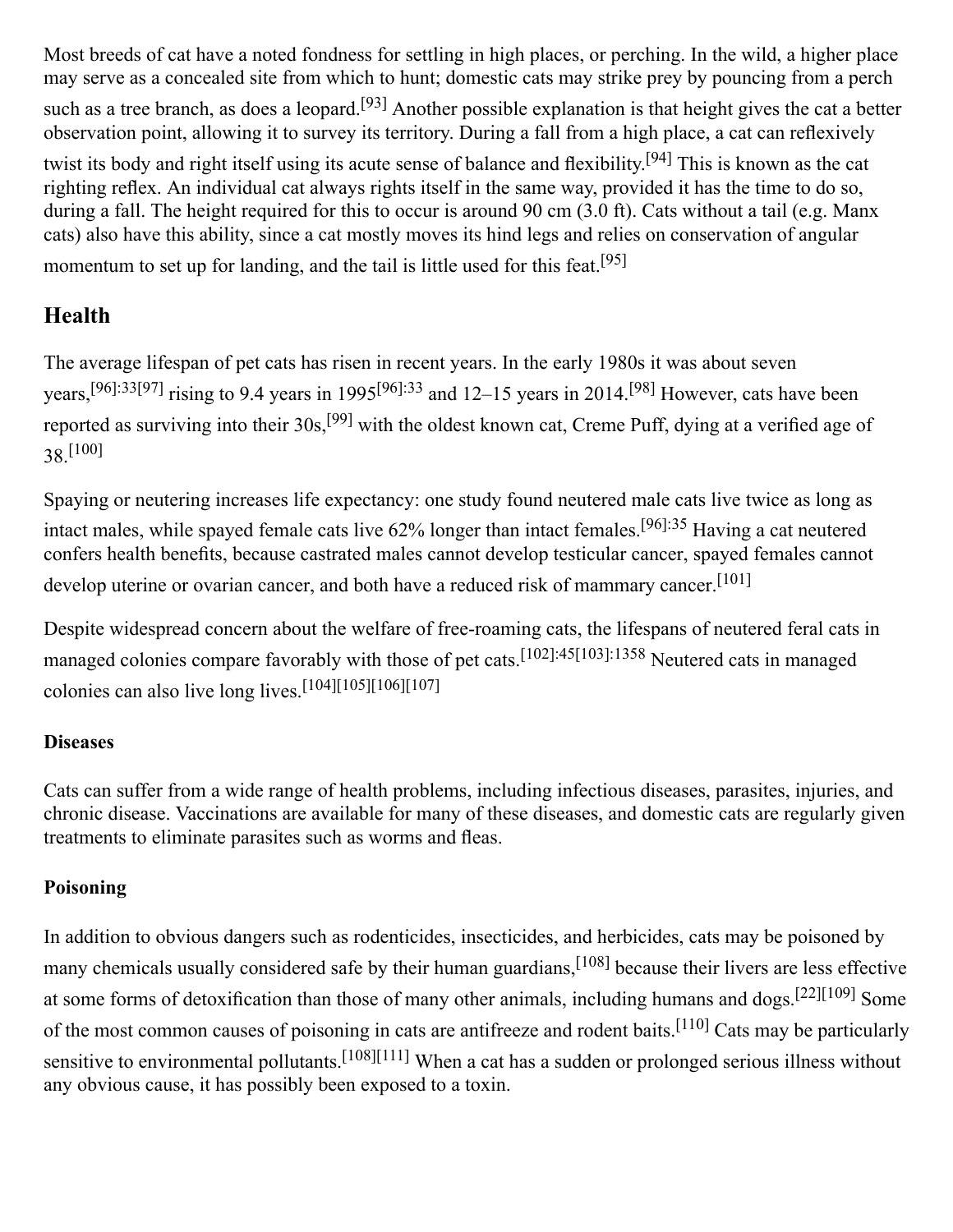Most breeds of cat have a noted fondness for settling in high places, or perching. In the wild, a higher place may serve as a concealed site from which to hunt; domestic cats may strike prey by pouncing from a perch

such as a tree branch, as does a [leopard.](https://en.wikipedia.org/wiki/Leopard)<sup>[\[93\]](#page-24-8)</sup> Another possible explanation is that height gives the cat a better observation point, allowing it to survey its territory. During a fall from a high place, a cat can reflexively

twist its body and right itself using its acute [sense of balance](https://en.wikipedia.org/wiki/Equilibrioception) and flexibility.[\[94\]](#page-24-9) This is known as the cat [righting reflex. An individual cat always rights itself in the same way, provided it has the time to do so,](https://en.wikipedia.org/wiki/Cat_righting_reflex) during a fall. The height required for this to occur is around 90 cm (3.0 ft). Cats without a tail (e.g. Manx [cats\) also have this ability, since a cat mostly moves its hind legs and relies on conservation of angula](https://en.wikipedia.org/wiki/Angular_momentum)[r](https://en.wikipedia.org/wiki/Manx_(cat)) momentum to set up for landing, and the tail is little used for this feat.<sup>[\[95\]](#page-24-10)</sup>

### <span id="page-8-0"></span>**Health**

The average lifespan of pet cats has risen in recent years. In the early 1980s it was about seven years,<sup>[\[96\]](#page-24-11):3[3\[97\]](#page-24-12)</sup> rising to 9.4 years in 1995<sup>[96]:33</sup> and 12–15 years in 2014.<sup>[\[98\]](#page-24-13)</sup> However, cats have been reported as surviving into their 30s,<sup>[\[99\]](#page-24-14)</sup> with the oldest known cat, [Creme Puff,](https://en.wikipedia.org/wiki/Creme_Puff_(cat)) dying at a verified age of 38.[\[100\]](#page-24-15)

Spaying or neutering increases life expectancy: one study found neutered male cats live twice as long as intact males, while spayed female cats live 62% longer than intact females.[\[96\]:](#page-24-11)35 Having a cat [neutered](https://en.wikipedia.org/wiki/Neutering) confers health benefits, because castrated males cannot develop [testicular cancer](https://en.wikipedia.org/wiki/Testicular_cancer), spayed females cannot develop [uterine](https://en.wikipedia.org/wiki/Uterine_cancer) or [ovarian cancer](https://en.wikipedia.org/wiki/Ovarian_cancer), and both have a reduced risk of [mammary cancer.](https://en.wikipedia.org/wiki/Mammary_tumor)<sup>[\[101\]](#page-24-16)</sup>

Despite widespread concern about the welfare of free-roaming cats, the lifespans of neutered feral cats in managed colonies compare favorably with those of pet cats.<sup>[\[102\]](#page-24-17):4[5\[103\]:](#page-24-18)1358</sup> Neutered cats in managed colonies can also live long lives.[\[104\]](#page-24-19)[\[105\]](#page-24-20)[\[106\]](#page-24-21)[\[107\]](#page-25-0)

#### <span id="page-8-1"></span>**Diseases**

Cats can suffer from a wide range of health problems, including infectious diseases, parasites, injuries, and chronic disease. [Vaccinations](https://en.wikipedia.org/wiki/Feline_vaccination) are available for many of these diseases, and domestic cats are regularly given treatments to eliminate parasites such as worms and fleas.

#### <span id="page-8-2"></span>**Poisoning**

In addition to obvious dangers such as [rodenticides](https://en.wikipedia.org/wiki/Rodenticide), [insecticides,](https://en.wikipedia.org/wiki/Insecticide) and [herbicides](https://en.wikipedia.org/wiki/Herbicide), cats may be poisoned by many chemicals usually considered safe by their human guardians, <sup>[\[108\]](#page-25-1)</sup> because their livers are less effective at some forms of [detoxification](https://en.wikipedia.org/wiki/Detoxification) than those of many other animals, including humans and dogs.[\[22\]](#page-21-16)[\[109\]](#page-25-2) Some of the most common causes of poisoning in cats are antifreeze and rodent baits.<sup>[\[110\]](#page-25-3)</sup> Cats may be particularly sensitive to environmental pollutants.<sup>[\[108\]](#page-25-1)[\[111\]](#page-25-4)</sup> When a cat has a sudden or prolonged serious illness without any obvious cause, it has possibly been exposed to a toxin.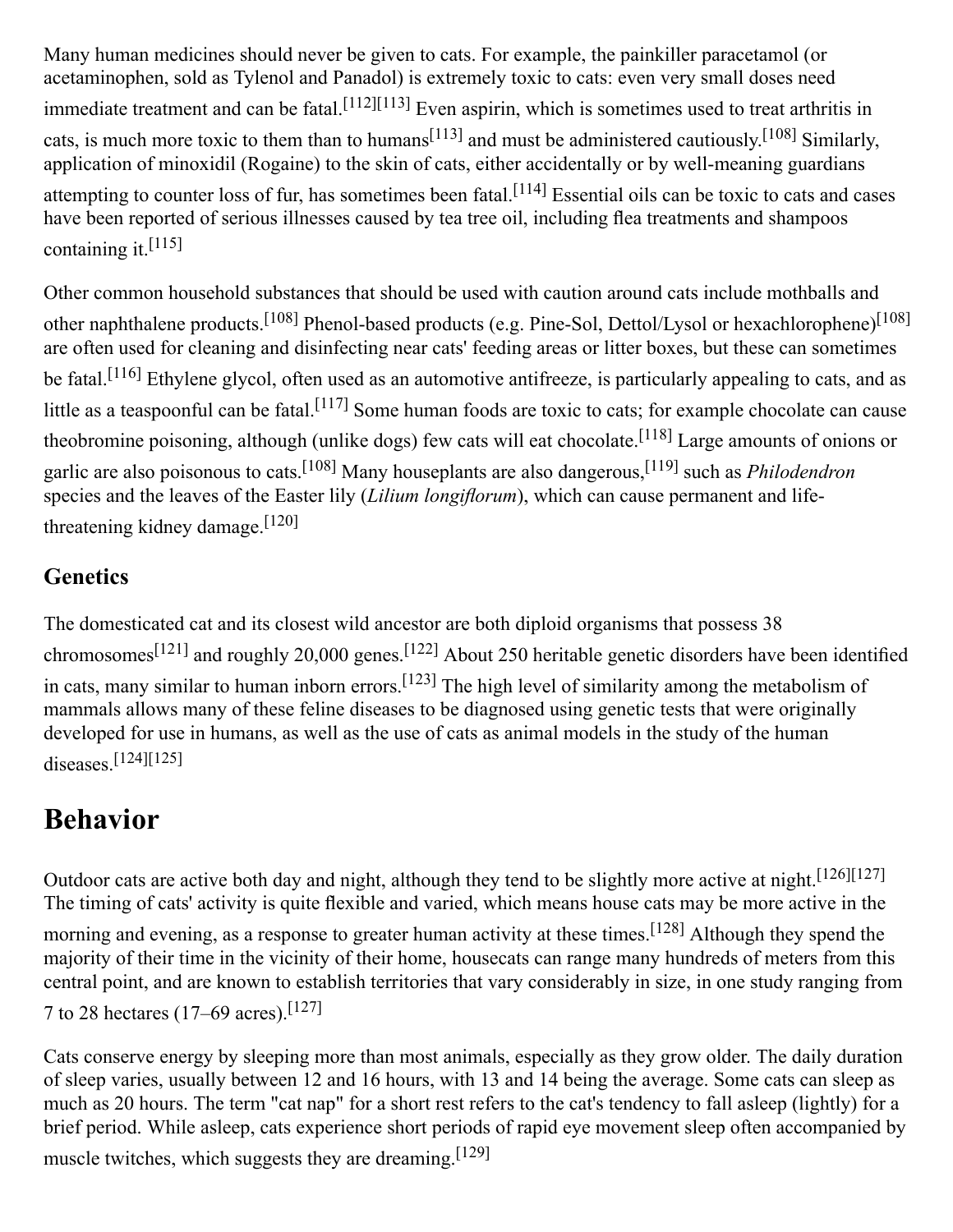Many human medicines should never be given to cats. For example, the painkiller [paracetamol](https://en.wikipedia.org/wiki/Paracetamol) (or acetaminophen, sold as [Tylenol](https://en.wikipedia.org/wiki/Tylenol_(brand)) and [Panadol](https://en.wikipedia.org/wiki/Panadol_(brand))) is extremely toxic to cats: even very small doses need immediate treatment and can be fatal.<sup>[\[112\]](#page-25-5)[\[113\]](#page-25-6)</sup> Even [aspirin,](https://en.wikipedia.org/wiki/Aspirin) which is sometimes used to treat [arthritis](https://en.wikipedia.org/wiki/Arthritis) in cats, is much more toxic to them than to humans<sup>[\[113\]](#page-25-6)</sup> and must be administered cautiously.<sup>[\[108\]](#page-25-1)</sup> Similarly, application of [minoxidil](https://en.wikipedia.org/wiki/Minoxidil) (Rogaine) to the skin of cats, either accidentally or by well-meaning guardians attempting to counter loss of fur, has sometimes been fatal.<sup>[\[114\]](#page-25-7)</sup> [Essential oils](https://en.wikipedia.org/wiki/Essential_oil) can be toxic to cats and cases have been reported of serious illnesses caused by [tea tree oil](https://en.wikipedia.org/wiki/Tea_tree_oil), including flea treatments and shampoos containing it.[\[115\]](#page-25-8)

Other common household substances that should be used with caution around cats include [mothballs](https://en.wikipedia.org/wiki/Mothball) and other [naphthalene](https://en.wikipedia.org/wiki/Naphthalene) products.[\[108\]](#page-25-1) [Phenol](https://en.wikipedia.org/wiki/Phenol)-based products (e.g. [Pine-Sol](https://en.wikipedia.org/wiki/Pine-Sol), [Dettol/](https://en.wikipedia.org/wiki/Dettol)Lysol or [hexachlorophene\)](https://en.wikipedia.org/wiki/Hexachlorophene)[\[108\]](#page-25-1) are often used for cleaning and disinfecting near cats' feeding areas or [litter boxes](https://en.wikipedia.org/wiki/Litter_box), but these can sometimes be fatal.<sup>[\[116\]](#page-25-9)</sup> [Ethylene glycol,](https://en.wikipedia.org/wiki/Ethylene_glycol) often used as an automotive [antifreeze](https://en.wikipedia.org/wiki/Antifreeze), is particularly appealing to cats, and as little as a teaspoonful can be fatal.<sup>[\[117\]](#page-25-10)</sup> Some human foods are toxic to cats; for example chocolate can cause [theobromine poisoning](https://en.wikipedia.org/wiki/Theobromine_poisoning), although (unlike dogs) few cats will eat chocolate.<sup>[\[118\]](#page-25-11)</sup> Large amounts of onions or garlic are also poisonous to cats.[\[108\]](#page-25-1) Many [houseplants](https://en.wikipedia.org/wiki/Houseplant) are also dangerous,[\[119\]](#page-25-12) such as *[Philodendron](https://en.wikipedia.org/wiki/Philodendron)* species and the leaves of the Easter lily (*[Lilium longiflorum](https://en.wikipedia.org/wiki/Lilium_longiflorum)*), which can cause permanent and lifethreatening kidney damage.[\[120\]](#page-25-13)

### <span id="page-9-0"></span>**Genetics**

The domesticated cat and its closest wild ancestor are both [diploid](https://en.wikipedia.org/wiki/Diploid) organisms that possess 38 [chromosomes](https://en.wikipedia.org/wiki/Chromosome)[\[121\]](#page-25-14) and roughly 20,000 genes.[\[122\]](#page-25-15) About 250 heritable [genetic disorders](https://en.wikipedia.org/wiki/Genetic_disorder) have been identified in cats, many similar to human [inborn errors](https://en.wikipedia.org/wiki/Inborn_error_of_metabolism).<sup>[\[123\]](#page-25-16)</sup> The high level of similarity among the [metabolism](https://en.wikipedia.org/wiki/Metabolism) of mammals allows many of these feline diseases to be diagnosed using [genetic tests](https://en.wikipedia.org/wiki/Genetic_testing) that were originally developed for use in humans, as well as the use of cats as [animal models](https://en.wikipedia.org/wiki/Animal_model) in the study of the human diseases.[\[124\]](#page-25-17)[\[125\]](#page-25-18)

## <span id="page-9-1"></span>**Behavior**

Outdoor cats are active both day and night, although they tend to be slightly more active at night.[\[126\]](#page-25-19)[\[127\]](#page-25-20) [The timing of cats' activity is quite flexible and varied, which means house cats may be more active in the](https://en.wikipedia.org/wiki/Crepuscular)

morning and evening, as a response to greater human activity at these times.<sup>[\[128\]](#page-25-21)</sup> Although they spend the majority of their time in the vicinity of their home, housecats can range many hundreds of meters from this central point, and are known to establish [territories](https://en.wikipedia.org/wiki/Territory_(animal)) that vary considerably in size, in one study ranging from

```
7 to 28 hectares (17–69 acres).[127]
```
Cats conserve energy by sleeping more than most animals, especially as they grow older. The daily duration of sleep varies, usually between 12 and 16 hours, with 13 and 14 being the average. Some cats can sleep as much as 20 hours. The term ["cat nap"](https://en.wiktionary.org/wiki/cat_nap) for a short rest refers to the cat's tendency to fall asleep (lightly) for a brief period. While asleep, cats experience short periods of [rapid eye movement sleep](https://en.wikipedia.org/wiki/Rapid_eye_movement_sleep) often accompanied by muscle twitches, which suggests they are [dreaming](https://en.wikipedia.org/wiki/Dream).[\[129\]](#page-25-22)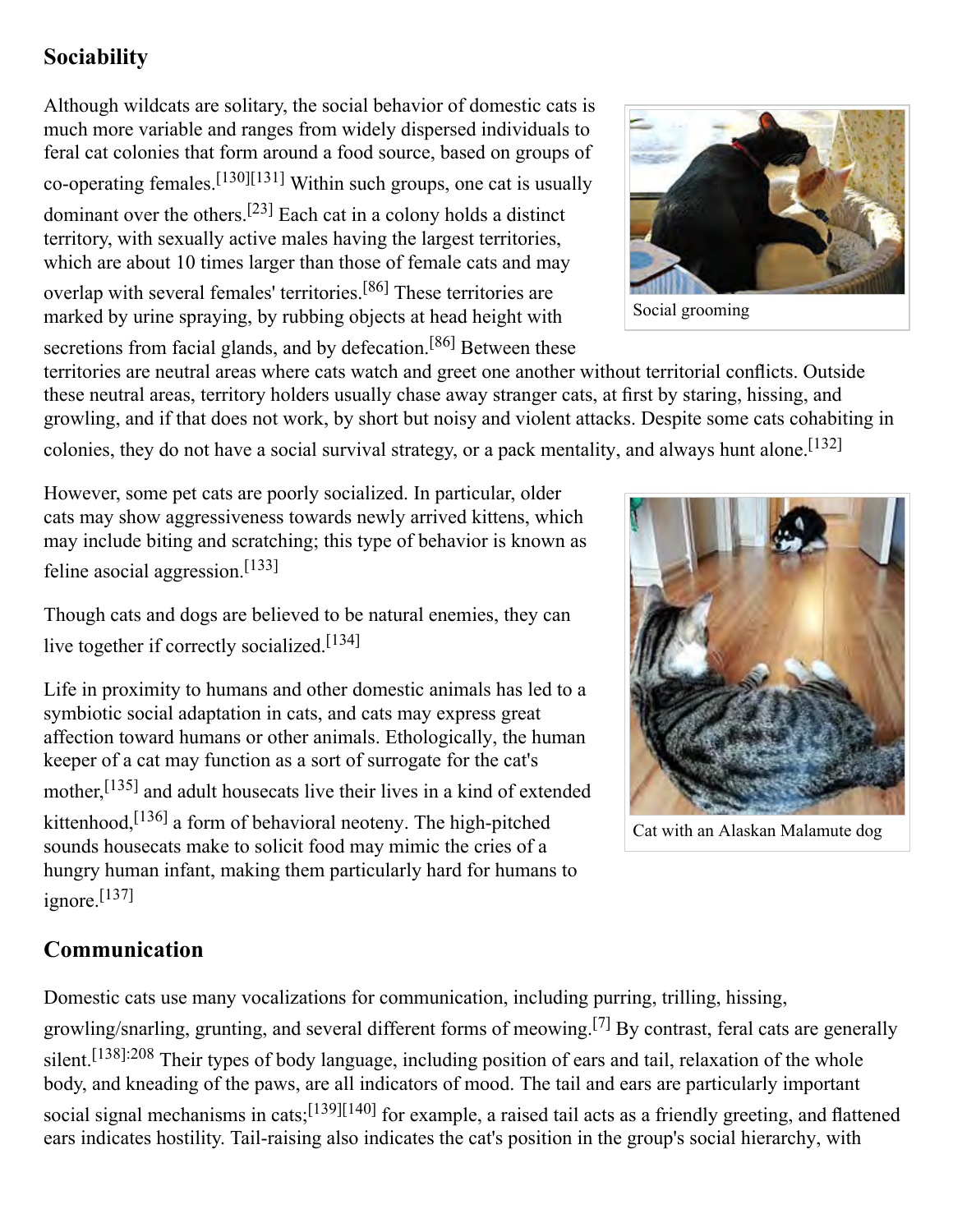### <span id="page-10-0"></span>**Sociability**

Although wildcats are solitary, the social behavior of domestic cats is much more variable and ranges from widely dispersed individuals to [feral cat colonies](https://en.wikipedia.org/wiki/Feral_cat_colony) that form around a food source, based on groups of co-operating females.[\[130\]](#page-25-23)[\[131\]](#page-26-0) Within such groups, one cat is usually dominant over the others.[\[23\]](#page-21-17) Each cat in a colony holds a distinct territory, with sexually active males having the largest territories, which are about 10 times larger than those of female cats and may overlap with several females' territories.[\[86\]](#page-24-1) These territories are marked by [urine spraying](https://en.wikipedia.org/wiki/Urine_spraying), by rubbing objects at head height with

secretions from facial glands, and by defecation.<sup>[\[86\]](#page-24-1)</sup> Between these



[Social grooming](https://en.wikipedia.org/wiki/Social_grooming)

territories are neutral areas where cats watch and greet one another without territorial conflicts. Outside these neutral areas, territory holders usually chase away stranger cats, at first by staring, hissing, and [growling](https://en.wikipedia.org/wiki/Growling), and if that does not work, by short but noisy and violent attacks. Despite some cats cohabiting in

colonies, they do not have a social survival strategy, or a [pack mentality,](https://en.wikipedia.org/wiki/Herd_behavior) and always hunt alone.<sup>[\[132\]](#page-26-1)</sup>

However, some pet cats are poorly socialized. In particular, older cats may show aggressiveness towards newly arrived kittens, which may include biting and scratching; this type of behavior is known as feline asocial aggression.[\[133\]](#page-26-2)

Though cats and dogs are [believed to be natural enemies](https://en.wikipedia.org/wiki/Dog%E2%80%93cat_relationship), they can live together if correctly socialized.<sup>[\[134\]](#page-26-3)</sup>

Life in proximity to humans and other domestic animals has led to a symbiotic social adaptation in cats, and cats may express great affection toward humans or other animals. [Ethologically](https://en.wikipedia.org/wiki/Ethology), the human keeper of a cat may function as a sort of surrogate for the cat's mother,[\[135\]](#page-26-4) and adult housecats live their lives in a kind of extended

kittenhood,<sup>[\[136\]](#page-26-5)</sup> a form of behavioral [neoteny.](https://en.wikipedia.org/wiki/Neoteny) The high-pitched sounds housecats make to solicit food may mimic the cries of a hungry human infant, making them particularly hard for humans to ignore.[\[137\]](#page-26-6)



Cat with an [Alaskan Malamute](https://en.wikipedia.org/wiki/Alaskan_Malamute) dog

### <span id="page-10-1"></span>**Communication**

Domestic cats use many [vocalizations](https://en.wikipedia.org/wiki/Animal_communication) for communication, including [purring](https://en.wikipedia.org/wiki/Purr), [trilling](https://en.wikipedia.org/wiki/Trill_consonant), hissing, [growling](https://en.wikipedia.org/wiki/Growling)/[snarling,](https://en.wikipedia.org/wiki/Snarl) [grunting,](https://en.wikipedia.org/wiki/Guttural) and several different forms of [meowing](https://en.wikipedia.org/wiki/Meow).[\[7\]](#page-21-1) By contrast, feral cats are generally silent.<sup>[\[138\]](#page-26-7):208</sup> Their types of [body language,](https://en.wikipedia.org/wiki/Cat_body_language) including position of ears and tail, relaxation of the whole body, and kneading of the paws, are all indicators of mood. The tail and ears are particularly important social signal mechanisms in cats;<sup>[\[139\]](#page-26-8)[\[140\]](#page-26-9)</sup> for example, a raised tail acts as a friendly greeting, and flattened ears indicates hostility. Tail-raising also indicates the cat's position in the group's [social hierarchy](https://en.wikipedia.org/wiki/Social_hierarchy), with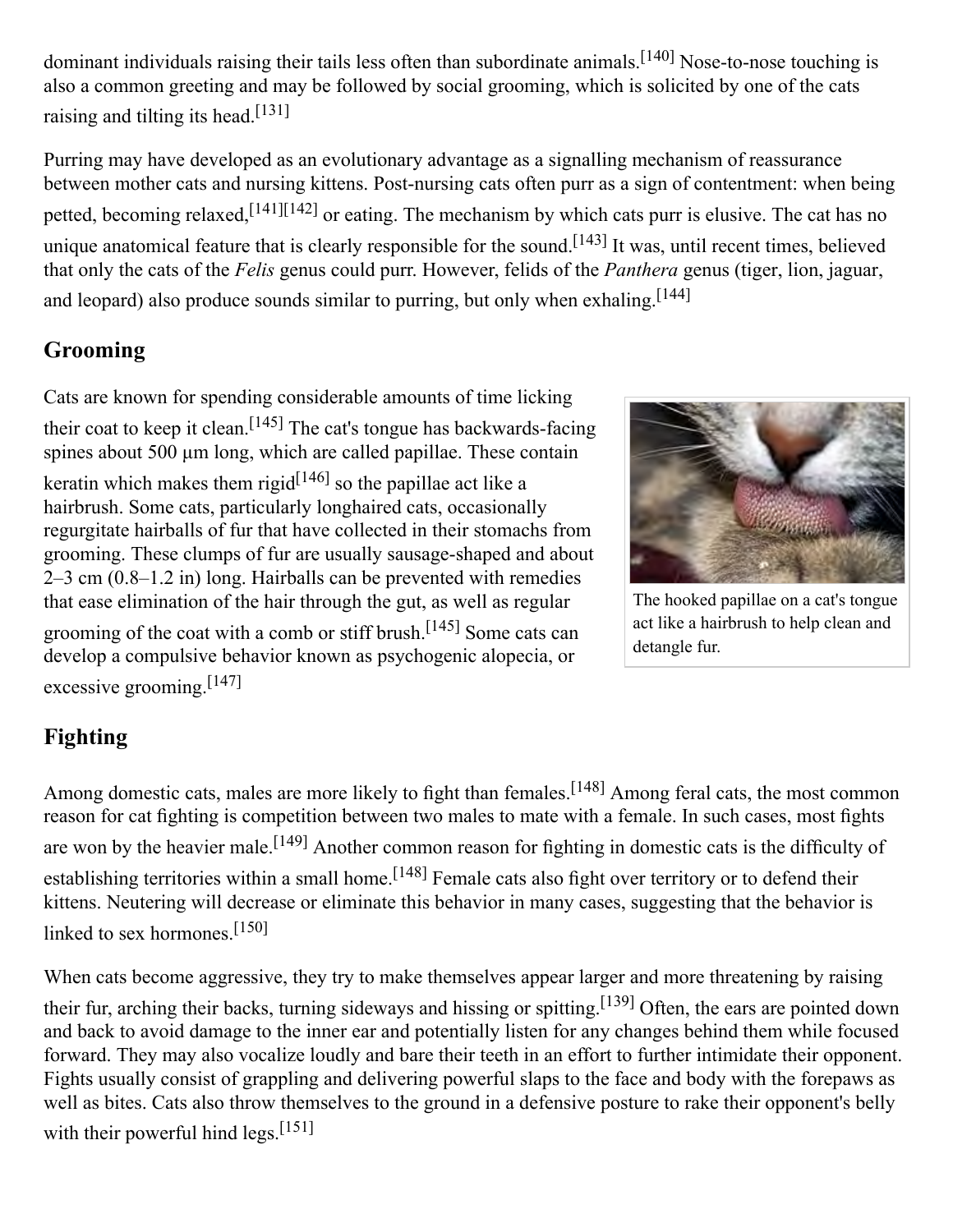dominant individuals raising their tails less often than subordinate animals.<sup>[\[140\]](#page-26-9)</sup> Nose-to-nose touching is also a common greeting and may be followed by [social grooming](https://en.wikipedia.org/wiki/Social_grooming), which is solicited by one of the cats raising and tilting its head.[\[131\]](#page-26-0)

Purring may have developed as an evolutionary advantage as a signalling mechanism of reassurance between mother cats and [nursing](https://en.wikipedia.org/wiki/Breastfeeding) kittens. Post-nursing cats often purr as a sign of contentment: when being petted, becoming relaxed,<sup>[\[141\]](#page-26-10)[\[142\]](#page-26-11)</sup> or eating. The mechanism by which cats purr is elusive. The cat has no unique anatomical feature that is clearly responsible for the sound.<sup>[\[143\]](#page-26-12)</sup> It was, until recent times, believed that only the cats of the *[Felis](https://en.wikipedia.org/wiki/Felis)* [genus](https://en.wikipedia.org/wiki/Genus) could purr. However, felids of the *[Panthera](https://en.wikipedia.org/wiki/Panthera)* genus [\(tiger](https://en.wikipedia.org/wiki/Tiger), [lion](https://en.wikipedia.org/wiki/Lion), [jaguar](https://en.wikipedia.org/wiki/Jaguar), and [leopard](https://en.wikipedia.org/wiki/Leopard)) also produce sounds similar to purring, but only when exhaling.<sup>[\[144\]](#page-26-13)</sup>

### <span id="page-11-0"></span>**Grooming**

Cats are known for spending considerable amounts of time licking their coat to keep it clean.<sup>[\[145\]](#page-26-14)</sup> The cat's [tongue](https://en.wikipedia.org/wiki/Tongue) has backwards-facing spines about  $500 \mu m$  long, which are called [papillae](https://en.wikipedia.org/wiki/Filiform_papilla). These contain [keratin](https://en.wikipedia.org/wiki/Keratin) which makes them rigid<sup>[\[146\]](#page-26-15)</sup> so the papillae act like a hairbrush. Some cats, particularly longhaired cats, occasionally regurgitate [hairballs](https://en.wikipedia.org/wiki/Hairball) of fur that have collected in their stomachs from grooming. These clumps of fur are usually sausage-shaped and about 2–3 cm (0.8–1.2 in) long. Hairballs can be prevented with remedies that ease elimination of the hair through the [gut,](https://en.wikipedia.org/wiki/Gut_(anatomy)) as well as regular grooming of the coat with a comb or stiff brush.[\[145\]](#page-26-14) Some cats can develop a compulsive behavior known as [psychogenic alopecia](https://en.wikipedia.org/wiki/Psychogenic_alopecia), or excessive grooming.<sup>[\[147\]](#page-26-16)</sup>



The hooked [papillae](https://en.wikipedia.org/wiki/Lingual_papilla) on a cat's tongue act like a [hairbrush](https://en.wikipedia.org/wiki/Hairbrush) to help clean and detangle fur.

## <span id="page-11-1"></span>**Fighting**

Among domestic cats, males are more likely to fight than females.<sup>[\[148\]](#page-26-17)</sup> Among feral cats, the most common reason for [cat fighting](https://en.wikipedia.org/wiki/Catfight_(animal_behavior)) is competition between two males to mate with a female. In such cases, most fights are won by the heavier male.<sup>[\[149\]](#page-26-18)</sup> Another common reason for fighting in domestic cats is the difficulty of establishing territories within a small home.<sup>[\[148\]](#page-26-17)</sup> Female cats also fight over territory or to defend their kittens. Neutering will decrease or eliminate this behavior in many cases, suggesting that the behavior is linked to [sex hormones.](https://en.wikipedia.org/wiki/Sex_hormone)<sup>[\[150\]](#page-26-19)</sup>

When cats become aggressive, they try to make themselves appear larger and more threatening by raising their fur, arching their backs, turning sideways and hissing or spitting.[\[139\]](#page-26-8) Often, the ears are pointed down and back to avoid damage to the inner ear and potentially listen for any changes behind them while focused forward. They may also vocalize loudly and bare their teeth in an effort to further intimidate their opponent. Fights usually consist of grappling and delivering powerful slaps to the face and body with the forepaws as well as bites. Cats also throw themselves to the ground in a defensive posture to rake their opponent's belly with their powerful hind legs.<sup>[\[151\]](#page-26-20)</sup>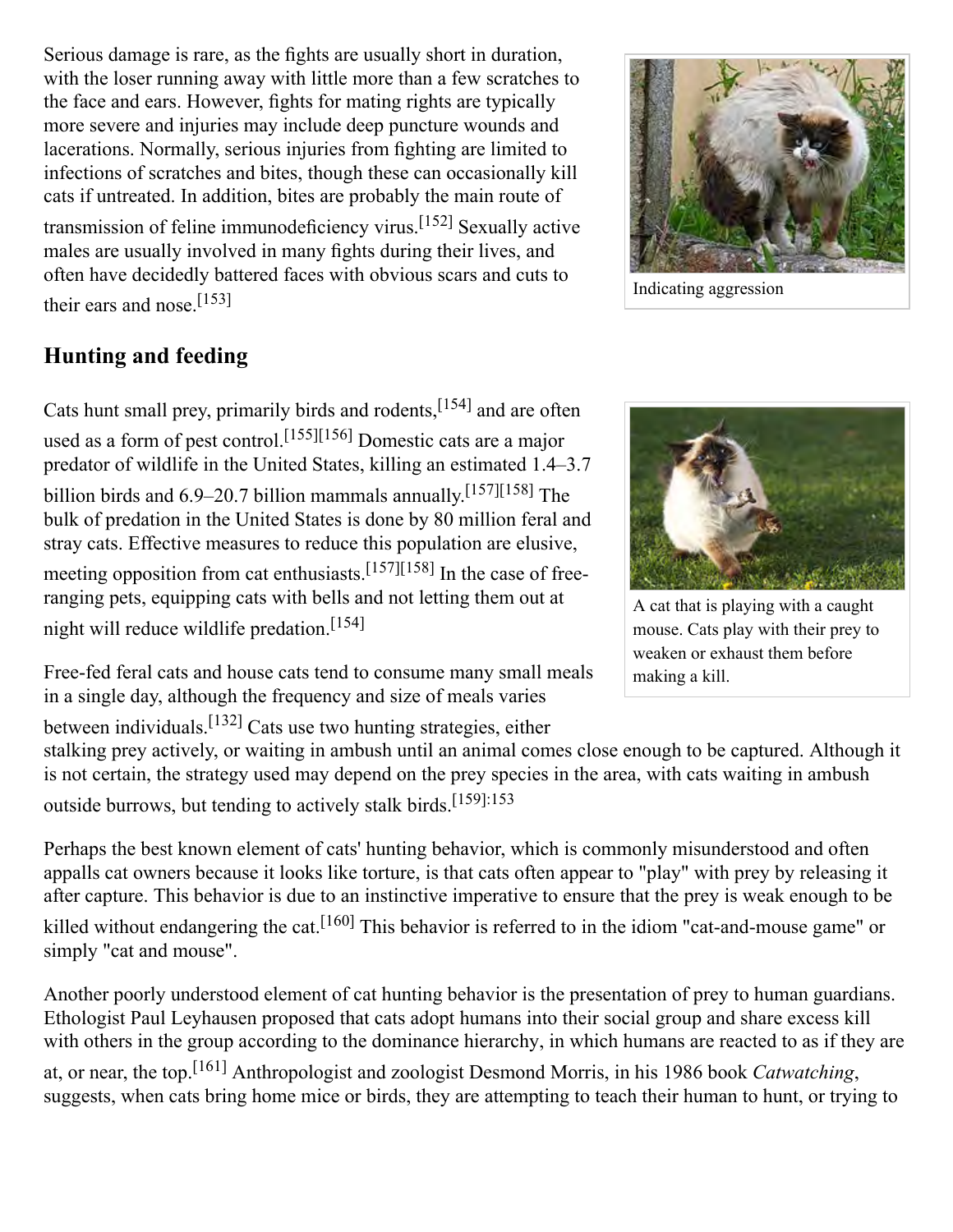Serious damage is rare, as the fights are usually short in duration, with the loser running away with little more than a few scratches to the face and ears. However, fights for mating rights are typically more severe and injuries may include deep puncture wounds and lacerations. Normally, serious injuries from fighting are limited to infections of scratches and bites, though these can occasionally kill cats if untreated. In addition, bites are probably the main route of transmission of [feline immunodeficiency virus.](https://en.wikipedia.org/wiki/Feline_immunodeficiency_virus)[\[152\]](#page-26-21) Sexually active males are usually involved in many fights during their lives, and often have decidedly battered faces with obvious scars and cuts to their ears and nose  $[153]$ 



Indicating aggression

#### <span id="page-12-0"></span>**Hunting and feeding**

Cats hunt small prey, primarily birds and rodents,[\[154\]](#page-26-23) and are often used as a form of pest control.[\[155\]](#page-26-24)[\[156\]](#page-26-25) Domestic cats are a major predator of wildlife in the United States, killing an estimated 1.4–3.7 billion birds and 6.9–20.7 billion mammals annually.[\[157\]](#page-27-0)[\[158\]](#page-27-1) The bulk of predation in the United States is done by 80 million feral and stray cats. Effective measures to reduce this population are elusive, meeting opposition from cat enthusiasts.[\[157\]](#page-27-0)[\[158\]](#page-27-1) In the case of freeranging pets, equipping cats with bells and not letting them out at night will reduce wildlife predation.[\[154\]](#page-26-23)

Free-fed feral cats and house cats tend to consume many small meals in a single day, although the frequency and size of meals varies

between individuals.[\[132\]](#page-26-1) Cats use two hunting strategies, either

stalking prey actively, or waiting in ambush until an animal comes close enough to be captured. Although it is not certain, the strategy used may depend on the prey species in the area, with cats waiting in ambush outside burrows, but tending to actively stalk birds.[\[159\]](#page-27-2):153

Perhaps the best known element of cats' hunting behavior, which is commonly misunderstood and often appalls cat owners because it looks like torture, is that cats often appear to "play" with prey by releasing it after capture. This behavior is due to an instinctive imperative to ensure that the prey is weak enough to be killed without endangering the cat.<sup>[\[160\]](#page-27-3)</sup> This behavior is referred to in the [idiom](https://en.wikipedia.org/wiki/Idiom) "cat-and-mouse game" or simply ["cat and mouse"](https://en.wikipedia.org/wiki/Cat_and_mouse).

Another poorly understood element of cat hunting behavior is the presentation of prey to human guardians. [Ethologist](https://en.wikipedia.org/wiki/Ethology) Paul Leyhausen proposed that cats adopt humans into their social group and share excess kill with others in the group according to the [dominance hierarchy,](https://en.wikipedia.org/wiki/Dominance_hierarchy) in which humans are reacted to as if they are at, or near, the top.[\[161\]](#page-27-4) Anthropologist and zoologist [Desmond Morris](https://en.wikipedia.org/wiki/Desmond_Morris), in his 1986 book *Catwatching*, suggests, when cats bring home mice or birds, they are attempting to teach their human to hunt, or trying to



A cat that is playing with a caught mouse. Cats play with their prey to weaken or exhaust them before making a kill.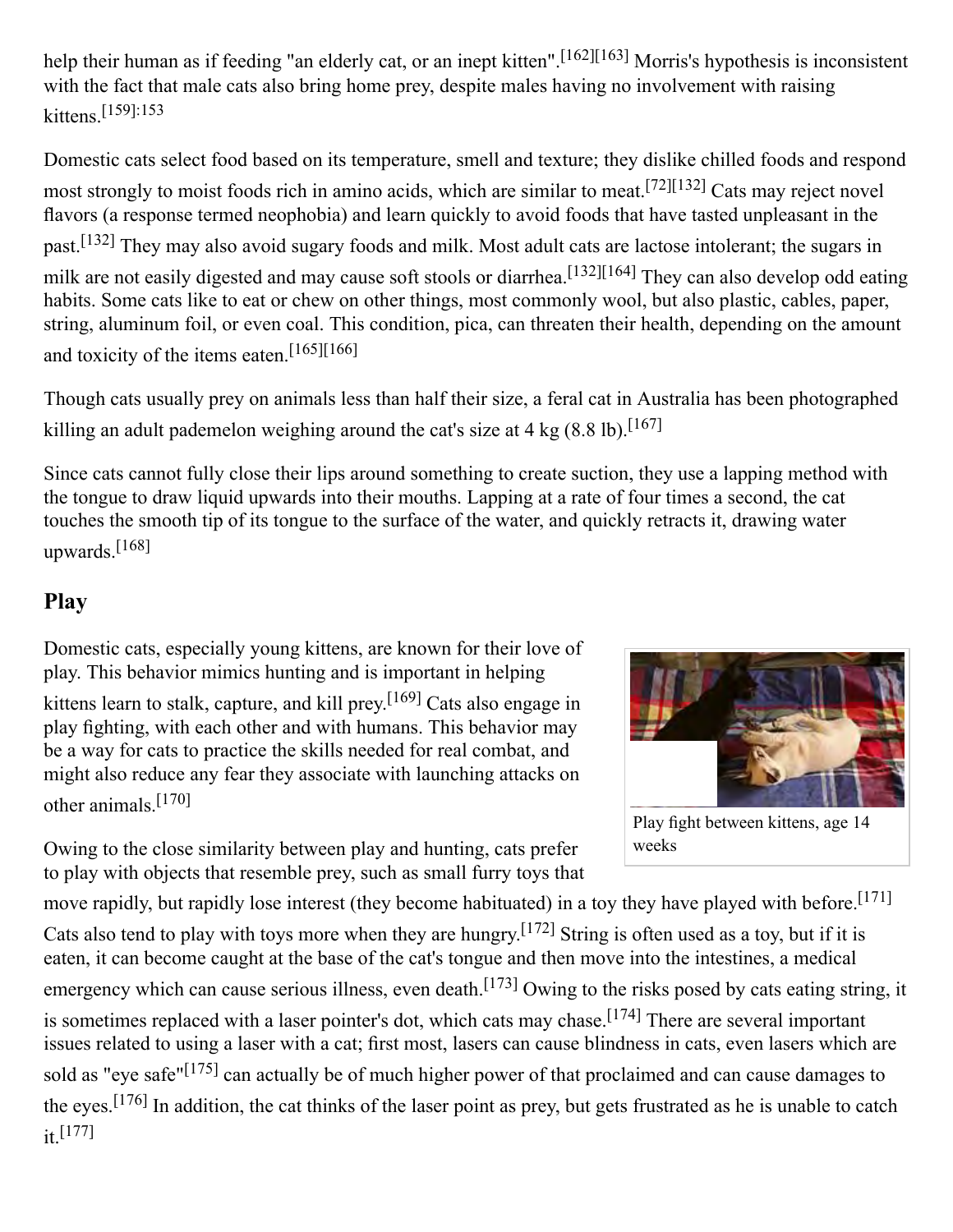help their human as if feeding "an elderly cat, or an inept kitten".<sup>[\[162\]](#page-27-5)[\[163\]](#page-27-6)</sup> Morris's hypothesis is inconsistent with the fact that male cats also bring home prey, despite males having no involvement with raising kittens<sup>[\[159\]](#page-27-2):153</sup>

Domestic cats select food based on its temperature, smell and texture; they dislike chilled foods and respond most strongly to moist foods rich in amino acids, which are similar to meat.[\[72\]](#page-23-13)[\[132\]](#page-26-1) Cats may reject novel flavors (a response termed [neophobia](https://en.wikipedia.org/wiki/Neophobia)) and learn quickly to [avoid foods that have tasted unpleasant](https://en.wikipedia.org/wiki/Taste_aversion) in the past.[\[132\]](#page-26-1) They may also avoid sugary foods and milk. Most adult cats are [lactose intolerant](https://en.wikipedia.org/wiki/Lactose_intolerant); the sugars in milk are not easily digested and may cause soft stools or [diarrhea](https://en.wikipedia.org/wiki/Diarrhea).<sup>[\[132\]](#page-26-1)[\[164\]](#page-27-7)</sup> They can also develop odd eating habits. Some cats like to eat or chew on other things, most commonly wool, but also plastic, cables, paper, string, aluminum foil, or even coal. This condition, [pica](https://en.wikipedia.org/wiki/Pica_(disorder)), can threaten their health, depending on the amount and toxicity of the items eaten.<sup>[\[165\]](#page-27-8)[\[166\]](#page-27-9)</sup>

Though cats usually prey on animals less than half their size, a feral cat in Australia has been photographed killing an adult [pademelon](https://en.wikipedia.org/wiki/Pademelon) weighing around the cat's size at 4 kg  $(8.8 \text{ lb})$ .<sup>[\[167\]](#page-27-10)</sup>

Since cats cannot fully close their lips around something to create suction, they use a lapping method with the tongue to draw liquid upwards into their mouths. Lapping at a rate of four times a second, the cat touches the smooth tip of its tongue to the surface of the water, and quickly retracts it, drawing water upwards $[168]$ 

#### <span id="page-13-0"></span>**Play**

Domestic cats, especially young kittens, are known for their love of play. This behavior mimics hunting and is important in helping kittens learn to [stalk, capture, and kill](https://en.wikipedia.org/wiki/Predation) prey.<sup>[\[169\]](#page-27-12)</sup> Cats also engage in play fighting, with each other and with humans. This behavior may be a way for cats to practice the skills needed for real combat, and might also reduce any fear they associate with launching attacks on other animals.[\[170\]](#page-27-13)

Owing to the close similarity between play and hunting, cats prefer to play with objects that resemble prey, such as small furry toys that



move rapidly, but rapidly lose interest (they become [habituated\)](https://en.wikipedia.org/wiki/Habituation) in a toy they have played with before.<sup>[\[171\]](#page-27-14)</sup> Cats also tend to play with toys more when they are hungry.[\[172\]](#page-27-15) String is often used as a toy, but if it is eaten, it can become caught at the base of the cat's tongue and then move into the [intestines,](https://en.wikipedia.org/wiki/Intestine) a medical emergency which can cause serious illness, even death.<sup>[\[173\]](#page-27-16)</sup> Owing to the risks posed by cats eating string, it is sometimes replaced with a [laser pointer](https://en.wikipedia.org/wiki/Laser_pointer)'s dot, which cats may chase.<sup>[\[174\]](#page-27-17)</sup> There are several important issues related to using a laser with a cat; first most, lasers can cause blindness in cats, even lasers which are sold as "eye safe"<sup>[\[175\]](#page-27-18)</sup> can actually be of much higher power of that proclaimed and can cause damages to the eyes.[\[176\]](#page-27-19) In addition, the cat thinks of the laser point as prey, but gets frustrated as he is unable to catch  $it$  [\[177\]](#page-27-20)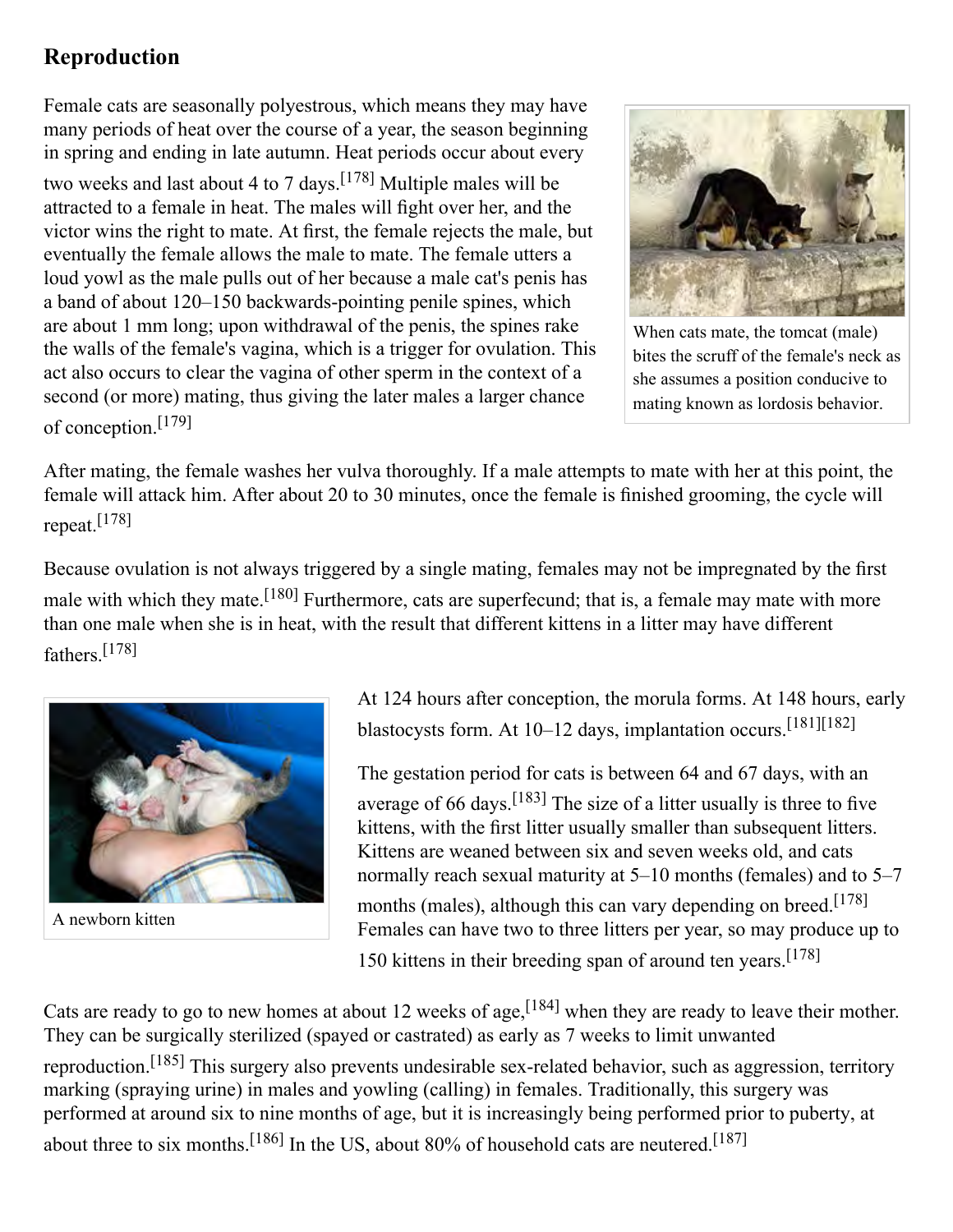### <span id="page-14-0"></span>**Reproduction**

Female cats are seasonally [polyestrous](https://en.wikipedia.org/wiki/Polyestrous), which means they may have many periods of [heat](https://en.wikipedia.org/wiki/Estrus) over the course of a year, the season beginning in spring and ending in late autumn. Heat periods occur about every

two weeks and last about 4 to 7 days.<sup>[\[178\]](#page-27-21)</sup> Multiple males will be attracted to a female in heat. The males will fight over her, and the victor wins the right to mate. At first, the female rejects the male, but eventually the female allows the male to mate. The female utters a loud yowl as the male pulls out of her because a male cat's penis has a band of about 120–150 backwards-pointing [penile spines](https://en.wikipedia.org/wiki/Penile_spines), which are about 1 mm long; upon withdrawal of the penis, the spines rake the walls of the female's [vagina](https://en.wikipedia.org/wiki/Vagina), which is a trigger for [ovulation](https://en.wikipedia.org/wiki/Ovulation). This act also occurs to clear the vagina of other sperm in the context of a second (or more) mating, thus giving the later males a larger chance of conception.[\[179\]](#page-27-22)



When cats mate, the tomcat (male) bites the scruff of the female's neck as she assumes a position conducive to [mating](https://en.wikipedia.org/wiki/Mating) known as [lordosis behavior.](https://en.wikipedia.org/wiki/Lordosis_behavior)

After mating, the female washes her [vulva](https://en.wikipedia.org/wiki/Vulva) thoroughly. If a male attempts to mate with her at this point, the female will attack him. After about 20 to 30 minutes, once the female is finished grooming, the cycle will repeat.[\[178\]](#page-27-21)

Because ovulation is not always triggered by a single mating, females may not be impregnated by the first male with which they mate.<sup>[\[180\]](#page-27-23)</sup> Furthermore, cats are [superfecund;](https://en.wikipedia.org/wiki/Superfecundation) that is, a female may mate with more than one male when she is in heat, with the result that different kittens in a litter may have different fathers<sup>[\[178\]](#page-27-21)</sup>



A newborn [kitten](https://en.wikipedia.org/wiki/Kitten)

At 124 hours after conception, the morula forms. At 148 hours, early blastocysts form. At 10–12 days, implantation occurs.[\[181\]](#page-27-24)[\[182\]](#page-27-25)

The [gestation](https://en.wikipedia.org/wiki/Gestation) period for cats is between 64 and 67 days, with an average of 66 days.<sup>[\[183\]](#page-27-26)</sup> The size of a [litter](https://en.wikipedia.org/wiki/Litter_(animal)) usually is three to five kittens, with the first litter usually smaller than subsequent litters. Kittens are weaned between six and seven weeks old, and cats normally reach sexual maturity at 5–10 months (females) and to 5–7 months (males), although this can vary depending on breed.<sup>[\[178\]](#page-27-21)</sup> Females can have two to three litters per year, so may produce up to 150 kittens in their breeding span of around ten years.[\[178\]](#page-27-21)

Cats are ready to go to new homes at about 12 weeks of age,<sup>[\[184\]](#page-28-0)</sup> when they are ready to leave their mother. They can be surgically [sterilized](https://en.wikipedia.org/wiki/Neutering) (spayed or [castrated\)](https://en.wikipedia.org/wiki/Castration) as early as 7 weeks to limit unwanted reproduction.[\[185\]](#page-28-1) This surgery also prevents undesirable sex-related behavior, such as aggression, territory [marking \(spraying urine\) in males and yowling \(calling\) in females. Traditionally, this surgery was](https://en.wikipedia.org/wiki/Spraying_(animal_behavior)) performed at around six to nine months of age, but it is increasingly being performed prior to [puberty,](https://en.wikipedia.org/wiki/Puberty) at about three to six months.<sup>[\[186\]](#page-28-2)</sup> In the US, about 80% of household cats are neutered.<sup>[\[187\]](#page-28-3)</sup>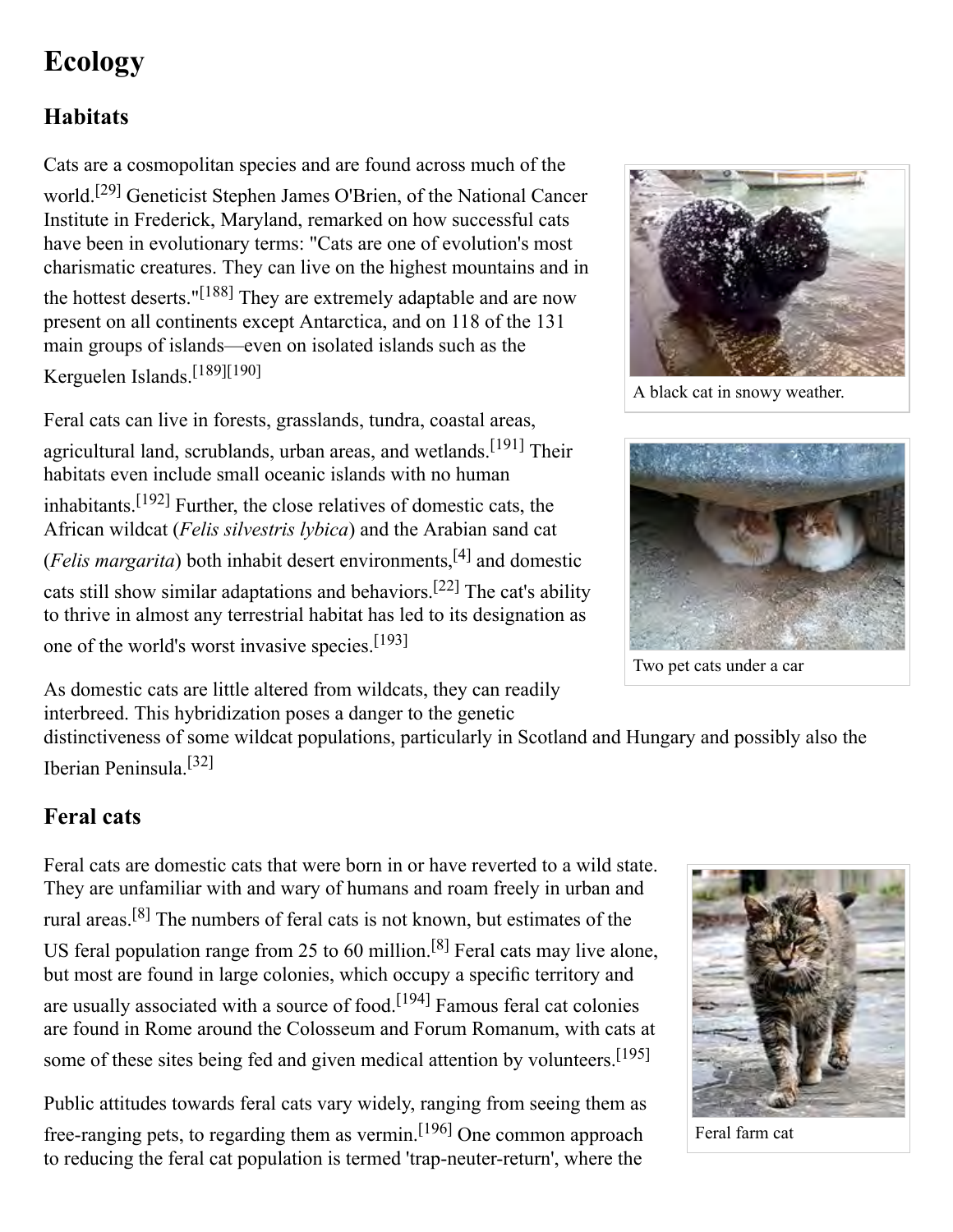# <span id="page-15-0"></span>**Ecology**

## <span id="page-15-1"></span>**Habitats**

Cats are a [cosmopolitan species](https://en.wikipedia.org/wiki/Cosmopolitan_species) and are found across much of the world.<sup>[\[29\]](#page-21-23)</sup> Geneticist Stephen James O'Brien, of the National Cancer [Institute in Frederick, Maryland, remarked on how successful cats](https://en.wikipedia.org/wiki/National_Cancer_Institute) have been in evolutionary terms: "Cats are one of evolution's most charismatic creatures. They can live on the highest mountains and in

the hottest deserts."[\[188\]](#page-28-4) They are extremely adaptable and are now present on all continents except [Antarctica](https://en.wikipedia.org/wiki/Antarctica), and on 118 of the 131 main groups of islands—even on isolated islands such as the [Kerguelen Islands.](https://en.wikipedia.org/wiki/Kerguelen_Islands)[\[189\]](#page-28-5)[\[190\]](#page-28-6)

Feral cats can live in forests, grasslands, tundra, coastal areas, agricultural land, scrublands, urban areas, and wetlands.[\[191\]](#page-28-7) Their habitats even include small oceanic islands with no human inhabitants.[\[192\]](#page-28-8) Further, the close relatives of domestic cats, the [African wildcat](https://en.wikipedia.org/wiki/African_wildcat) (*Felis silvestris lybica*) and the Arabian [sand cat](https://en.wikipedia.org/wiki/Sand_cat) (*Felis margarita*) both inhabit desert environments,[\[4\]](#page-20-3) and domestic cats still show similar adaptations and behaviors.[\[22\]](#page-21-16) The cat's ability to thrive in almost any terrestrial habitat has led to its designation as one of the world's worst [invasive species.](https://en.wikipedia.org/wiki/Invasive_species)[\[193\]](#page-28-9)



A [black cat](https://en.wikipedia.org/wiki/Black_cat) in snowy weather.



Two pet cats under a car

As domestic cats are little altered from wildcats, they can readily interbreed. This [hybridization](https://en.wikipedia.org/wiki/Hybrid_(biology)) poses a danger to the genetic

distinctiveness of some wildcat populations, particularly in [Scotland](https://en.wikipedia.org/wiki/Scotland) and [Hungary](https://en.wikipedia.org/wiki/Hungary) and possibly also the [Iberian Peninsula.](https://en.wikipedia.org/wiki/Iberian_Peninsula)[\[32\]](#page-22-2)

### <span id="page-15-2"></span>**Feral cats**

Feral cats are domestic cats that were born in or have reverted to a wild state. They are unfamiliar with and wary of humans and roam freely in urban and rural areas.[\[8\]](#page-21-2) The numbers of feral cats is not known, but estimates of the US feral population range from 25 to 60 million.<sup>[\[8\]](#page-21-2)</sup> Feral cats may live alone, but most are found in large [colonies,](https://en.wikipedia.org/wiki/Feral_cat_colony) which occupy a specific territory and are usually associated with a source of food.<sup>[\[194\]](#page-28-10)</sup> Famous feral cat colonies are found in Rome around the [Colosseum](https://en.wikipedia.org/wiki/Colosseum) and [Forum Romanum](https://en.wikipedia.org/wiki/Forum_Romanum), with cats at some of these sites being fed and given medical attention by volunteers.<sup>[\[195\]](#page-28-11)</sup>

Public attitudes towards feral cats vary widely, ranging from seeing them as free-ranging pets, to regarding them as vermin.[\[196\]](#page-28-12) One common approach to reducing the feral cat population is termed 'trap-neuter-return', where the



Feral [farm cat](https://en.wikipedia.org/wiki/Farm_cat)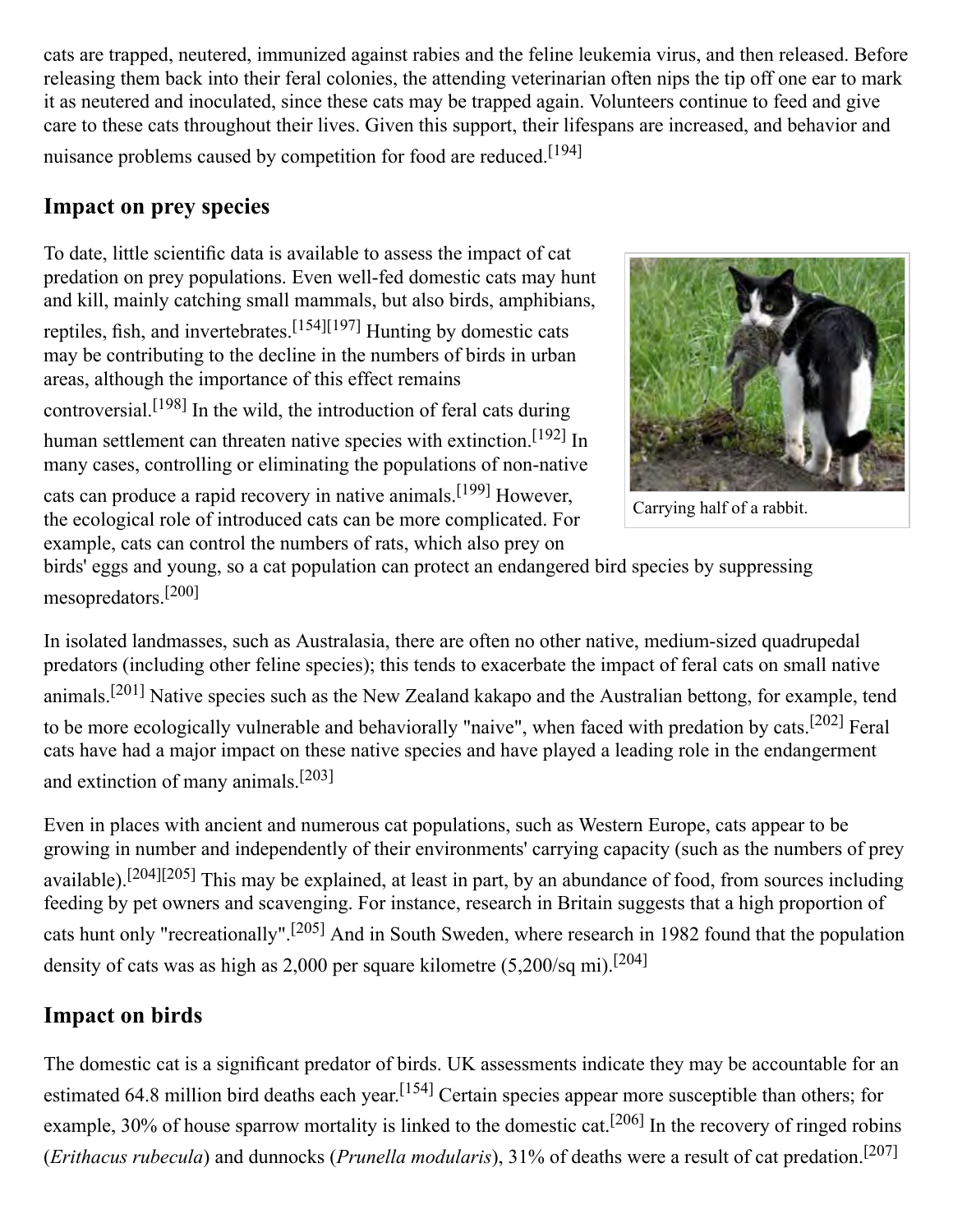cats are trapped, [neutered](https://en.wikipedia.org/wiki/Neutering), [immunized](https://en.wikipedia.org/wiki/Immunization) against rabies and the [feline leukemia virus,](https://en.wikipedia.org/wiki/Feline_leukemia_virus) and then released. Before releasing them back into their feral colonies, the attending veterinarian often nips the tip off one ear to mark it as neutered and inoculated, since these cats may be trapped again. Volunteers continue to feed and give care to these cats throughout their lives. Given this support, their lifespans are increased, and behavior and

nuisance problems caused by competition for food are reduced.<sup>[\[194\]](#page-28-10)</sup>

### <span id="page-16-0"></span>**Impact on prey species**

To date, little scientific data is available to assess the impact of cat predation on prey populations. Even well-fed domestic cats may hunt and kill, mainly catching small mammals, but also birds, amphibians,

reptiles, fish, and invertebrates.[\[154\]](#page-26-23)[\[197\]](#page-28-13) Hunting by domestic cats may be contributing to the decline in the numbers of birds in urban areas, although the importance of this effect remains

Carrying half of a rabbit.

controversial.<sup>[\[198\]](#page-28-14)</sup> In the wild, the introduction of feral cats during human settlement can threaten native species with extinction.<sup>[\[192\]](#page-28-8)</sup> In many cases, controlling or eliminating the populations of non-native

cats can produce a rapid recovery in native animals.[\[199\]](#page-28-15) However, the ecological role of introduced cats can be more complicated. For example, cats can control the numbers of rats, which also prey on

birds' eggs and young, so a cat population can protect an endangered bird species by suppressing [mesopredators](https://en.wikipedia.org/wiki/Mesopredator_release_hypothesis).[\[200\]](#page-28-16)

In isolated landmasses, such as [Australasia,](https://en.wikipedia.org/wiki/Australasia) there are often no other native, medium-sized [quadrupedal](https://en.wikipedia.org/wiki/Quadruped) predators (including other feline species); this tends to exacerbate the impact of feral cats on small native animals.<sup>[\[201\]](#page-28-17)</sup> Native species such as the New Zealand [kakapo](https://en.wikipedia.org/wiki/Kakapo) and the Australian [bettong](https://en.wikipedia.org/wiki/Bettong), for example, tend to be more ecologically vulnerable and behaviorally "naive", when faced with predation by cats.[\[202\]](#page-28-18) Feral cats have had a major impact on these native species and have played a leading role in the endangerment and extinction of many animals.[\[203\]](#page-28-19)

Even in places with ancient and numerous cat populations, such as [Western Europe](https://en.wikipedia.org/wiki/Western_Europe), cats appear to be growing in number and independently of their environments' [carrying capacity](https://en.wikipedia.org/wiki/Carrying_capacity) (such as the numbers of prey available).<sup>[\[204\]](#page-28-20)[\[205\]](#page-28-21)</sup> This may be explained, at least in part, by an abundance of food, from sources including feeding by pet owners and scavenging. For instance, research in [Britain](https://en.wikipedia.org/wiki/Great_Britain) suggests that a high proportion of cats hunt only "recreationally".[\[205\]](#page-28-21) And in [South Sweden](https://en.wikipedia.org/wiki/South_Sweden), where research in 1982 found that the population density of cats was as high as 2,000 per square kilometre  $(5.200/\text{sa mi})$ .<sup>[\[204\]](#page-28-20)</sup>

### <span id="page-16-1"></span>**Impact on birds**

The domestic cat is a significant predator of birds. UK assessments indicate they may be accountable for an estimated 64.8 million bird deaths each year.<sup>[\[154\]](#page-26-23)</sup> Certain species appear more susceptible than others; for example, 30% of [house sparrow](https://en.wikipedia.org/wiki/House_sparrow) mortality is linked to the domestic cat.<sup>[\[206\]](#page-29-0)</sup> In the recovery of ringed robins (*[Erithacus rubecula](https://en.wikipedia.org/wiki/Erithacus_rubecula)*) and dunnocks (*[Prunella modularis](https://en.wikipedia.org/wiki/Prunella_modularis)*), 31% of deaths were a result of cat predation.[\[207\]](#page-29-1)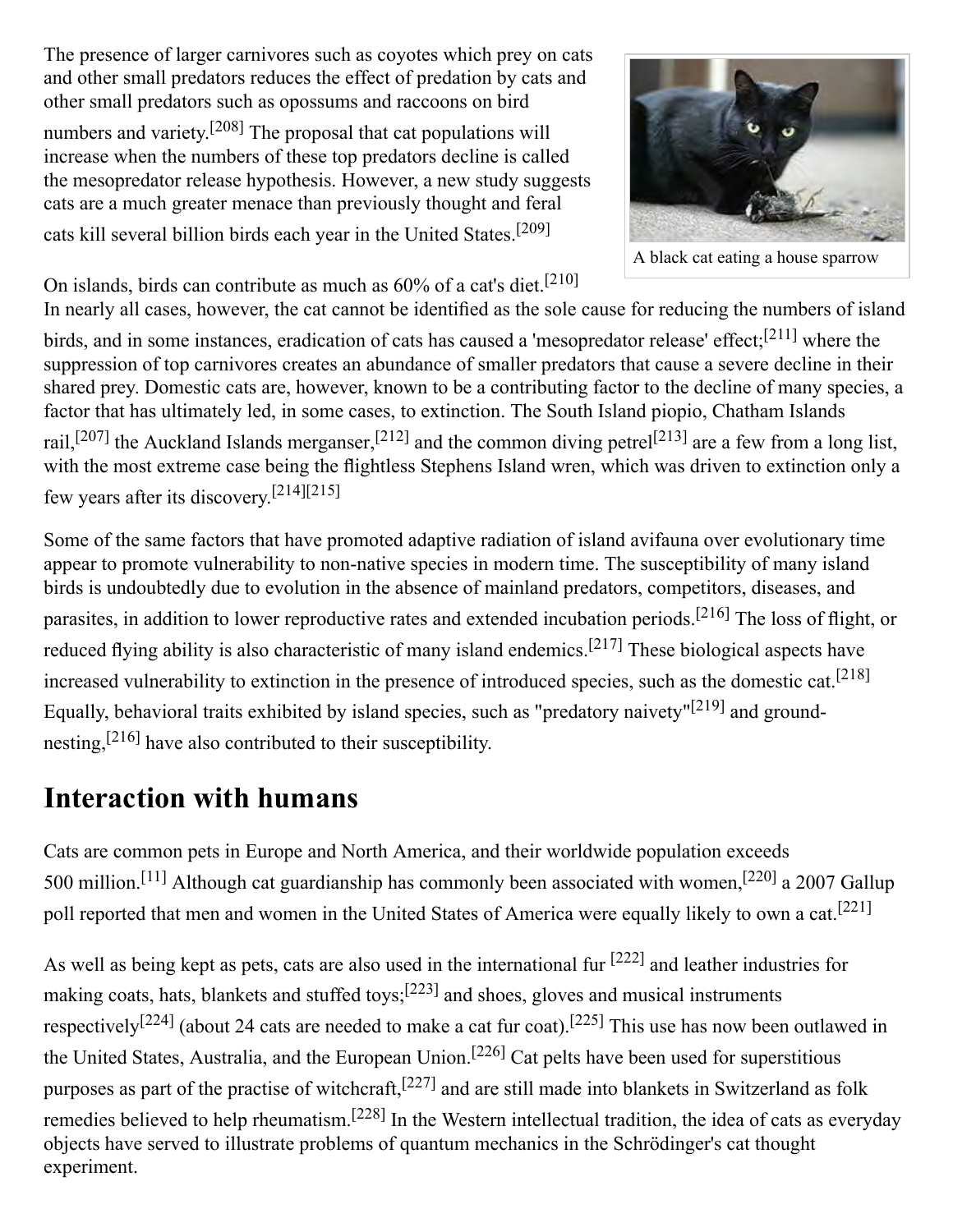The presence of larger carnivores such as [coyotes](https://en.wikipedia.org/wiki/Coyote) which prey on cats and other small predators reduces the effect of predation by cats and other small predators such as [opossums](https://en.wikipedia.org/wiki/Opossum) and [raccoons](https://en.wikipedia.org/wiki/Raccoon) on bird numbers and variety.<sup>[\[208\]](#page-29-2)</sup> The proposal that cat populations will increase when the numbers of these top predators decline is called the [mesopredator release hypothesis](https://en.wikipedia.org/wiki/Mesopredator_release_hypothesis). However, a new study suggests cats are a much greater menace than previously thought and feral cats kill several billion birds each year in the United States.[\[209\]](#page-29-3)



A black cat eating a [house sparrow](https://en.wikipedia.org/wiki/House_sparrow)

On islands, birds can contribute as much as  $60\%$  of a cat's diet.<sup>[\[210\]](#page-29-4)</sup>

In nearly all cases, however, the cat cannot be identified as the sole cause for reducing the numbers of island birds, and in some instances, eradication of cats has caused a ['mesopredator](https://en.wikipedia.org/wiki/Mesopredator) release' effect;[\[211\]](#page-29-5) where the suppression of top carnivores creates an abundance of smaller predators that cause a severe decline in their shared prey. Domestic cats are, however, known to be a contributing factor to the decline of many species, a [factor that has ultimately led, in some cases, to extinction.](https://en.wikipedia.org/wiki/Rallus_modestus) [The South Island piopio](https://en.wikipedia.org/wiki/Turnagra_capensis)[, Chatham Islands](https://en.wikipedia.org/wiki/Rallus_modestus) rail,<sup>[\[207\]](#page-29-1)</sup> the [Auckland Islands merganser](https://en.wikipedia.org/wiki/Mergus_australis),<sup>[\[212\]](#page-29-6)</sup> and the [common diving petrel](https://en.wikipedia.org/wiki/Pelecanoides_urinatrix)<sup>[\[213\]](#page-29-7)</sup> are a few from a long list, with the most extreme case being the flightless [Stephens Island wren,](https://en.wikipedia.org/wiki/Stephens_Island_wren) which was driven to extinction only a few years after its discovery.[\[214\]](#page-29-8)[\[215\]](#page-29-9)

Some of the same factors that have promoted [adaptive radiation](https://en.wikipedia.org/wiki/Adaptive_radiation) of island [avifauna](https://en.wikipedia.org/wiki/Bird) over evolutionary time appear to promote vulnerability to non-native species in modern time. The susceptibility of many island birds is undoubtedly due to evolution in the absence of mainland predators, competitors, diseases, and parasites, in addition to lower reproductive rates and extended incubation periods.[\[216\]](#page-29-10) The loss of flight, or reduced flying ability is also characteristic of many island endemics.<sup>[\[217\]](#page-29-11)</sup> These biological aspects have increased vulnerability to extinction in the presence of [introduced species](https://en.wikipedia.org/wiki/Introduced_species), such as the domestic cat.[\[218\]](#page-29-12) Equally, behavioral traits exhibited by island species, such as "predatory naivety"[\[219\]](#page-29-13) and groundnesting,[\[216\]](#page-29-10) have also contributed to their susceptibility.

## <span id="page-17-0"></span>**Interaction with humans**

Cats are common [pets](https://en.wikipedia.org/wiki/Pet) in Europe and North America, and their worldwide population exceeds 500 million.<sup>[\[11\]](#page-21-5)</sup> Although cat guardianship has commonly been associated with women,<sup>[\[220\]](#page-29-14)</sup> a 2007 Gallup [poll reported that men and women in the United States of America were equally likely to own a cat.](https://en.wikipedia.org/wiki/Gallup_poll)<sup>[\[221\]](#page-29-15)</sup>

As well as being kept as pets, cats are also used in the international [fur](https://en.wikipedia.org/wiki/Fur_trade) [\[222\]](#page-29-16) and [leather](https://en.wikipedia.org/wiki/Leather) industries for making coats, hats, blankets and stuffed toys;  $[223]$  and shoes, gloves and musical instruments respectively[\[224\]](#page-29-18) (about 24 cats are needed to make a cat fur coat).[\[225\]](#page-29-19) This use has now been outlawed in the United States, Australia, and the European Union.[\[226\]](#page-29-20) Cat pelts have been used for superstitious purposes as part of the practise of [witchcraft,](https://en.wikipedia.org/wiki/Witchcraft)<sup>[\[227\]](#page-29-21)</sup> and are still made into blankets in [Switzerland](https://en.wikipedia.org/wiki/Switzerland) as folk remedies believed to help [rheumatism](https://en.wikipedia.org/wiki/Rheumatism).[\[228\]](#page-29-22) [In the Western intellectual tradition, the idea of cats as every](https://en.wikipedia.org/wiki/Traditional_medicine)day objects have served to illustrate problems of [quantum mechanics](https://en.wikipedia.org/wiki/Quantum_mechanics) in the [Schrödinger's cat](https://en.wikipedia.org/wiki/Schr%C3%B6dinger%27s_cat) thought experiment.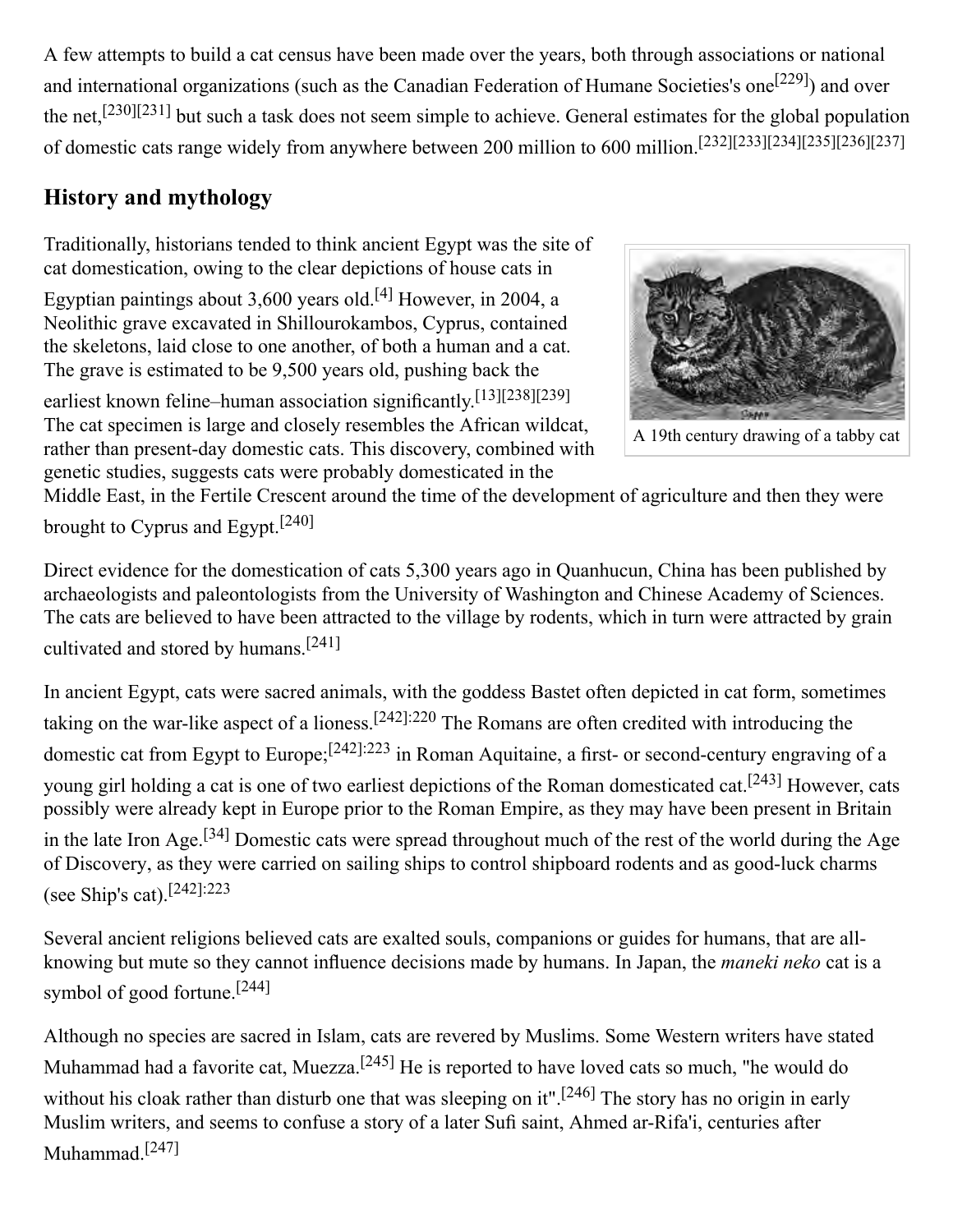A few attempts to build a cat census have been made over the years, both through associations or national and international organizations (such as the [Canadian Federation of Humane Societies](https://en.wikipedia.org/wiki/Canadian_Federation_of_Humane_Societies)'s one<sup>[\[229\]](#page-29-23)</sup>) and over the net,<sup>[\[230\]](#page-29-24)[\[231\]](#page-29-25)</sup> but such a task does not seem simple to achieve. General estimates for the global population of domestic cats range widely from anywhere between 200 million to 600 million.[\[232\]](#page-29-26)[\[233\]](#page-29-27)[\[234\]](#page-30-1)[\[235\]](#page-30-2)[\[236\]](#page-30-3)[\[237\]](#page-30-4)

### <span id="page-18-0"></span>**History and mythology**

Traditionally, historians tended to think [ancient Egypt](https://en.wikipedia.org/wiki/Ancient_Egypt) was the site of cat domestication, owing to the clear depictions of house cats in

Egyptian paintings about  $3,600$  years old.<sup>[\[4\]](#page-20-3)</sup> However, in 2004, a Neolithic grave excavated in [Shillourokambos](https://en.wikipedia.org/wiki/Shillourokambos), Cyprus, contained the skeletons, laid close to one another, of both a human and a cat. The grave is estimated to be 9,500 years old, pushing back the

earliest known feline–human association significantly.[\[13\]](#page-21-7)[\[238\]](#page-30-5)[\[239\]](#page-30-6) The cat specimen is large and closely resembles the African wildcat, rather than present-day domestic cats. This discovery, combined with genetic studies, suggests cats were probably domesticated in the



A 19th century drawing of a tabby cat

Middle East, in the [Fertile Crescent](https://en.wikipedia.org/wiki/Fertile_Crescent) around the time of the [development of agriculture](https://en.wikipedia.org/wiki/History_of_agriculture) and then they were brought to Cyprus and Egypt.[\[240\]](#page-30-7)

Direct evidence for the domestication of cats 5,300 years ago in Quanhucun, China has been published by archaeologists and paleontologists from the [University of Washington](https://en.wikipedia.org/wiki/University_of_Washington) and [Chinese Academy of Sciences](https://en.wikipedia.org/wiki/Chinese_Academy_of_Sciences). The cats are believed to have been attracted to the village by rodents, which in turn were attracted by grain cultivated and stored by humans.[\[241\]](#page-30-8)

In ancient Egypt, cats were [sacred animals](https://en.wikipedia.org/wiki/Animal_worship), with the goddess [Bastet](https://en.wikipedia.org/wiki/Bastet) often depicted in cat form, sometimes taking on the war-like aspect of a lioness.[\[242\]](#page-30-9):220 The [Romans](https://en.wikipedia.org/wiki/Ancient_Rome) are often credited with introducing the domestic cat from Egypt to Europe;[\[242\]](#page-30-9):223 in [Roman Aquitaine](https://en.wikipedia.org/wiki/Gallia_Aquitania), a first- or second-century [engraving](https://en.wikipedia.org/wiki/Engraving) of a young girl holding a cat is one of two earliest depictions of the Roman domesticated cat.<sup>[\[243\]](#page-30-10)</sup> However, cats possibly were already kept in Europe prior to the [Roman Empire,](https://en.wikipedia.org/wiki/Roman_Empire) as they may have been present in Britain in the late [Iron Age](https://en.wikipedia.org/wiki/Iron_Age).[\[34\]](#page-22-4) Domestic cats were spread throughout much of the rest of the world during the Age [of Discovery, as they were carried on sailing ships to control shipboard rodents and as good-luck charms](https://en.wikipedia.org/wiki/Age_of_Discovery) (see [Ship's cat\)](https://en.wikipedia.org/wiki/Ship%27s_cat).[\[242\]](#page-30-9):223

Several ancient religions believed cats are exalted souls, companions or guides for humans, that are allknowing but mute so they cannot influence decisions made by humans. In Japan, the *[maneki neko](https://en.wikipedia.org/wiki/Maneki_neko)* cat is a symbol of good fortune.<sup>[\[244\]](#page-30-11)</sup>

Although no species are sacred in Islam, [cats are revered by Muslims](https://en.wikipedia.org/wiki/Cats_and_Islam). Some Western writers have stated [Muhammad](https://en.wikipedia.org/wiki/Muhammad) had a favorite cat, [Muezza.](https://en.wikipedia.org/wiki/Muezza)<sup>[\[245\]](#page-30-12)</sup> He is reported to have loved cats so much, "he would do without his cloak rather than disturb one that was sleeping on it".<sup>[\[246\]](#page-30-13)</sup> The story has no origin in early Muslim writers, and seems to confuse a story of a later [Sufi](https://en.wikipedia.org/wiki/Sufi) saint, [Ahmed ar-Rifa'i](https://en.wikipedia.org/wiki/Ahmed_ar-Rifa%27i), centuries after Muhammad.[\[247\]](#page-30-14)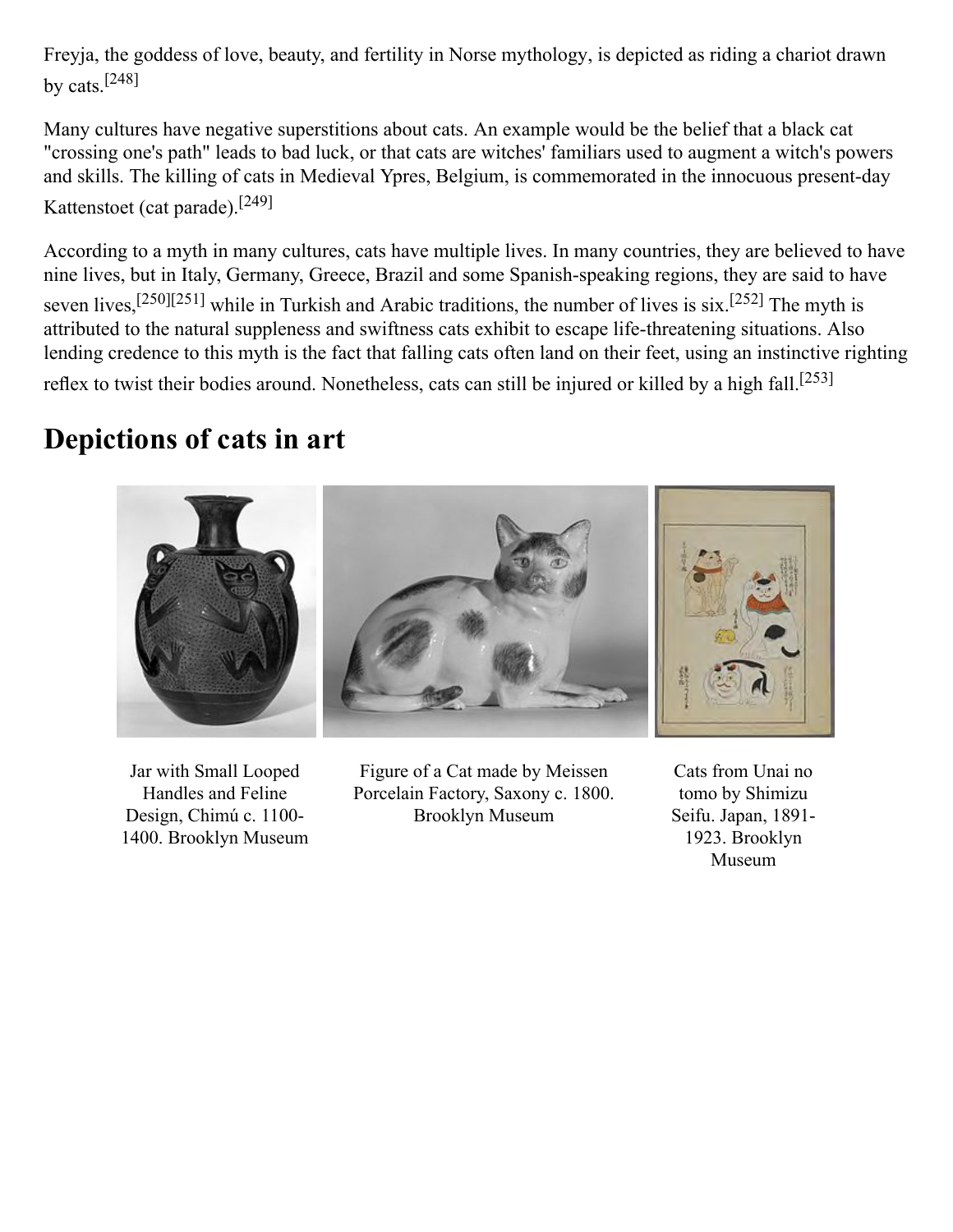[Freyja,](https://en.wikipedia.org/wiki/Freyja) the goddess of love, beauty, and fertility in [Norse mythology,](https://en.wikipedia.org/wiki/Norse_mythology) is depicted as riding a chariot drawn by cats.[\[248\]](#page-30-15)

Many cultures have negative [superstitions](https://en.wikipedia.org/wiki/Superstition) about cats. An example would be the belief that a [black cat](https://en.wikipedia.org/wiki/Black_cat) "crossing one's path" leads to bad luck, or that cats are witches' [familiars](https://en.wikipedia.org/wiki/Familiar_spirit) used to augment a witch's powers and skills. The killing of cats in Medieval [Ypres](https://en.wikipedia.org/wiki/Ypres), [Belgium](https://en.wikipedia.org/wiki/Belgium), is commemorated in the innocuous present-day [Kattenstoet](https://en.wikipedia.org/wiki/Kattenstoet) (cat parade).[\[249\]](#page-30-16)

According to a myth in many cultures, cats have multiple lives. In many countries, they are believed to have nine lives, but in Italy, Germany, Greece, Brazil and some Spanish-speaking regions, they are said to have seven lives,<sup>[\[250\]](#page-30-17)[\[251\]](#page-30-18)</sup> while in Turkish and Arabic traditions, the number of lives is six.<sup>[\[252\]](#page-30-19)</sup> The myth is attributed to the natural suppleness and swiftness cats exhibit to escape life-threatening situations. Also [lending credence to this myth is the fact that falling cats often land on their feet, using an instinctive righting](https://en.wikipedia.org/wiki/Cat_righting_reflex) reflex to twist their bodies around. Nonetheless, cats can still be injured or killed by a high fall.[\[253\]](#page-30-20)

## <span id="page-19-0"></span>**Depictions of cats in art**



Jar with Small Looped Handles and Feline Design, Chimú c. 1100- 1400. [Brooklyn Museum](https://en.wikipedia.org/wiki/Brooklyn_Museum)

Figure of a Cat made by Meissen Porcelain Factory, Saxony c. 1800. [Brooklyn Museum](https://en.wikipedia.org/wiki/Brooklyn_Museum)

Cats from Unai no tomo by Shimizu Seifu. Japan, 1891- 19[23. Brooklyn](https://en.wikipedia.org/wiki/Brooklyn_Museum) Museum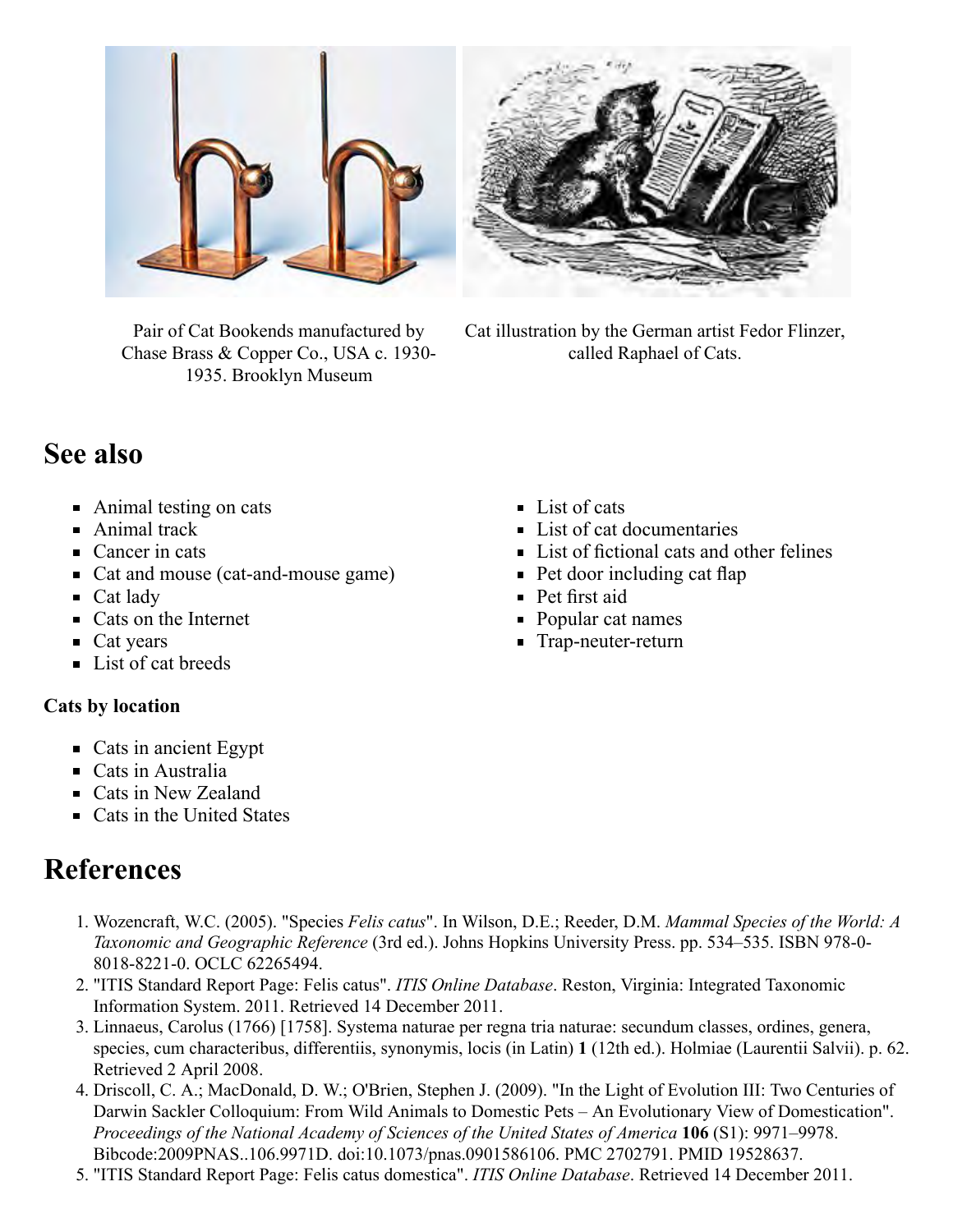

Pair of Cat Bookends manufactured by Chase Brass & Copper Co., USA c. 1930- 1935. [Brooklyn Museum](https://en.wikipedia.org/wiki/Brooklyn_Museum)



Cat illustration by the German artist [Fedor Flinzer](https://en.wikipedia.org/wiki/Fedor_Flinzer), called [Raphael of Cats.](https://en.wikipedia.org/wiki/Raphael_of_Cats_(disambiguation))

## <span id="page-20-5"></span>**See also**

- [Animal testing on cats](https://en.wikipedia.org/wiki/Animal_testing_on_cats)
- [Animal track](https://en.wikipedia.org/wiki/Animal_track)
- [Cancer in cats](https://en.wikipedia.org/wiki/Cancer_in_cats)
- [Cat and mouse](https://en.wikipedia.org/wiki/Cat_and_mouse) (cat-and-mouse game)
- $\blacksquare$  [Cat lady](https://en.wikipedia.org/wiki/Cat_lady)
- [Cats on the Internet](https://en.wikipedia.org/wiki/Cats_on_the_Internet)
- $\blacksquare$  [Cat years](https://en.wikipedia.org/wiki/Cat_years)
- **[List of cat breeds](https://en.wikipedia.org/wiki/List_of_cat_breeds)**

#### **Cats by location**

- [Cats in ancient Egypt](https://en.wikipedia.org/wiki/Cats_in_ancient_Egypt)
- [Cats in Australia](https://en.wikipedia.org/wiki/Cats_in_Australia)
- [Cats in New Zealand](https://en.wikipedia.org/wiki/Cats_in_New_Zealand)
- [Cats in the United States](https://en.wikipedia.org/wiki/Cats_in_the_United_States)

## <span id="page-20-6"></span>**References**

- <span id="page-20-0"></span>1. Wozencraft, W.C. (2005). "Species *[Felis catus](http://www.bucknell.edu/msw3/browse.asp?id=14000031)*". In Wilson, D.E.; Reeder, D.M. *Mammal Species of the World: A Taxonomic and Geographic Reference* [\(3rd ed.\). Johns Hopkins University Press. pp.](http://www.google.com/books?id=JgAMbNSt8ikC&pg=PA534%E2%80%93535) 534–535. [ISBN](https://en.wikipedia.org/wiki/International_Standard_Book_Number) 978-0- 8018-8221-0. [OCLC](https://en.wikipedia.org/wiki/OCLC) [62265494.](https://www.worldcat.org/oclc/62265494)
- <span id="page-20-1"></span>2. ["ITIS Standard Report Page: Felis catus".](http://www.itis.gov/servlet/SingleRpt/SingleRpt?search_topic=TSN&search_value=183798) *ITIS Online Database*. Reston, Virginia: Integrated Taxonomic [Information System. 2011. Retrieved 14 December 2011.](https://en.wikipedia.org/wiki/Integrated_Taxonomic_Information_System)
- <span id="page-20-2"></span>3. [Linnaeus, Carolus](https://en.wikipedia.org/wiki/Carl_Linnaeus) [\(1766\) \[1758\]. Systema naturae per regna tria naturae: secundum classes, ordines, genera,](http://gallica.bnf.fr/ark:/12148/bpt6k99004c/f62.chemindefer) species, cum characteribus, differentiis, synonymis, locis (in Latin) **1** (12th ed.). Holmiae (Laurentii Salvii). p. 62. Retrieved 2 April 2008.
- <span id="page-20-3"></span>4. [Driscoll, C. A.; MacDonald, D. W.; O'Brien, Stephen J. \(2009\). "In the Light of Evolution III: Two Centuries of](https://www.ncbi.nlm.nih.gov/pmc/articles/PMC2702791) Darwin Sackler Colloquium: From Wild Animals to Domestic Pets – An Evolutionary View of Domestication". *Proceedings of the National Academy of Sciences of the United States of America* **106** (S1): 9971–9978. [Bibcode](https://en.wikipedia.org/wiki/Bibcode):[2009PNAS..106.9971D](http://adsabs.harvard.edu/abs/2009PNAS..106.9971D). [doi:](https://en.wikipedia.org/wiki/Digital_object_identifier)[10.1073/pnas.0901586106.](https://dx.doi.org/10.1073%2Fpnas.0901586106) [PMC](https://en.wikipedia.org/wiki/PubMed_Central) [2702791](https://www.ncbi.nlm.nih.gov/pmc/articles/PMC2702791). [PMID](https://en.wikipedia.org/wiki/PubMed_Identifier) [19528637.](https://www.ncbi.nlm.nih.gov/pubmed/19528637)
- <span id="page-20-4"></span>5. ["ITIS Standard Report Page: Felis catus domestica"](http://www.itis.gov/servlet/SingleRpt/SingleRpt?search_topic=TSN&search_value=727487). *ITIS Online Database*. Retrieved 14 December 2011.
- [List of cats](https://en.wikipedia.org/wiki/List_of_cats)
- **[List of cat documentaries](https://en.wikipedia.org/wiki/List_of_cat_documentaries)**
- [List of fictional cats and other felines](https://en.wikipedia.org/wiki/List_of_fictional_cats_and_other_felines)
- $\blacksquare$  [Pet door](https://en.wikipedia.org/wiki/Pet_door) including cat flap
- [Pet first aid](https://en.wikipedia.org/wiki/Pet_first_aid)
- [Popular cat names](https://en.wikipedia.org/wiki/Popular_cat_names)
- [Trap-neuter-return](https://en.wikipedia.org/wiki/Trap-neuter-return)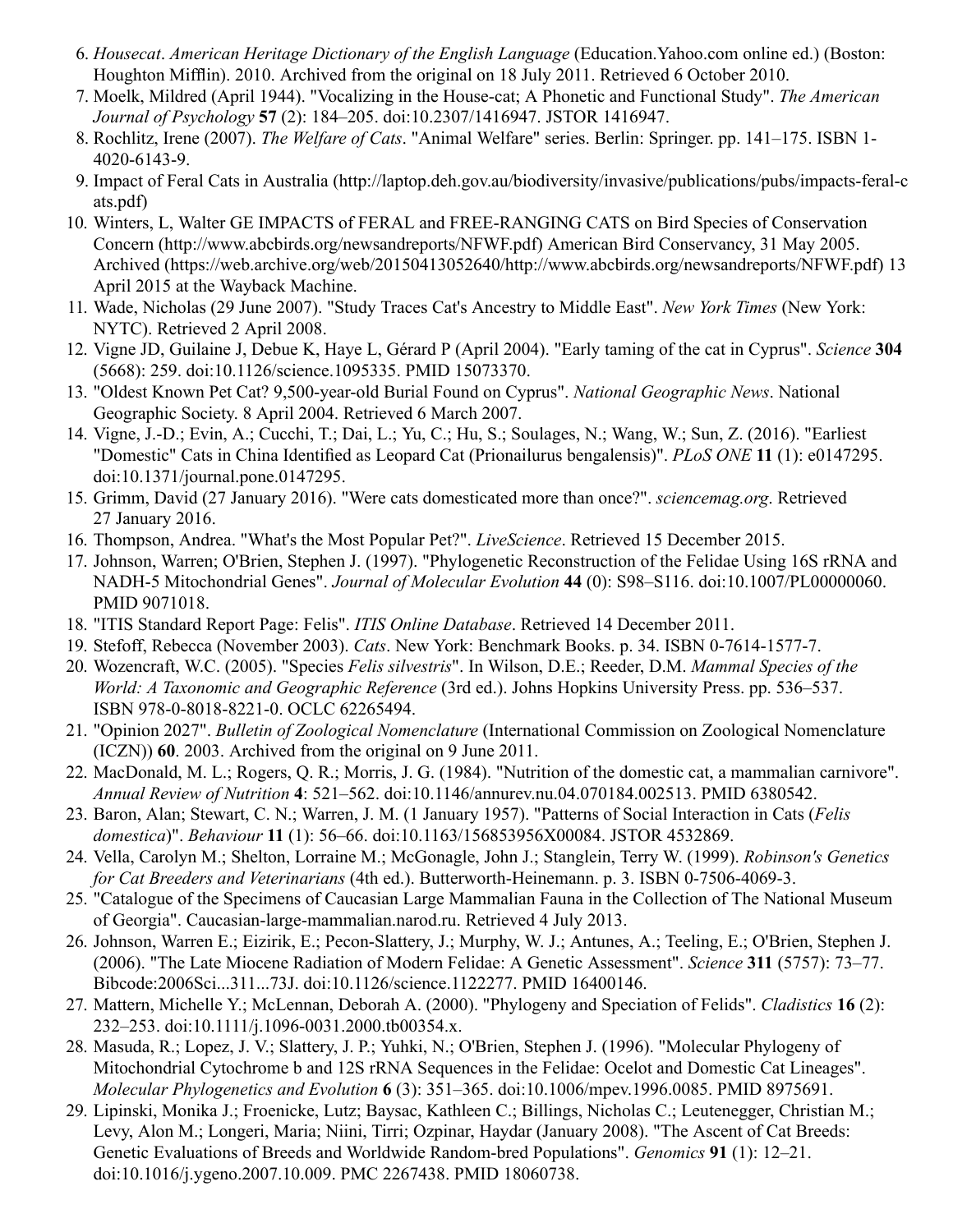- <span id="page-21-0"></span>6. *[Housecat](http://web.archive.org/web/20110718134211/http://education.yahoo.com/reference/dictionary/entry/housecat)*. *American Heritage Dictionary of the English Language* (Education.Yahoo.com online ed.) (Boston: Houghton Mifflin). 2010. Archived from [the original](http://education.yahoo.com/reference/dictionary/entry/housecat) on 18 July 2011. Retrieved 6 October 2010.
- <span id="page-21-1"></span>7. Moelk, Mildred (April 1944). "Vocalizing in the House-cat; A Phonetic and Functional Study". *The American Journal of Psychology* **57** (2): 184–205. [doi:](https://en.wikipedia.org/wiki/Digital_object_identifier)[10.2307/1416947](https://dx.doi.org/10.2307%2F1416947). [JSTOR](https://en.wikipedia.org/wiki/JSTOR) [1416947.](https://www.jstor.org/stable/1416947)
- <span id="page-21-2"></span>8. Rochlitz, Irene (2007). *The Welfare of Cats*[. "Animal Welfare" series. Berlin: Springer. pp.](https://en.wikipedia.org/wiki/Special:BookSources/1-4020-6143-9) 141–175. [ISBN](https://en.wikipedia.org/wiki/International_Standard_Book_Number) 1- 4020-6143-9.
- <span id="page-21-3"></span>9. [Impact of Feral Cats in Australia \(http://laptop.deh.gov.au/biodiversity/invasive/publications/pubs/impacts-feral-c](http://laptop.deh.gov.au/biodiversity/invasive/publications/pubs/impacts-feral-cats.pdf) ats.pdf)
- <span id="page-21-4"></span>10. [Winters, L, Walter GE IMPACTS of FERAL and FREE-RANGING CATS on Bird Species of Conservation](http://www.abcbirds.org/newsandreports/NFWF.pdf) Concern (http://www.abcbirds.org/newsandreports/NFWF.pdf) American Bird Conservancy, 31 May 2005. [Archived \(https://web.archive.org/web/20150413052640/http://www.abcbirds.org/newsandreports/NFWF.pdf\)](https://web.archive.org/web/20150413052640/http://www.abcbirds.org/newsandreports/NFWF.pdf) 13 April 2015 at the [Wayback Machine.](https://en.wikipedia.org/wiki/Wayback_Machine)
- <span id="page-21-5"></span>11. Wade, Nicholas (29 June 2007). ["Study Traces Cat's Ancestry to Middle East"](http://www.nytimes.com/2007/06/29/science/29cat.html). *New York Times* (New York: [NYTC](https://en.wikipedia.org/wiki/New_York_Times_Company)). Retrieved 2 April 2008.
- <span id="page-21-6"></span>12. Vigne JD, Guilaine J, Debue K, Haye L, Gérard P (April 2004). "Early taming of the cat in Cyprus". *Science* **304** (5668): 259. [doi](https://en.wikipedia.org/wiki/Digital_object_identifier)[:10.1126/science.1095335.](https://dx.doi.org/10.1126%2Fscience.1095335) [PMID](https://en.wikipedia.org/wiki/PubMed_Identifier) [15073370](https://www.ncbi.nlm.nih.gov/pubmed/15073370).
- <span id="page-21-7"></span>13. ["Oldest Known Pet Cat? 9,500-year-old Burial Found on Cyprus".](http://news.nationalgeographic.com/news/2004/04/0408_040408_oldestpetcat.html) *National Geographic News*. National Geographic Society. 8 April 2004. Retrieved 6 March 2007.
- <span id="page-21-8"></span>14. [Vigne, J.-D.; Evin, A.; Cucchi, T.; Dai, L.; Yu, C.; Hu, S.; Soulages, N.; Wang, W.; Sun, Z. \(2016\). "Earliest](http://dx.doi.org/10.1371/journal.pone.0147295) "Domestic" Cats in China Identified as Leopard Cat (Prionailurus bengalensis)". *PLoS ONE* **11** (1): e0147295. [doi](https://en.wikipedia.org/wiki/Digital_object_identifier):[10.1371/journal.pone.0147295.](https://dx.doi.org/10.1371%2Fjournal.pone.0147295)
- <span id="page-21-9"></span>15. Grimm, David (27 January 2016). ["Were cats domesticated more than once?"](http://www.sciencemag.org/news/2016/01/were-cats-domesticated-more-once). *sciencemag.org*. Retrieved 27 January 2016.
- <span id="page-21-10"></span>16. Thompson, Andrea. ["What's the Most Popular Pet?".](http://www.livescience.com/32415-whats-the-most-popular-pet.html) *LiveScience*. Retrieved 15 December 2015.
- <span id="page-21-11"></span>17. Johnson, Warren; O'Brien, Stephen J. (1997). "Phylogenetic Reconstruction of the Felidae Using 16S rRNA and NADH-5 Mitochondrial Genes". *Journal of Molecular Evolution* **44** (0): S98–S116. [doi:](https://en.wikipedia.org/wiki/Digital_object_identifier)[10.1007/PL00000060.](https://dx.doi.org/10.1007%2FPL00000060) [PMID](https://en.wikipedia.org/wiki/PubMed_Identifier) [9071018.](https://www.ncbi.nlm.nih.gov/pubmed/9071018)
- <span id="page-21-12"></span>18. ["ITIS Standard Report Page: Felis"](http://www.itis.gov/servlet/SingleRpt/SingleRpt?search_topic=TSN&search_value=180586). *ITIS Online Database*. Retrieved 14 December 2011.
- <span id="page-21-13"></span>19. Stefoff, Rebecca (November 2003). *Cats*. New York: Benchmark Books. p. 34. [ISBN](https://en.wikipedia.org/wiki/International_Standard_Book_Number) [0-7614-1577-7](https://en.wikipedia.org/wiki/Special:BookSources/0-7614-1577-7).
- <span id="page-21-14"></span>20. Wozencraft, W.C. (2005). "Species *[Felis silvestris](http://www.bucknell.edu/msw3/browse.asp?id=14000057)*". In Wilson, D.E.; Reeder, D.M. *Mammal Species of the [World: A Taxonomic and Geographic Reference](http://www.google.com/books?id=JgAMbNSt8ikC&pg=PA536%E2%80%93537)* (3rd ed.). Johns Hopkins University Press. pp. 536–537. [ISBN](https://en.wikipedia.org/wiki/International_Standard_Book_Number) [978-0-8018-8221-0](https://en.wikipedia.org/wiki/Special:BookSources/978-0-8018-8221-0). [OCLC](https://en.wikipedia.org/wiki/OCLC) [62265494.](https://www.worldcat.org/oclc/62265494)
- <span id="page-21-15"></span>21. ["Opinion 2027".](https://web.archive.org/web/20110609014212/http://www.nhm.ac.uk/hosted_sites/iczn/BZNMar2003opinions.htm) *Bulletin of Zoological Nomenclature* [\(International Commission on Zoological Nomenclature](https://en.wikipedia.org/wiki/International_Commission_on_Zoological_Nomenclature) (ICZN)) **60**. 2003. Archived from [the original](http://www.nhm.ac.uk/hosted_sites/iczn/BZNMar2003opinions.htm) on 9 June 2011.
- <span id="page-21-16"></span>22. MacDonald, M. L.; Rogers, Q. R.; Morris, J. G. (1984). "Nutrition of the domestic cat, a mammalian carnivore". *Annual Review of Nutrition* **4**: 521–562. [doi](https://en.wikipedia.org/wiki/Digital_object_identifier):[10.1146/annurev.nu.04.070184.002513.](https://dx.doi.org/10.1146%2Fannurev.nu.04.070184.002513) [PMID](https://en.wikipedia.org/wiki/PubMed_Identifier) [6380542.](https://www.ncbi.nlm.nih.gov/pubmed/6380542)
- <span id="page-21-17"></span>23. Baron, Alan; Stewart, C. N.; Warren, J. M. (1 January 1957). "Patterns of Social Interaction in Cats (*Felis domestica*)". *Behaviour* **11** (1): 56–66. [doi](https://en.wikipedia.org/wiki/Digital_object_identifier)[:10.1163/156853956X00084](https://dx.doi.org/10.1163%2F156853956X00084). [JSTOR](https://en.wikipedia.org/wiki/JSTOR) [4532869.](https://www.jstor.org/stable/4532869)
- <span id="page-21-18"></span>24. Vella, Carolyn M.; Shelton, Lorraine M.; McGonagle, John J.; Stanglein, Terry W. (1999). *Robinson's Genetics for Cat Breeders and Veterinarians* (4th ed.). Butterworth-Heinemann. p. 3. [ISBN](https://en.wikipedia.org/wiki/International_Standard_Book_Number) [0-7506-4069-3.](https://en.wikipedia.org/wiki/Special:BookSources/0-7506-4069-3)
- <span id="page-21-19"></span>25. ["Catalogue of the Specimens of Caucasian Large Mammalian Fauna in the Collection of The National Museum](http://caucasian-large-mammalian.narod.ru/) of Georgia". Caucasian-large-mammalian.narod.ru. Retrieved 4 July 2013.
- <span id="page-21-20"></span>26. Johnson, Warren E.; Eizirik, E.; Pecon-Slattery, J.; Murphy, W. J.; Antunes, A.; Teeling, E.; O'Brien, Stephen J. (2006). "The Late Miocene Radiation of Modern Felidae: A Genetic Assessment". *Science* **311** (5757): 73–77. [Bibcode](https://en.wikipedia.org/wiki/Bibcode):[2006Sci...311...73J](http://adsabs.harvard.edu/abs/2006Sci...311...73J). [doi](https://en.wikipedia.org/wiki/Digital_object_identifier):[10.1126/science.1122277.](https://dx.doi.org/10.1126%2Fscience.1122277) [PMID](https://en.wikipedia.org/wiki/PubMed_Identifier) [16400146](https://www.ncbi.nlm.nih.gov/pubmed/16400146).
- <span id="page-21-21"></span>27. Mattern, Michelle Y.; McLennan, Deborah A. (2000). "Phylogeny and Speciation of Felids". *Cladistics* **16** (2): 232–253. [doi:](https://en.wikipedia.org/wiki/Digital_object_identifier)[10.1111/j.1096-0031.2000.tb00354.x](https://dx.doi.org/10.1111%2Fj.1096-0031.2000.tb00354.x).
- <span id="page-21-22"></span>28. Masuda, R.; Lopez, J. V.; Slattery, J. P.; Yuhki, N.; O'Brien, Stephen J. (1996). "Molecular Phylogeny of Mitochondrial Cytochrome b and 12S rRNA Sequences in the Felidae: Ocelot and Domestic Cat Lineages". *Molecular Phylogenetics and Evolution* **6** (3): 351–365. [doi:](https://en.wikipedia.org/wiki/Digital_object_identifier)[10.1006/mpev.1996.0085.](https://dx.doi.org/10.1006%2Fmpev.1996.0085) [PMID](https://en.wikipedia.org/wiki/PubMed_Identifier) [8975691.](https://www.ncbi.nlm.nih.gov/pubmed/8975691)
- <span id="page-21-23"></span>29. Lipinski, Monika J.; Froenicke, Lutz; Baysac, Kathleen C.; Billings, Nicholas C.; Leutenegger, Christian M.; [Levy, Alon M.; Longeri, Maria; Niini, Tirri; Ozpinar, Haydar \(January 2008\). "The Ascent of Cat Breeds:](https://www.ncbi.nlm.nih.gov/pmc/articles/PMC2267438) Genetic Evaluations of Breeds and Worldwide Random-bred Populations". *Genomics* **91** (1): 12–21. [doi](https://en.wikipedia.org/wiki/Digital_object_identifier):[10.1016/j.ygeno.2007.10.009](https://dx.doi.org/10.1016%2Fj.ygeno.2007.10.009). [PMC](https://en.wikipedia.org/wiki/PubMed_Central) [2267438](https://www.ncbi.nlm.nih.gov/pmc/articles/PMC2267438). [PMID](https://en.wikipedia.org/wiki/PubMed_Identifier) [18060738.](https://www.ncbi.nlm.nih.gov/pubmed/18060738)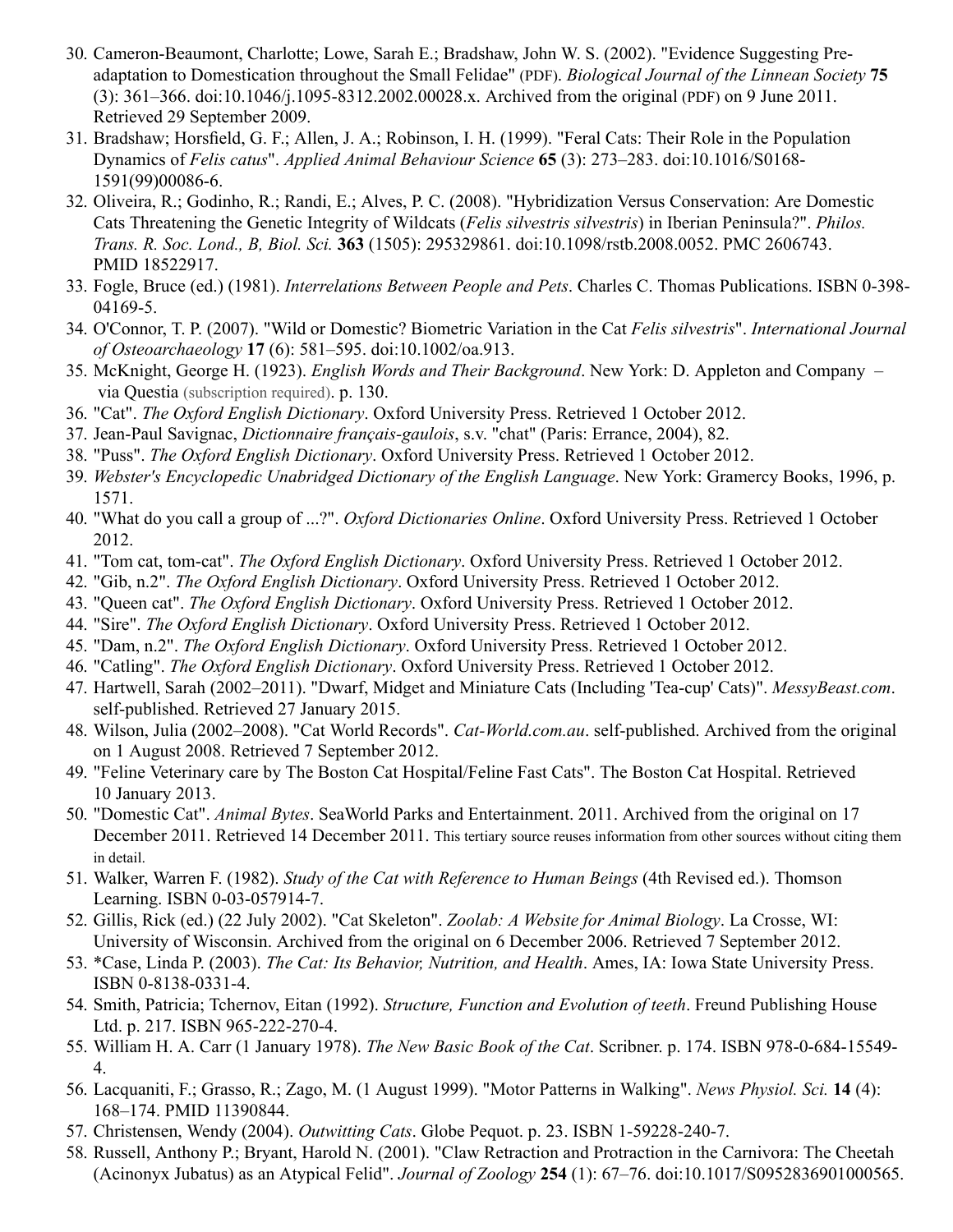- <span id="page-22-0"></span>30. [Cameron-Beaumont, Charlotte; Lowe, Sarah E.; Bradshaw, John W. S. \(2002\). "Evidence Suggesting Pre](http://web.archive.org/web/20110609020351/http://www.neiu.edu/~jkasmer/Biol498R/Readings/essay1-06.pdf)adaptation to Domestication throughout the Small Felidae" (PDF). *Biological Journal of the Linnean Society* **75** (3): 361–366. [doi](https://en.wikipedia.org/wiki/Digital_object_identifier)[:10.1046/j.1095-8312.2002.00028.x](https://dx.doi.org/10.1046%2Fj.1095-8312.2002.00028.x). Archived from [the original](http://www.neiu.edu/~jkasmer/Biol498R/Readings/essay1-06.pdf) (PDF) on 9 June 2011. Retrieved 29 September 2009.
- <span id="page-22-1"></span>31. Bradshaw; Horsfield, G. F.; Allen, J. A.; Robinson, I. H. (1999). "Feral Cats: Their Role in the Population Dynamics of *Felis catus*". *[Applied Animal Behaviour Science](https://dx.doi.org/10.1016%2FS0168-1591%2899%2900086-6)* **65** (3): 273–283. [doi:](https://en.wikipedia.org/wiki/Digital_object_identifier)10.1016/S0168- 1591(99)00086-6.
- <span id="page-22-2"></span>32. [Oliveira, R.; Godinho, R.; Randi, E.; Alves, P. C. \(2008\). "Hybridization Versus Conservation: Are Domestic](https://www.ncbi.nlm.nih.gov/pmc/articles/PMC2606743) Cats Threatening the Genetic Integrity of Wildcats (*Felis silvestris silvestris*) in Iberian Peninsula?". *Philos. Trans. R. Soc. Lond., B, Biol. Sci.* **363** (1505): 295329861. [doi](https://en.wikipedia.org/wiki/Digital_object_identifier)[:10.1098/rstb.2008.0052.](https://dx.doi.org/10.1098%2Frstb.2008.0052) [PMC](https://en.wikipedia.org/wiki/PubMed_Central) [2606743](https://www.ncbi.nlm.nih.gov/pmc/articles/PMC2606743). [PMID](https://en.wikipedia.org/wiki/PubMed_Identifier) [18522917](https://www.ncbi.nlm.nih.gov/pubmed/18522917).
- <span id="page-22-3"></span>33. Fogle, Bruce (ed.) (1981). *Interrelations Between People and Pets*[. Charles C. Thomas Publications.](https://en.wikipedia.org/wiki/Special:BookSources/0-398-04169-5) [ISB](https://en.wikipedia.org/wiki/International_Standard_Book_Number)[N](https://en.wikipedia.org/wiki/Special:BookSources/0-398-04169-5) 0-398- 04169-5.
- <span id="page-22-4"></span>34. O'Connor, T. P. (2007). "Wild or Domestic? Biometric Variation in the Cat *Felis silvestris*". *International Journal of Osteoarchaeology* **17** (6): 581–595. [doi](https://en.wikipedia.org/wiki/Digital_object_identifier):[10.1002/oa.913.](https://dx.doi.org/10.1002%2Foa.913)
- <span id="page-22-5"></span>35. McKnight, George H. (1923). *[English Words and Their Background](http://www.questia.com/read/59505424/english-words-and-their-background)*. New York: D. Appleton and Company – via [Questia](https://en.wikipedia.org/wiki/Questia) (subscription required). p. 130.
- <span id="page-22-6"></span>36. ["Cat".](http://www.oed.com/view/Entry/28649?rskey=dmMbdW&result=2&isAdvanced=false#eid) *The Oxford English Dictionary*. Oxford University Press. Retrieved 1 October 2012.
- <span id="page-22-7"></span>37. Jean-Paul Savignac, *Dictionnaire français-gaulois*, s.v. "chat" (Paris: Errance, 2004), 82.
- <span id="page-22-8"></span>38. ["Puss"](http://www.oed.com/view/Entry/155147#eid27609702). *The Oxford English Dictionary*. Oxford University Press. Retrieved 1 October 2012.
- <span id="page-22-9"></span>39. *Webster's Encyclopedic Unabridged Dictionary of the English Language*. New York: Gramercy Books, 1996, p. 1571.
- <span id="page-22-10"></span>40. ["What do you call a group of](http://oxforddictionaries.com/words/what-do-you-call-a-group-of) ...?". *Oxford Dictionaries Online*. Oxford University Press. Retrieved 1 October 2012.
- <span id="page-22-11"></span>41. ["Tom cat, tom-cat".](http://www.oed.com/view/Entry/203100#eid18281825) *The Oxford English Dictionary*. Oxford University Press. Retrieved 1 October 2012.
- <span id="page-22-12"></span>42. ["Gib, n.2".](http://www.oed.com/view/Entry/78103?rskey=Z7UU0G&result=1&isAdvanced=false#eid) *The Oxford English Dictionary*. Oxford University Press. Retrieved 1 October 2012.
- <span id="page-22-13"></span>43. ["Queen cat".](http://www.oed.com/view/Entry/156212?rskey=c2khr1&result=1&isAdvanced=false#eid27437294) *The Oxford English Dictionary*. Oxford University Press. Retrieved 1 October 2012.
- <span id="page-22-14"></span>44. ["Sire".](http://www.oed.com/view/Entry/180366?rskey=YylU4E&result=1&isAdvanced=false#eid) *The Oxford English Dictionary*. Oxford University Press. Retrieved 1 October 2012.
- <span id="page-22-15"></span>45. ["Dam, n.2".](http://www.oed.com/view/Entry/46999?rskey=P7m3OJ&result=2&isAdvanced=false#eid) *The Oxford English Dictionary*. Oxford University Press. Retrieved 1 October 2012.
- <span id="page-22-16"></span>46. ["Catling"](http://www.oed.com/view/Entry/28995?redirectedFrom=catling#eid). *The Oxford English Dictionary*. Oxford University Press. Retrieved 1 October 2012.
- <span id="page-22-17"></span>47. Hartwell, Sarah (2002–2011). ["Dwarf, Midget and Miniature Cats \(Including 'Tea-cup' Cats\)".](http://www.messybeast.com/dwarfcats.html) *MessyBeast.com*. self-published. Retrieved 27 January 2015.
- <span id="page-22-18"></span>48. Wilson, Julia (2002–2008). ["Cat World Records"](https://web.archive.org/web/20080801204720/http://www.cat-world.com.au/CatRecords.htm). *Cat-World.com.au*. self-published. Archived from [the original](http://www.cat-world.com.au/CatRecords.htm) on 1 August 2008. Retrieved 7 September 2012.
- <span id="page-22-19"></span>49. ["Feline Veterinary care by The Boston Cat Hospital/Feline Fast Cats".](http://www.thebostoncathospital.com/site/view/144926_felinefastfacts.pml) The Boston Cat Hospital. Retrieved 10 January 2013.
- <span id="page-22-20"></span>50. ["Domestic Cat".](http://web.archive.org/web/20111217042138/http://www.seaworld.org:80/animal-info/animal-bytes/animalia/eumetazoa/coelomates/deuterostomes/chordata/craniata/mammalia/carnivora/domestic-cat.htm) *Animal Bytes*. [SeaWorld Parks and Entertainment.](https://en.wikipedia.org/wiki/SeaWorld_Parks_and_Entertainment) 2011. Archived from [the original](http://www.seaworld.org/animal-info/Animal-Bytes/animalia/eumetazoa/coelomates/deuterostomes/chordata/craniata/mammalia/carnivora/domestic-cat.htm) on 17 December 2011. Retrieved 14 December 2011. This [tertiary source](https://en.wikipedia.org/wiki/Wikipedia:Tertiary_sources) reuses information from other sources without citing them in detail.
- <span id="page-22-21"></span>51. Walker, Warren F. (1982). *Study of the Cat with Reference to Human Beings* (4th Revised ed.). Thomson Learning. [ISBN](https://en.wikipedia.org/wiki/International_Standard_Book_Number) [0-03-057914-7](https://en.wikipedia.org/wiki/Special:BookSources/0-03-057914-7).
- <span id="page-22-22"></span>52. Gillis, Rick (ed.) (22 July 2002). ["Cat Skeleton"](https://web.archive.org/web/20061206105542/http://bioweb.uwlax.edu/zoolab/Table_of_Contents/Lab-9b/Cat_Skeleton_1/cat_skeleton_1.htm). *Zoolab: A Website for Animal Biology*. La Crosse, WI: University of Wisconsin. Archived from [the original](http://bioweb.uwlax.edu/zoolab/Table_of_Contents/Lab-9b/Cat_Skeleton_1/cat_skeleton_1.htm) on 6 December 2006. Retrieved 7 September 2012.
- <span id="page-22-23"></span>53. \*Case, Linda P. (2003). *The Cat: Its Behavior, Nutrition, and Health*. Ames, IA: Iowa State University Press. [ISBN](https://en.wikipedia.org/wiki/International_Standard_Book_Number) [0-8138-0331-4](https://en.wikipedia.org/wiki/Special:BookSources/0-8138-0331-4).
- <span id="page-22-24"></span>54. Smith, Patricia; Tchernov, Eitan (1992). *Structure, Function and Evolution of teeth*. Freund Publishing House Ltd. p. 217. [ISBN](https://en.wikipedia.org/wiki/International_Standard_Book_Number) [965-222-270-4](https://en.wikipedia.org/wiki/Special:BookSources/965-222-270-4).
- <span id="page-22-25"></span>55. [William H. A. Carr \(1 January 1978\).](https://en.wikipedia.org/wiki/Special:BookSources/978-0-684-15549-4) *The New Basic Book of the Cat*. Scribner. p. 174. [ISBN](https://en.wikipedia.org/wiki/International_Standard_Book_Number) 978-0-684-15549- 4.
- <span id="page-22-26"></span>56. Lacquaniti, F.; Grasso, R.; Zago, M. (1 August 1999). "Motor Patterns in Walking". *News Physiol. Sci.* **14** (4): 168–174. [PMID](https://en.wikipedia.org/wiki/PubMed_Identifier) [11390844](https://www.ncbi.nlm.nih.gov/pubmed/11390844).
- <span id="page-22-27"></span>57. Christensen, Wendy (2004). *[Outwitting Cats](https://books.google.com/?id=WmuQQXU6EtAC&pg=PA23)*. Globe Pequot. p. 23. [ISBN](https://en.wikipedia.org/wiki/International_Standard_Book_Number) [1-59228-240-7](https://en.wikipedia.org/wiki/Special:BookSources/1-59228-240-7).
- <span id="page-22-28"></span>58. Russell, Anthony P.; Bryant, Harold N. (2001). "Claw Retraction and Protraction in the Carnivora: The Cheetah (Acinonyx Jubatus) as an Atypical Felid". *Journal of Zoology* **254** (1): 67–76. [doi](https://en.wikipedia.org/wiki/Digital_object_identifier):[10.1017/S0952836901000565.](https://dx.doi.org/10.1017%2FS0952836901000565)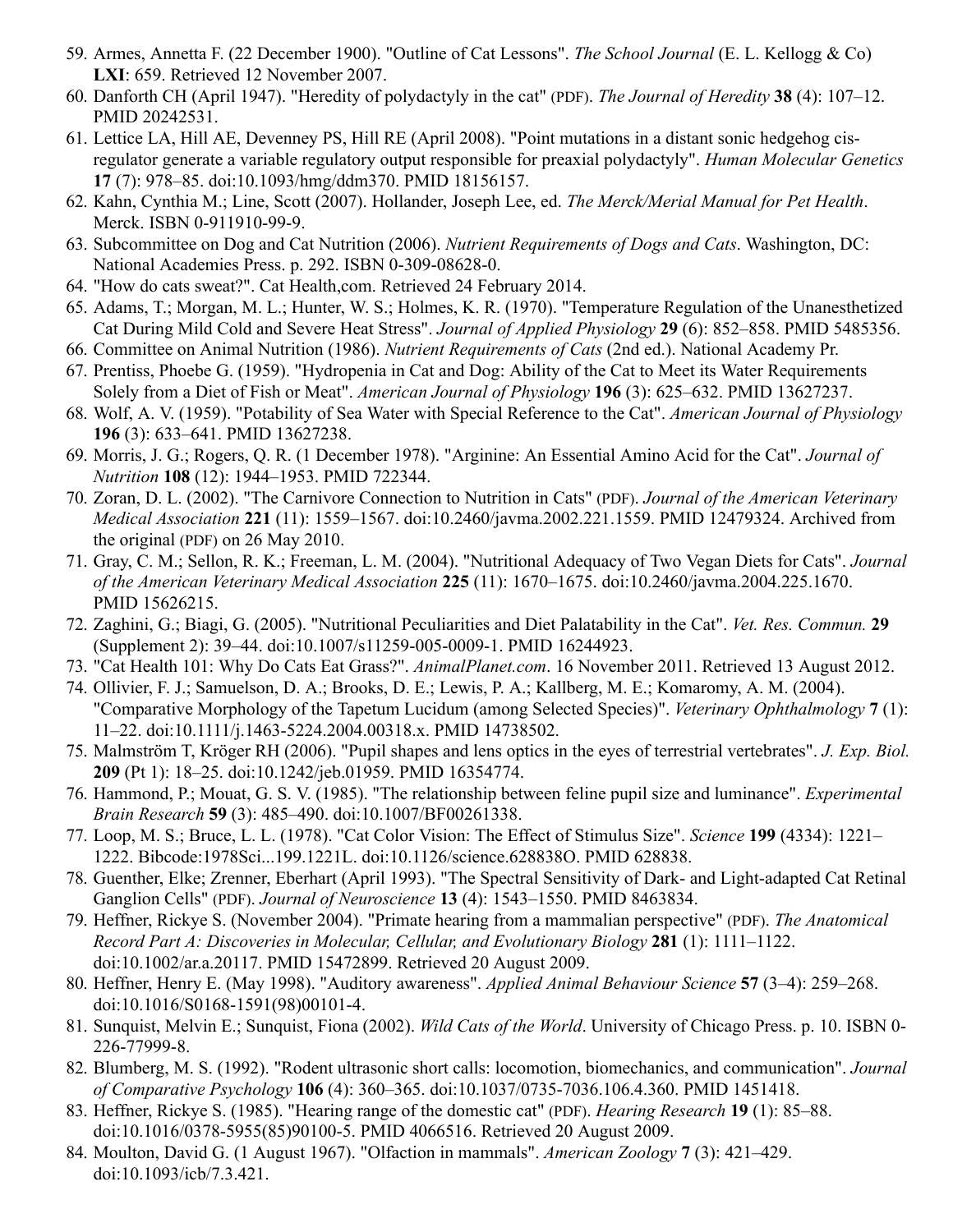- <span id="page-23-1"></span>59. Armes, Annetta F. (22 December 1900). ["Outline of Cat Lessons"](https://books.google.com/?id=-_gBAAAAYAAJ). *The School Journal* (E. L. Kellogg & Co) **LXI**: 659. Retrieved 12 November 2007.
- <span id="page-23-2"></span>60. Danforth CH (April 1947). ["Heredity of polydactyly in the cat"](http://jhered.oxfordjournals.org/content/38/4/107.full.pdf) (PDF). *The Journal of Heredity* **38** (4): 107–12. [PMID](https://en.wikipedia.org/wiki/PubMed_Identifier) [20242531](https://www.ncbi.nlm.nih.gov/pubmed/20242531).
- <span id="page-23-3"></span>61. Lettice LA, Hill AE, Devenney PS, Hill RE (April 2008). "Point mutations in a distant sonic hedgehog cisregulator generate a variable regulatory output responsible for preaxial polydactyly". *Human Molecular Genetics* **17** (7): 978–85. [doi:](https://en.wikipedia.org/wiki/Digital_object_identifier)[10.1093/hmg/ddm370.](https://dx.doi.org/10.1093%2Fhmg%2Fddm370) [PMID](https://en.wikipedia.org/wiki/PubMed_Identifier) [18156157](https://www.ncbi.nlm.nih.gov/pubmed/18156157).
- <span id="page-23-0"></span>62. Kahn, Cynthia M.; Line, Scott (2007). Hollander, Joseph Lee, ed. *The Merck/Merial Manual for Pet Health*. Merck. [ISBN](https://en.wikipedia.org/wiki/International_Standard_Book_Number) [0-911910-99-9](https://en.wikipedia.org/wiki/Special:BookSources/0-911910-99-9).
- <span id="page-23-4"></span>63. Subcommittee on Dog and Cat Nutrition (2006). *Nutrient Requirements of Dogs and Cats*. Washington, DC: National Academies Press. p. 292. [ISBN](https://en.wikipedia.org/wiki/International_Standard_Book_Number) [0-309-08628-0](https://en.wikipedia.org/wiki/Special:BookSources/0-309-08628-0).
- <span id="page-23-5"></span>64. ["How do cats sweat?"](http://www.cathealth.com/how-and-why/how-do-cats-sweat). Cat Health,com. Retrieved 24 February 2014.
- <span id="page-23-6"></span>65. Adams, T.; Morgan, M. L.; Hunter, W. S.; Holmes, K. R. (1970). "Temperature Regulation of the Unanesthetized Cat During Mild Cold and Severe Heat Stress". *Journal of Applied Physiology* **29** (6): 852–858. [PMID](https://en.wikipedia.org/wiki/PubMed_Identifier) [5485356.](https://www.ncbi.nlm.nih.gov/pubmed/5485356)
- <span id="page-23-7"></span>66. Committee on Animal Nutrition (1986). *[Nutrient Requirements of Cats](http://www.nap.edu/catalog.php?record_id=910#toc)* (2nd ed.). National Academy Pr.
- <span id="page-23-8"></span>67. Prentiss, Phoebe G. (1959). "Hydropenia in Cat and Dog: Ability of the Cat to Meet its Water Requirements Solely from a Diet of Fish or Meat". *American Journal of Physiology* **196** (3): 625–632. [PMID](https://en.wikipedia.org/wiki/PubMed_Identifier) [13627237](https://www.ncbi.nlm.nih.gov/pubmed/13627237).
- <span id="page-23-9"></span>68. Wolf, A. V. (1959). "Potability of Sea Water with Special Reference to the Cat". *American Journal of Physiology* **196** (3): 633–641. [PMID](https://en.wikipedia.org/wiki/PubMed_Identifier) [13627238](https://www.ncbi.nlm.nih.gov/pubmed/13627238).
- <span id="page-23-10"></span>69. Morris, J. G.; Rogers, Q. R. (1 December 1978). "Arginine: An Essential Amino Acid for the Cat". *Journal of Nutrition* **108** (12): 1944–1953. [PMID](https://en.wikipedia.org/wiki/PubMed_Identifier) [722344](https://www.ncbi.nlm.nih.gov/pubmed/722344).
- <span id="page-23-11"></span>70. Zoran, D. L. (2002). ["The Carnivore Connection to Nutrition in Cats"](http://web.archive.org/web/20100526223945/http://www.rawessentials.co.nz/media/documents/website%20-zorans_article.pdf) (PDF). *Journal of the American Veterinary Medical Association* **221** (11): 1559–1567. [doi](https://en.wikipedia.org/wiki/Digital_object_identifier)[:10.2460/javma.2002.221.1559](https://dx.doi.org/10.2460%2Fjavma.2002.221.1559). [PMID](https://en.wikipedia.org/wiki/PubMed_Identifier) [12479324.](https://www.ncbi.nlm.nih.gov/pubmed/12479324) Archived from [the original](http://www.rawessentials.co.nz/media/documents/website%20-zorans_article.pdf) (PDF) on 26 May 2010.
- <span id="page-23-12"></span>71. Gray, C. M.; Sellon, R. K.; Freeman, L. M. (2004). "Nutritional Adequacy of Two Vegan Diets for Cats". *Journal of the American Veterinary Medical Association* **225** (11): 1670–1675. [doi](https://en.wikipedia.org/wiki/Digital_object_identifier)[:10.2460/javma.2004.225.1670](https://dx.doi.org/10.2460%2Fjavma.2004.225.1670). [PMID](https://en.wikipedia.org/wiki/PubMed_Identifier) [15626215](https://www.ncbi.nlm.nih.gov/pubmed/15626215).
- <span id="page-23-13"></span>72. Zaghini, G.; Biagi, G. (2005). "Nutritional Peculiarities and Diet Palatability in the Cat". *Vet. Res. Commun.* **29** (Supplement 2): 39–44. [doi](https://en.wikipedia.org/wiki/Digital_object_identifier)[:10.1007/s11259-005-0009-1](https://dx.doi.org/10.1007%2Fs11259-005-0009-1). [PMID](https://en.wikipedia.org/wiki/PubMed_Identifier) [16244923](https://www.ncbi.nlm.nih.gov/pubmed/16244923).
- <span id="page-23-14"></span>73. ["Cat Health 101: Why Do Cats Eat Grass?".](http://animal.discovery.com/healthy-pets/cat-health-101/why-do-cats-eat-grass.html) *AnimalPlanet.com*. 16 November 2011. Retrieved 13 August 2012.
- <span id="page-23-15"></span>74. Ollivier, F. J.; Samuelson, D. A.; Brooks, D. E.; Lewis, P. A.; Kallberg, M. E.; Komaromy, A. M. (2004). "Comparative Morphology of the Tapetum Lucidum (among Selected Species)". *Veterinary Ophthalmology* **7** (1): 11–22. [doi:](https://en.wikipedia.org/wiki/Digital_object_identifier)[10.1111/j.1463-5224.2004.00318.x](https://dx.doi.org/10.1111%2Fj.1463-5224.2004.00318.x). [PMID](https://en.wikipedia.org/wiki/PubMed_Identifier) [14738502](https://www.ncbi.nlm.nih.gov/pubmed/14738502).
- <span id="page-23-16"></span>75. Malmström T, Kröger RH (2006). "Pupil shapes and lens optics in the eyes of terrestrial vertebrates". *J. Exp. Biol.* **209** (Pt 1): 18–25. [doi](https://en.wikipedia.org/wiki/Digital_object_identifier):[10.1242/jeb.01959.](https://dx.doi.org/10.1242%2Fjeb.01959) [PMID](https://en.wikipedia.org/wiki/PubMed_Identifier) [16354774](https://www.ncbi.nlm.nih.gov/pubmed/16354774).
- <span id="page-23-17"></span>76. Hammond, P.; Mouat, G. S. V. (1985). "The relationship between feline pupil size and luminance". *Experimental Brain Research* **59** (3): 485–490. [doi:](https://en.wikipedia.org/wiki/Digital_object_identifier)[10.1007/BF00261338](https://dx.doi.org/10.1007%2FBF00261338).
- <span id="page-23-18"></span>77. Loop, M. S.; Bruce, L. L. (1978). "Cat Color Vision: The Effect of Stimulus Size". *Science* **199** (4334): 1221– 1222. [Bibcode](https://en.wikipedia.org/wiki/Bibcode)[:1978Sci...199.1221L.](http://adsabs.harvard.edu/abs/1978Sci...199.1221L) [doi](https://en.wikipedia.org/wiki/Digital_object_identifier)[:10.1126/science.628838O](https://dx.doi.org/10.1126%2Fscience.628838O). [PMID](https://en.wikipedia.org/wiki/PubMed_Identifier) [628838](https://www.ncbi.nlm.nih.gov/pubmed/628838).
- <span id="page-23-19"></span>78. [Guenther, Elke; Zrenner, Eberhart \(April 1993\). "The Spectral Sensitivity of Dark- and Light-adapted Cat Retinal](http://www.jneurosci.org/content/13/4/1543.full.pdf+html) Ganglion Cells" (PDF). *Journal of Neuroscience* **13** (4): 1543–1550. [PMID](https://en.wikipedia.org/wiki/PubMed_Identifier) [8463834.](https://www.ncbi.nlm.nih.gov/pubmed/8463834)
- <span id="page-23-20"></span>79. Heffner, Rickye S. (November 2004). ["Primate hearing from a mammalian perspective"](http://psychology.utoledo.edu/images/users/74/Primate%20Hearing%20from%20a%20Mammalian%20Perspective.pdf) (PDF). *The Anatomical Record Part A: Discoveries in Molecular, Cellular, and Evolutionary Biology* **281** (1): 1111–1122. [doi](https://en.wikipedia.org/wiki/Digital_object_identifier):[10.1002/ar.a.20117.](https://dx.doi.org/10.1002%2Far.a.20117) [PMID](https://en.wikipedia.org/wiki/PubMed_Identifier) [15472899](https://www.ncbi.nlm.nih.gov/pubmed/15472899). Retrieved 20 August 2009.
- <span id="page-23-21"></span>80. Heffner, Henry E. (May 1998). "Auditory awareness". *Applied Animal Behaviour Science* **57** (3–4): 259–268. [doi](https://en.wikipedia.org/wiki/Digital_object_identifier):[10.1016/S0168-1591\(98\)00101-4.](https://dx.doi.org/10.1016%2FS0168-1591%2898%2900101-4)
- <span id="page-23-22"></span>81. [Sunquist, Melvin E.; Sunquist, Fiona \(2002\).](https://en.wikipedia.org/wiki/Special:BookSources/0-226-77999-8) *Wild Cats of the World*. University of Chicago Press. p. 10. [ISBN](https://en.wikipedia.org/wiki/International_Standard_Book_Number) 0- 226-77999-8.
- <span id="page-23-23"></span>82. Blumberg, M. S. (1992). "Rodent ultrasonic short calls: locomotion, biomechanics, and communication". *Journal of Comparative Psychology* **106** (4): 360–365. [doi](https://en.wikipedia.org/wiki/Digital_object_identifier)[:10.1037/0735-7036.106.4.360.](https://dx.doi.org/10.1037%2F0735-7036.106.4.360) [PMID](https://en.wikipedia.org/wiki/PubMed_Identifier) [1451418](https://www.ncbi.nlm.nih.gov/pubmed/1451418).
- <span id="page-23-24"></span>83. Heffner, Rickye S. (1985). ["Hearing range of the domestic cat"](http://psychology.utoledo.edu/images/users/74/Audiograms/HearingRangeOfTheDomesticCat_1985.pdf) (PDF). *Hearing Research* **19** (1): 85–88. [doi](https://en.wikipedia.org/wiki/Digital_object_identifier):[10.1016/0378-5955\(85\)90100-5.](https://dx.doi.org/10.1016%2F0378-5955%2885%2990100-5) [PMID](https://en.wikipedia.org/wiki/PubMed_Identifier) [4066516.](https://www.ncbi.nlm.nih.gov/pubmed/4066516) Retrieved 20 August 2009.
- <span id="page-23-25"></span>84. Moulton, David G. (1 August 1967). "Olfaction in mammals". *American Zoology* **7** (3): 421–429. [doi](https://en.wikipedia.org/wiki/Digital_object_identifier):[10.1093/icb/7.3.421](https://dx.doi.org/10.1093%2Ficb%2F7.3.421).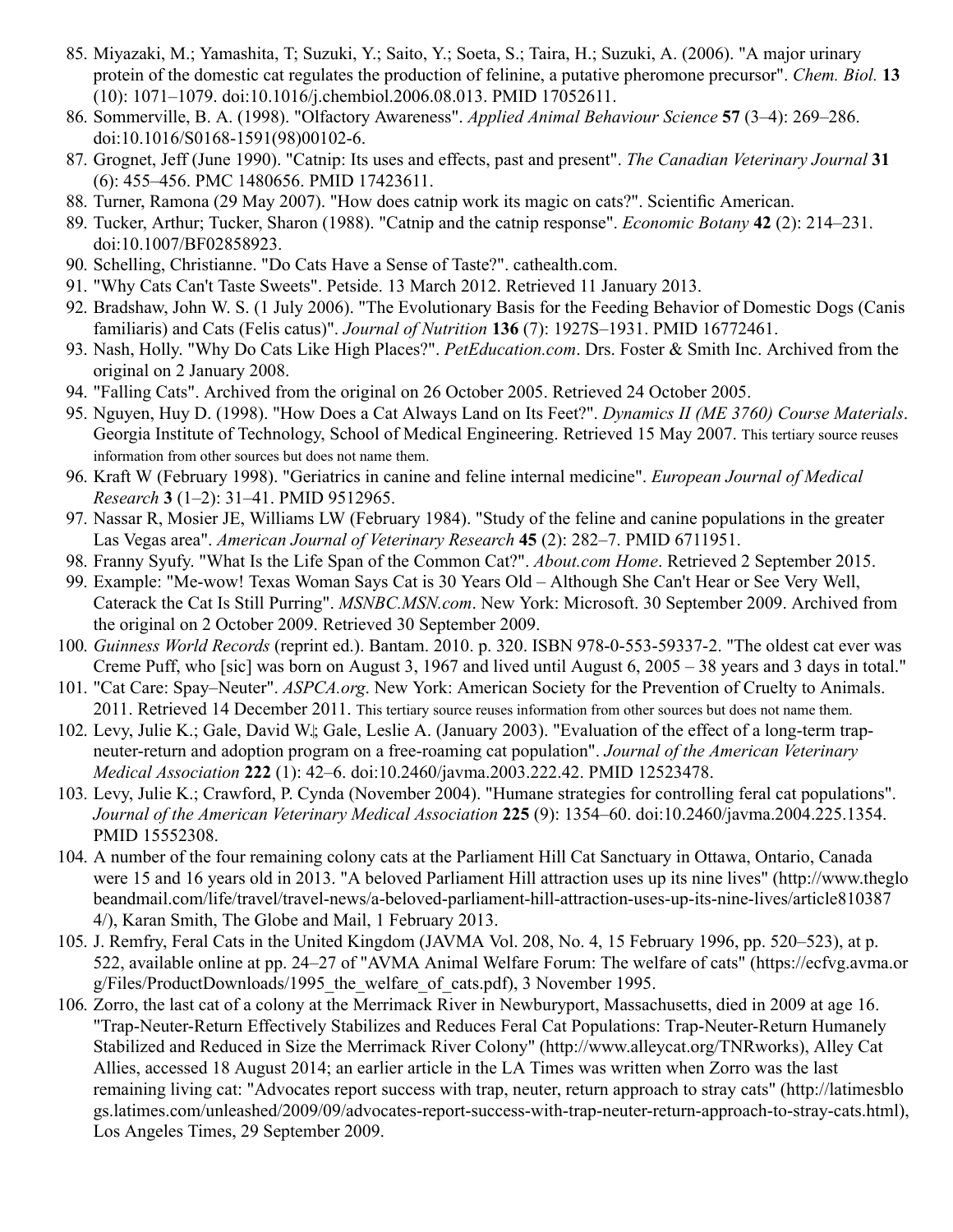- <span id="page-24-0"></span>85. Miyazaki, M.; Yamashita, T; Suzuki, Y.; Saito, Y.; Soeta, S.; Taira, H.; Suzuki, A. (2006). "A major urinary protein of the domestic cat regulates the production of felinine, a putative pheromone precursor". *Chem. Biol.* **13** (10): 1071–1079. [doi](https://en.wikipedia.org/wiki/Digital_object_identifier):[10.1016/j.chembiol.2006.08.013.](https://dx.doi.org/10.1016%2Fj.chembiol.2006.08.013) [PMID](https://en.wikipedia.org/wiki/PubMed_Identifier) [17052611](https://www.ncbi.nlm.nih.gov/pubmed/17052611).
- <span id="page-24-1"></span>86. Sommerville, B. A. (1998). "Olfactory Awareness". *Applied Animal Behaviour Science* **57** (3–4): 269–286. [doi](https://en.wikipedia.org/wiki/Digital_object_identifier):[10.1016/S0168-1591\(98\)00102-6.](https://dx.doi.org/10.1016%2FS0168-1591%2898%2900102-6)
- <span id="page-24-2"></span>87. Grognet, Jeff (June 1990). ["Catnip: Its uses and effects, past and present".](https://www.ncbi.nlm.nih.gov/pmc/articles/PMC1480656) *The Canadian Veterinary Journal* **31** (6): 455–456. [PMC](https://en.wikipedia.org/wiki/PubMed_Central) [1480656.](https://www.ncbi.nlm.nih.gov/pmc/articles/PMC1480656) [PMID](https://en.wikipedia.org/wiki/PubMed_Identifier) [17423611.](https://www.ncbi.nlm.nih.gov/pubmed/17423611)
- <span id="page-24-3"></span>88. Turner, Ramona (29 May 2007). ["How does catnip work its magic on cats?".](http://www.scientificamerican.com/article.cfm?id=experts-how-does-catnip-work-on-cats) Scientific American.
- <span id="page-24-4"></span>89. Tucker, Arthur; Tucker, Sharon (1988). "Catnip and the catnip response". *Economic Botany* **42** (2): 214–231. [doi](https://en.wikipedia.org/wiki/Digital_object_identifier):[10.1007/BF02858923](https://dx.doi.org/10.1007%2FBF02858923).
- <span id="page-24-5"></span>90. Schelling, Christianne. ["Do Cats Have a Sense of Taste?"](http://www.cathealth.com/nutrition/do-cats-have-a-sense-of-taste). cathealth.com.
- <span id="page-24-6"></span>91. ["Why Cats Can't Taste Sweets".](http://www.petside.com/article/why-cats-can-t-taste-sweets) Petside. 13 March 2012. Retrieved 11 January 2013.
- <span id="page-24-7"></span>92. Bradshaw, John W. S. (1 July 2006). "The Evolutionary Basis for the Feeding Behavior of Domestic Dogs (Canis familiaris) and Cats (Felis catus)". *Journal of Nutrition* **136** (7): 1927S–1931. [PMID](https://en.wikipedia.org/wiki/PubMed_Identifier) [16772461](https://www.ncbi.nlm.nih.gov/pubmed/16772461).
- <span id="page-24-8"></span>93. [Nash, Holly. "](http://www.peteducation.com/article.cfm?c=1+1313&aid=1125)[Why Do Cats Like High Places?"](https://web.archive.org/web/20080102145008/http://www.peteducation.com/article.cfm?cls=1&cat=1313&articleid=1125)[.](http://www.peteducation.com/article.cfm?c=1+1313&aid=1125) *PetEducation.com*. Drs. Foster & Smith Inc. Archived from the original on 2 January 2008.
- <span id="page-24-9"></span>94. ["Falling Cats"](https://web.archive.org/web/20051026122408/http://www.verrueckte-experimente.de/leseproben_e.html). Archived from [the original](http://www.verrueckte-experimente.de/leseproben_e.html) on 26 October 2005. Retrieved 24 October 2005.
- <span id="page-24-10"></span>95. Nguyen, Huy D. (1998). ["How Does a Cat Always Land on Its Feet?"](http://helix.gatech.edu/Classes/ME3760/1998Q3/Projects/Nguyen/). *Dynamics II (ME 3760) Course Materials*. Georgia Institute of Technology, School of Medical Engineering. Retrieved 15 May 2007. This [tertiary source](https://en.wikipedia.org/wiki/Wikipedia:Tertiary_sources) reuses information from other sources but does not name them.
- <span id="page-24-11"></span>96. Kraft W (February 1998). "Geriatrics in canine and feline internal medicine". *European Journal of Medical Research* **3** (1–2): 31–41. [PMID](https://en.wikipedia.org/wiki/PubMed_Identifier) [9512965](https://www.ncbi.nlm.nih.gov/pubmed/9512965).
- <span id="page-24-12"></span>97. Nassar R, Mosier JE, Williams LW (February 1984). "Study of the feline and canine populations in the greater Las Vegas area". *American Journal of Veterinary Research* **45** (2): 282–7. [PMID](https://en.wikipedia.org/wiki/PubMed_Identifier) [6711951](https://www.ncbi.nlm.nih.gov/pubmed/6711951).
- <span id="page-24-13"></span>98. Franny Syufy. ["What Is the Life Span of the Common Cat?"](http://cats.about.com/cs/catmanagement101/f/lifespan_cats.htm). *About.com Home*. Retrieved 2 September 2015.
- <span id="page-24-14"></span>99. [Example: "Me-wow! Texas Woman Says Cat is 30 Years Old](https://web.archive.org/web/20091002231250/http://today.msnbc.msn.com/id/33094898/ns/today-today_pets_and_animals?GT1=43001) – Although She Can't Hear or See Very Well, Caterack the Cat Is Still Purring". *MSNBC.MSN.com*. New York: Microsoft. 30 September 2009. Archived from [the original](http://today.msnbc.msn.com/id/33094898/ns/today-today_pets_and_animals?GT1=43001) on 2 October 2009. Retrieved 30 September 2009.
- <span id="page-24-15"></span>100. *[Guinness World Records](https://books.google.com/?id=hLYzvUvPL3MC&pg=PA320)* (reprint ed.). Bantam. 2010. p. 320. [ISBN](https://en.wikipedia.org/wiki/International_Standard_Book_Number) [978-0-553-59337-2](https://en.wikipedia.org/wiki/Special:BookSources/978-0-553-59337-2). "The oldest cat ever was Creme Puff, who [sic] was born on August 3, 1967 and lived until August 6, 2005 – 38 years and 3 days in total."
- <span id="page-24-16"></span>101. ["Cat Care: Spay–Neuter"](http://www.aspca.org/pet-care/cat-care/spay-neuter.html). *ASPCA.org*. New York: [American Society for the Prevention of Cruelty to Animals](https://en.wikipedia.org/wiki/American_Society_for_the_Prevention_of_Cruelty_to_Animals). 2011. Retrieved 14 December 2011. This [tertiary source](https://en.wikipedia.org/wiki/Wikipedia:Tertiary_sources) reuses information from other sources but does not name them.
- <span id="page-24-17"></span>102. Levy, Julie K.; Gale, David W.; Gale, Leslie A. (January 2003). "Evaluation of the effect of a long-term trapneuter-return and adoption program on a free-roaming cat population". *Journal of the American Veterinary Medical Association* **222** (1): 42–6. [doi:](https://en.wikipedia.org/wiki/Digital_object_identifier)[10.2460/javma.2003.222.42](https://dx.doi.org/10.2460%2Fjavma.2003.222.42). [PMID](https://en.wikipedia.org/wiki/PubMed_Identifier) [12523478.](https://www.ncbi.nlm.nih.gov/pubmed/12523478)
- <span id="page-24-18"></span>103. Levy, Julie K.; Crawford, P. Cynda (November 2004). "Humane strategies for controlling feral cat populations". *Journal of the American Veterinary Medical Association* **225** (9): 1354–60. [doi:](https://en.wikipedia.org/wiki/Digital_object_identifier)[10.2460/javma.2004.225.1354](https://dx.doi.org/10.2460%2Fjavma.2004.225.1354). [PMID](https://en.wikipedia.org/wiki/PubMed_Identifier) [15552308](https://www.ncbi.nlm.nih.gov/pubmed/15552308).
- <span id="page-24-19"></span>104. A number of the four remaining colony cats at the Parliament Hill Cat Sanctuary in Ottawa, Ontario, Canada [were 15 and 16 years old in 2013. "A beloved Parliament Hill attraction uses up its nine lives" \(http://www.theglo](http://www.theglobeandmail.com/life/travel/travel-news/a-beloved-parliament-hill-attraction-uses-up-its-nine-lives/article8103874/) beandmail.com/life/travel/travel-news/a-beloved-parliament-hill-attraction-uses-up-its-nine-lives/article810387 4/), Karan Smith, The Globe and Mail, 1 February 2013.
- <span id="page-24-20"></span>105. J. Remfry, Feral Cats in the United Kingdom (JAVMA Vol. 208, No. 4, 15 February 1996, pp. 520–523), at p. [522, available online at pp. 24–27 of "AVMA Animal Welfare Forum: The welfare of cats" \(https://ecfvg.avma.or](https://ecfvg.avma.org/Files/ProductDownloads/1995_the_welfare_of_cats.pdf) g/Files/ProductDownloads/1995\_the\_welfare\_of\_cats.pdf), 3 November 1995.
- <span id="page-24-21"></span>106. Zorro, the last cat of a colony at the Merrimack River in Newburyport, Massachusetts, died in 2009 at age 16. ["Trap-Neuter-Return Effectively Stabilizes and Reduces Feral Cat Populations: Trap-Neuter-Return Humanely](http://www.alleycat.org/TNRworks) Stabilized and Reduced in Size the Merrimack River Colony" (http://www.alleycat.org/TNRworks), Alley Cat Allies, accessed 18 August 2014; an earlier article in the LA Times was written when Zorro was the last remaining living cat: "Advocates report success with trap, neuter, return approach to stray cats" (http://latimesblo [gs.latimes.com/unleashed/2009/09/advocates-report-success-with-trap-neuter-return-approach-to-stray-cats.html\),](http://latimesblogs.latimes.com/unleashed/2009/09/advocates-report-success-with-trap-neuter-return-approach-to-stray-cats.html) Los Angeles Times, 29 September 2009.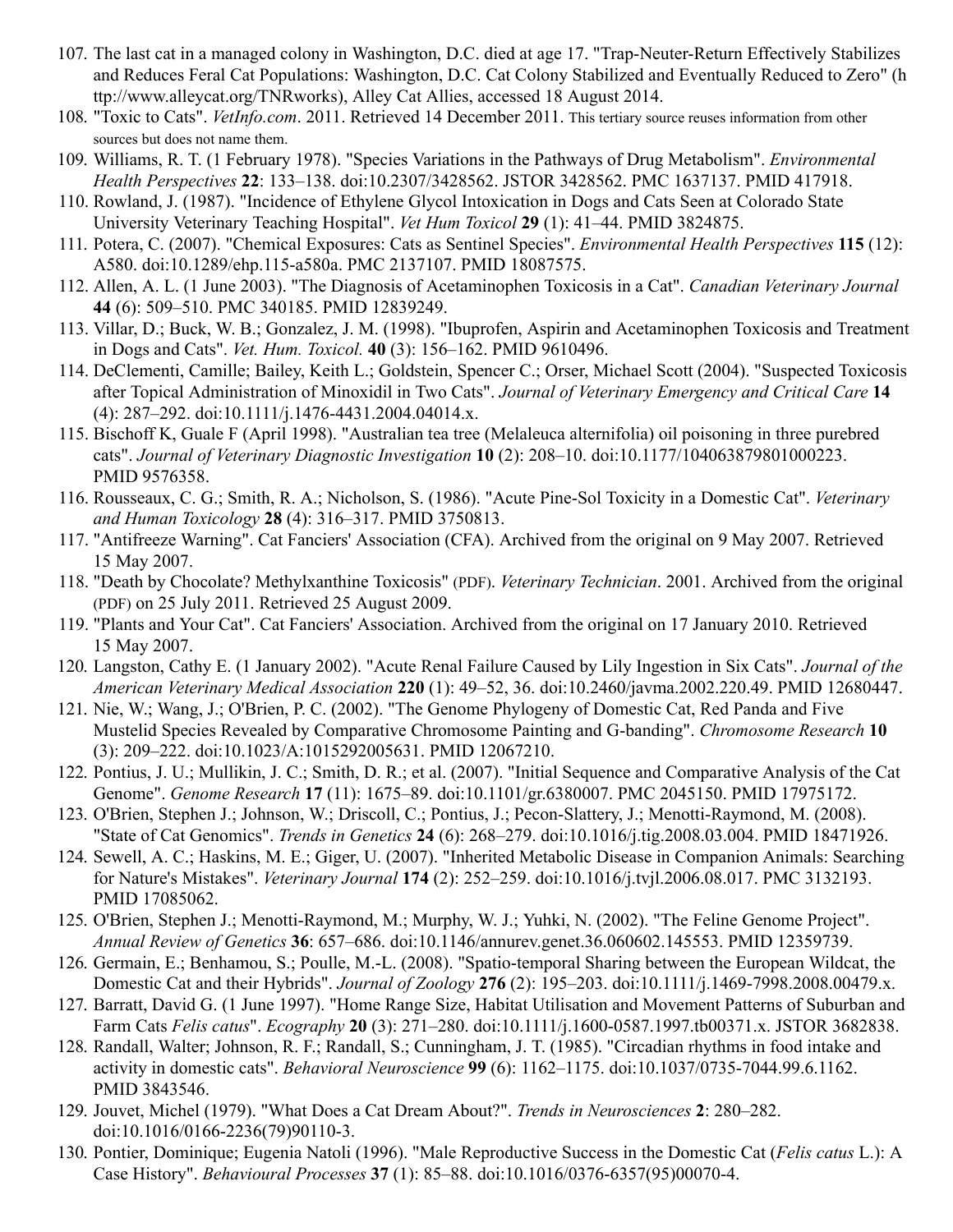- <span id="page-25-0"></span>107. The last cat in a managed colony in Washington, D.C. died at age 17. "Trap-Neuter-Return Effectively Stabilizes [and Reduces Feral Cat Populations: Washington, D.C. Cat Colony Stabilized and Eventually Reduced to Zero" \(h](http://www.alleycat.org/TNRworks) ttp://www.alleycat.org/TNRworks), Alley Cat Allies, accessed 18 August 2014.
- <span id="page-25-1"></span>108. ["Toxic to Cats"](http://www.vetinfo.com/ctoxin.html). *VetInfo.com*. 2011. Retrieved 14 December 2011. This [tertiary source](https://en.wikipedia.org/wiki/Wikipedia:Tertiary_sources) reuses information from other sources but does not name them.
- <span id="page-25-2"></span>109. Williams, R. T. (1 February 1978). ["Species Variations in the Pathways of Drug Metabolism".](https://www.ncbi.nlm.nih.gov/pmc/articles/PMC1637137) *Environmental Health Perspectives* **22**: 133–138. [doi](https://en.wikipedia.org/wiki/Digital_object_identifier):[10.2307/3428562](https://dx.doi.org/10.2307%2F3428562). [JSTOR](https://en.wikipedia.org/wiki/JSTOR) [3428562](https://www.jstor.org/stable/3428562). [PMC](https://en.wikipedia.org/wiki/PubMed_Central) [1637137](https://www.ncbi.nlm.nih.gov/pmc/articles/PMC1637137). [PMID](https://en.wikipedia.org/wiki/PubMed_Identifier) [417918](https://www.ncbi.nlm.nih.gov/pubmed/417918).
- <span id="page-25-3"></span>110. Rowland, J. (1987). "Incidence of Ethylene Glycol Intoxication in Dogs and Cats Seen at Colorado State University Veterinary Teaching Hospital". *Vet Hum Toxicol* **29** (1): 41–44. [PMID](https://en.wikipedia.org/wiki/PubMed_Identifier) [3824875.](https://www.ncbi.nlm.nih.gov/pubmed/3824875)
- <span id="page-25-4"></span>111. Potera, C. (2007). ["Chemical Exposures: Cats as Sentinel Species".](https://www.ncbi.nlm.nih.gov/pmc/articles/PMC2137107) *Environmental Health Perspectives* **115** (12): A580. [doi:](https://en.wikipedia.org/wiki/Digital_object_identifier)[10.1289/ehp.115-a580a](https://dx.doi.org/10.1289%2Fehp.115-a580a). [PMC](https://en.wikipedia.org/wiki/PubMed_Central) [2137107.](https://www.ncbi.nlm.nih.gov/pmc/articles/PMC2137107) [PMID](https://en.wikipedia.org/wiki/PubMed_Identifier) [18087575](https://www.ncbi.nlm.nih.gov/pubmed/18087575).
- <span id="page-25-5"></span>112. Allen, A. L. (1 June 2003). ["The Diagnosis of Acetaminophen Toxicosis in a Cat"](https://www.ncbi.nlm.nih.gov/pmc/articles/PMC340185). *Canadian Veterinary Journal* **44** (6): 509–510. [PMC](https://en.wikipedia.org/wiki/PubMed_Central) [340185](https://www.ncbi.nlm.nih.gov/pmc/articles/PMC340185). [PMID](https://en.wikipedia.org/wiki/PubMed_Identifier) [12839249.](https://www.ncbi.nlm.nih.gov/pubmed/12839249)
- <span id="page-25-6"></span>113. Villar, D.; Buck, W. B.; Gonzalez, J. M. (1998). "Ibuprofen, Aspirin and Acetaminophen Toxicosis and Treatment in Dogs and Cats". *Vet. Hum. Toxicol.* **40** (3): 156–162. [PMID](https://en.wikipedia.org/wiki/PubMed_Identifier) [9610496](https://www.ncbi.nlm.nih.gov/pubmed/9610496).
- <span id="page-25-7"></span>114. DeClementi, Camille; Bailey, Keith L.; Goldstein, Spencer C.; Orser, Michael Scott (2004). "Suspected Toxicosis after Topical Administration of Minoxidil in Two Cats". *Journal of Veterinary Emergency and Critical Care* **14** (4): 287–292. [doi](https://en.wikipedia.org/wiki/Digital_object_identifier)[:10.1111/j.1476-4431.2004.04014.x.](https://dx.doi.org/10.1111%2Fj.1476-4431.2004.04014.x)
- <span id="page-25-8"></span>115. Bischoff K, Guale F (April 1998). "Australian tea tree (Melaleuca alternifolia) oil poisoning in three purebred cats". *Journal of Veterinary Diagnostic Investigation* **10** (2): 208–10. [doi:](https://en.wikipedia.org/wiki/Digital_object_identifier)[10.1177/104063879801000223.](https://dx.doi.org/10.1177%2F104063879801000223) [PMID](https://en.wikipedia.org/wiki/PubMed_Identifier) [9576358.](https://www.ncbi.nlm.nih.gov/pubmed/9576358)
- <span id="page-25-9"></span>116. Rousseaux, C. G.; Smith, R. A.; Nicholson, S. (1986). "Acute Pine-Sol Toxicity in a Domestic Cat". *Veterinary and Human Toxicology* **28** (4): 316–317. [PMID](https://en.wikipedia.org/wiki/PubMed_Identifier) [3750813](https://www.ncbi.nlm.nih.gov/pubmed/3750813).
- <span id="page-25-10"></span>117. ["Antifreeze Warning"](https://web.archive.org/web/20070509041844/http://www.cfainc.org/articles/antifreeze.html). [Cat Fanciers' Association](https://en.wikipedia.org/wiki/Cat_Fanciers%27_Association) (CFA). Archived from [the original](http://www.cfainc.org/articles/antifreeze.html) on 9 May 2007. Retrieved 15 May 2007.
- <span id="page-25-11"></span>118. ["Death by Chocolate? Methylxanthine Toxicosis"](http://web.archive.org/web/20110725021621/http://www.aspcapro.org/mydocuments/download.php?f=l-vettech_0301.pdf) (PDF). *Veterinary Technician*. 2001. Archived from [the original](http://www.aspcapro.org/mydocuments/download.php?f=l-vettech_0301.pdf) (PDF) on 25 July 2011. Retrieved 25 August 2009.
- <span id="page-25-12"></span>119. ["Plants and Your Cat"](http://www.webcitation.org/5mq1hjPbF). Cat Fanciers' Association. Archived from [the original](http://www.cfainc.org/articles/plants.html) on 17 January 2010. Retrieved 15 May 2007.
- <span id="page-25-13"></span>120. Langston, Cathy E. (1 January 2002). "Acute Renal Failure Caused by Lily Ingestion in Six Cats". *Journal of the American Veterinary Medical Association* **220** (1): 49–52, 36. [doi:](https://en.wikipedia.org/wiki/Digital_object_identifier)[10.2460/javma.2002.220.49.](https://dx.doi.org/10.2460%2Fjavma.2002.220.49) [PMID](https://en.wikipedia.org/wiki/PubMed_Identifier) [12680447](https://www.ncbi.nlm.nih.gov/pubmed/12680447).
- <span id="page-25-14"></span>121. Nie, W.; Wang, J.; O'Brien, P. C. (2002). "The Genome Phylogeny of Domestic Cat, Red Panda and Five Mustelid Species Revealed by Comparative Chromosome Painting and G-banding". *Chromosome Research* **10** (3): 209–222. [doi](https://en.wikipedia.org/wiki/Digital_object_identifier)[:10.1023/A:1015292005631](https://dx.doi.org/10.1023%2FA%3A1015292005631). [PMID](https://en.wikipedia.org/wiki/PubMed_Identifier) [12067210.](https://www.ncbi.nlm.nih.gov/pubmed/12067210)
- <span id="page-25-15"></span>122. [Pontius, J. U.; Mullikin, J. C.; Smith, D. R.; et al. \(2007\). "Initial Sequence and Comparative Analysis of the Cat](https://www.ncbi.nlm.nih.gov/pmc/articles/PMC2045150) Genome". *Genome Research* **17** (11): 1675–89. [doi:](https://en.wikipedia.org/wiki/Digital_object_identifier)[10.1101/gr.6380007.](https://dx.doi.org/10.1101%2Fgr.6380007) [PMC](https://en.wikipedia.org/wiki/PubMed_Central) [2045150](https://www.ncbi.nlm.nih.gov/pmc/articles/PMC2045150). [PMID](https://en.wikipedia.org/wiki/PubMed_Identifier) [17975172.](https://www.ncbi.nlm.nih.gov/pubmed/17975172)
- <span id="page-25-16"></span>123. O'Brien, Stephen J.; Johnson, W.; Driscoll, C.; Pontius, J.; Pecon-Slattery, J.; Menotti-Raymond, M. (2008). "State of Cat Genomics". *Trends in Genetics* **24** (6): 268–279. [doi](https://en.wikipedia.org/wiki/Digital_object_identifier)[:10.1016/j.tig.2008.03.004.](https://dx.doi.org/10.1016%2Fj.tig.2008.03.004) [PMID](https://en.wikipedia.org/wiki/PubMed_Identifier) [18471926](https://www.ncbi.nlm.nih.gov/pubmed/18471926).
- <span id="page-25-17"></span>124. [Sewell, A. C.; Haskins, M. E.; Giger, U. \(2007\). "Inherited Metabolic Disease in Companion Animals: Searching](https://www.ncbi.nlm.nih.gov/pmc/articles/PMC3132193) for Nature's Mistakes". *Veterinary Journal* **174** (2): 252–259. [doi:](https://en.wikipedia.org/wiki/Digital_object_identifier)[10.1016/j.tvjl.2006.08.017](https://dx.doi.org/10.1016%2Fj.tvjl.2006.08.017). [PMC](https://en.wikipedia.org/wiki/PubMed_Central) [3132193.](https://www.ncbi.nlm.nih.gov/pmc/articles/PMC3132193) [PMID](https://en.wikipedia.org/wiki/PubMed_Identifier) [17085062](https://www.ncbi.nlm.nih.gov/pubmed/17085062).
- <span id="page-25-18"></span>125. O'Brien, Stephen J.; Menotti-Raymond, M.; Murphy, W. J.; Yuhki, N. (2002). "The Feline Genome Project". *Annual Review of Genetics* **36**: 657–686. [doi](https://en.wikipedia.org/wiki/Digital_object_identifier):[10.1146/annurev.genet.36.060602.145553](https://dx.doi.org/10.1146%2Fannurev.genet.36.060602.145553). [PMID](https://en.wikipedia.org/wiki/PubMed_Identifier) [12359739.](https://www.ncbi.nlm.nih.gov/pubmed/12359739)
- <span id="page-25-19"></span>126. Germain, E.; Benhamou, S.; Poulle, M.-L. (2008). "Spatio-temporal Sharing between the European Wildcat, the Domestic Cat and their Hybrids". *Journal of Zoology* **276** (2): 195–203. [doi](https://en.wikipedia.org/wiki/Digital_object_identifier):[10.1111/j.1469-7998.2008.00479.x.](https://dx.doi.org/10.1111%2Fj.1469-7998.2008.00479.x)
- <span id="page-25-20"></span>127. Barratt, David G. (1 June 1997). "Home Range Size, Habitat Utilisation and Movement Patterns of Suburban and Farm Cats *Felis catus*". *Ecography* **20** (3): 271–280. [doi](https://en.wikipedia.org/wiki/Digital_object_identifier)[:10.1111/j.1600-0587.1997.tb00371.x](https://dx.doi.org/10.1111%2Fj.1600-0587.1997.tb00371.x). [JSTOR](https://en.wikipedia.org/wiki/JSTOR) [3682838](https://www.jstor.org/stable/3682838).
- <span id="page-25-21"></span>128. Randall, Walter; Johnson, R. F.; Randall, S.; Cunningham, J. T. (1985). "Circadian rhythms in food intake and activity in domestic cats". *Behavioral Neuroscience* **99** (6): 1162–1175. [doi](https://en.wikipedia.org/wiki/Digital_object_identifier)[:10.1037/0735-7044.99.6.1162](https://dx.doi.org/10.1037%2F0735-7044.99.6.1162). [PMID](https://en.wikipedia.org/wiki/PubMed_Identifier) [3843546.](https://www.ncbi.nlm.nih.gov/pubmed/3843546)
- <span id="page-25-22"></span>129. Jouvet, Michel (1979). "What Does a Cat Dream About?". *Trends in Neurosciences* **2**: 280–282. [doi](https://en.wikipedia.org/wiki/Digital_object_identifier):[10.1016/0166-2236\(79\)90110-3](https://dx.doi.org/10.1016%2F0166-2236%2879%2990110-3).
- <span id="page-25-23"></span>130. Pontier, Dominique; Eugenia Natoli (1996). "Male Reproductive Success in the Domestic Cat (*Felis catus* L.): A Case History". *Behavioural Processes* **37** (1): 85–88. [doi](https://en.wikipedia.org/wiki/Digital_object_identifier)[:10.1016/0376-6357\(95\)00070-4](https://dx.doi.org/10.1016%2F0376-6357%2895%2900070-4).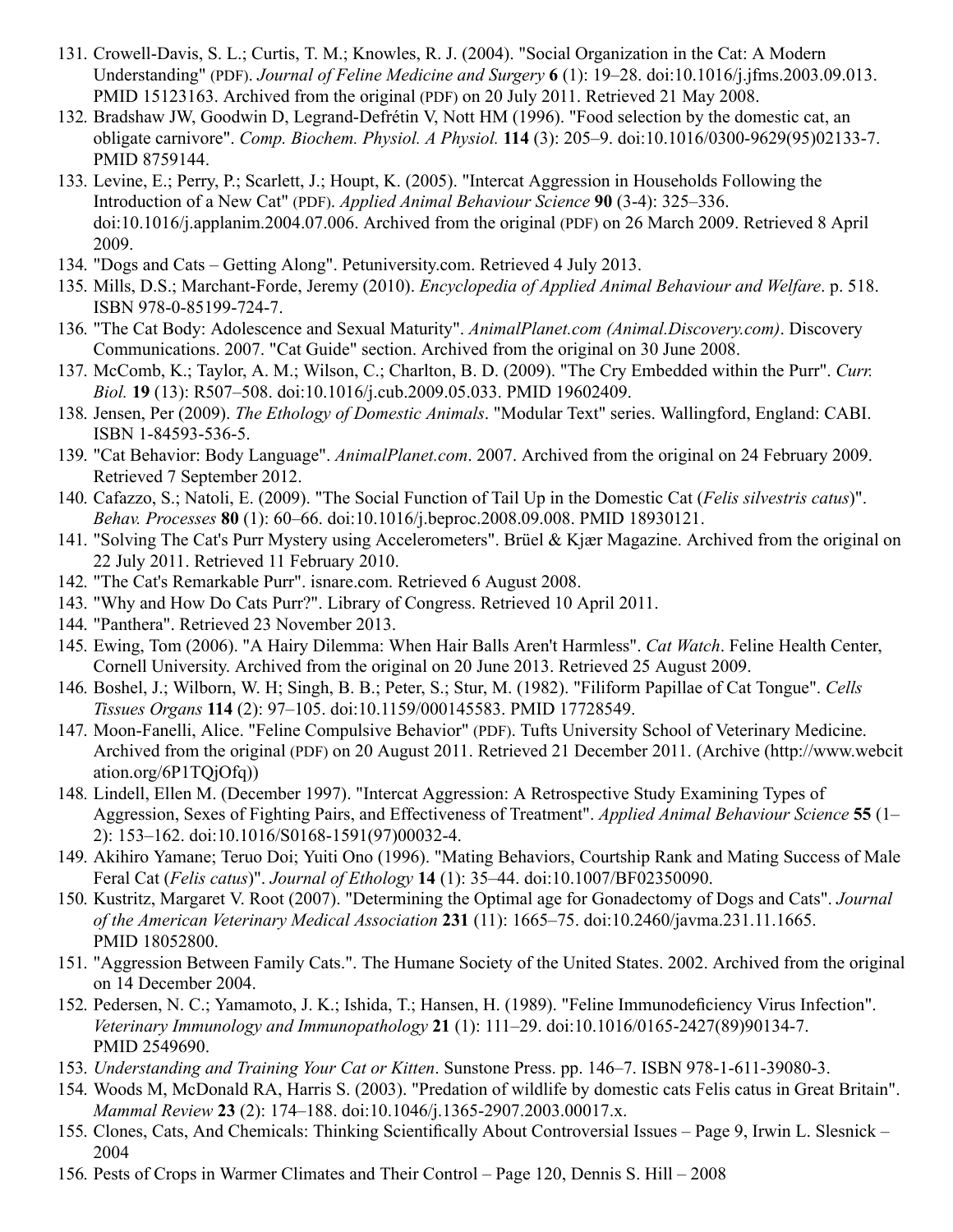- <span id="page-26-0"></span>131. [Crowell-Davis, S. L.; Curtis, T. M.; Knowles, R. J. \(2004\). "Social Organization in the Cat: A Modern](http://web.archive.org/web/20110720231305/http://zoopsy.free.fr/veille_biblio/social_organization_cat_2004.pdf) Understanding" (PDF). *Journal of Feline Medicine and Surgery* **6** (1): 19–28. [doi](https://en.wikipedia.org/wiki/Digital_object_identifier)[:10.1016/j.jfms.2003.09.013](https://dx.doi.org/10.1016%2Fj.jfms.2003.09.013). [PMID](https://en.wikipedia.org/wiki/PubMed_Identifier) [15123163](https://www.ncbi.nlm.nih.gov/pubmed/15123163). Archived from [the original](http://zoopsy.free.fr/veille_biblio/social_organization_cat_2004.pdf) (PDF) on 20 July 2011. Retrieved 21 May 2008.
- <span id="page-26-1"></span>132. Bradshaw JW, Goodwin D, Legrand-Defrétin V, Nott HM (1996). "Food selection by the domestic cat, an obligate carnivore". *Comp. Biochem. Physiol. A Physiol.* **114** (3): 205–9. [doi:](https://en.wikipedia.org/wiki/Digital_object_identifier)[10.1016/0300-9629\(95\)02133-7.](https://dx.doi.org/10.1016%2F0300-9629%2895%2902133-7) [PMID](https://en.wikipedia.org/wiki/PubMed_Identifier) [8759144.](https://www.ncbi.nlm.nih.gov/pubmed/8759144)
- <span id="page-26-2"></span>133. [Levine, E.; Perry, P.; Scarlett, J.; Houpt, K. \(2005\). "Intercat Aggression in Households Following the](http://web.archive.org/web/20090326225932/http://faculty.washington.edu/jcha/330_cats_introducing.pdf) Introduction of a New Cat" (PDF). *Applied Animal Behaviour Science* **90** (3-4): 325–336. [doi](https://en.wikipedia.org/wiki/Digital_object_identifier):[10.1016/j.applanim.2004.07.006.](https://dx.doi.org/10.1016%2Fj.applanim.2004.07.006) Archived from [the original](http://faculty.washington.edu/jcha/330_cats_introducing.pdf) (PDF) on 26 March 2009. Retrieved 8 April 2009.
- <span id="page-26-3"></span>134. "Dogs and Cats [– Getting Along"](http://www.petuniversity.com/dogs/training--behavior/dogs-and-cats.htm). Petuniversity.com. Retrieved 4 July 2013.
- <span id="page-26-4"></span>135. Mills, D.S.; Marchant-Forde, Jeremy (2010). *[Encyclopedia of Applied Animal Behaviour and Welfare](http://books.google.com/books?id=vrueZDfPUzoC&pg=PA518)*. p. 518. [ISBN](https://en.wikipedia.org/wiki/International_Standard_Book_Number) [978-0-85199-724-7](https://en.wikipedia.org/wiki/Special:BookSources/978-0-85199-724-7).
- <span id="page-26-5"></span>136. ["The Cat Body: Adolescence and Sexual Maturity".](https://web.archive.org/web/20080630205100/http://animal.discovery.com/guides/cats/body/maturity.html) *AnimalPlanet.com (Animal.Discovery.com)*. Discovery Communications. 2007. "Cat Guide" section. Archived from [the original](http://animal.discovery.com/guides/cats/body/maturity.html) on 30 June 2008.
- <span id="page-26-6"></span>137. McComb, K.; Taylor, A. M.; Wilson, C.; Charlton, B. D. (2009). "The Cry Embedded within the Purr". *Curr. Biol.* **19** (13): R507–508. [doi](https://en.wikipedia.org/wiki/Digital_object_identifier)[:10.1016/j.cub.2009.05.033.](https://dx.doi.org/10.1016%2Fj.cub.2009.05.033) [PMID](https://en.wikipedia.org/wiki/PubMed_Identifier) [19602409.](https://www.ncbi.nlm.nih.gov/pubmed/19602409)
- <span id="page-26-7"></span>138. Jensen, Per (2009). *The Ethology of Domestic Animals*. "Modular Text" series. Wallingford, England: CABI. [ISBN](https://en.wikipedia.org/wiki/International_Standard_Book_Number) [1-84593-536-5](https://en.wikipedia.org/wiki/Special:BookSources/1-84593-536-5).
- <span id="page-26-8"></span>139. ["Cat Behavior: Body Language"](https://web.archive.org/web/20090224154137/http://animal.discovery.com/guides/cats/behavior/bodylanguageintro.html). *AnimalPlanet.com*. 2007. Archived from [the original](http://animal.discovery.com/guides/cats/behavior/bodylanguageintro.html) on 24 February 2009. Retrieved 7 September 2012.
- <span id="page-26-9"></span>140. Cafazzo, S.; Natoli, E. (2009). "The Social Function of Tail Up in the Domestic Cat (*Felis silvestris catus*)". *Behav. Processes* **80** (1): 60–66. [doi](https://en.wikipedia.org/wiki/Digital_object_identifier):[10.1016/j.beproc.2008.09.008.](https://dx.doi.org/10.1016%2Fj.beproc.2008.09.008) [PMID](https://en.wikipedia.org/wiki/PubMed_Identifier) [18930121](https://www.ncbi.nlm.nih.gov/pubmed/18930121).
- <span id="page-26-10"></span>141. ["Solving The Cat's Purr Mystery using Accelerometers"](http://web.archive.org/web/20110722131617/http://www.bksv.com/catspurr). Brüel & Kjær Magazine. Archived from [the original](http://www.bksv.com/catspurr) on 22 July 2011. Retrieved 11 February 2010.
- <span id="page-26-11"></span>142. ["The Cat's Remarkable Purr".](http://www.isnare.com/?aid=195293&ca=Pets) isnare.com. Retrieved 6 August 2008.
- <span id="page-26-12"></span>143. ["Why and How Do Cats Purr?".](http://www.loc.gov/rr/scitech/mysteries/catspurr.html) Library of Congress. Retrieved 10 April 2011.
- <span id="page-26-13"></span>144. ["Panthera".](http://www.panthera.org/) Retrieved 23 November 2013.
- <span id="page-26-14"></span>145. Ewing, Tom (2006). ["A Hairy Dilemma: When Hair Balls Aren't Harmless"](http://webcache.googleusercontent.com/search?q=cache:vdVD0cy9jIwJ:www.vet.cornell.edu/fhc/news/hair.htm). *Cat Watch*. Feline Health Center, Cornell University. Archived from [the original](http://www.vet.cornell.edu/FHC/news/hair.htm) on 20 June 2013. Retrieved 25 August 2009.
- <span id="page-26-15"></span>146. Boshel, J.; Wilborn, W. H; Singh, B. B.; Peter, S.; Stur, M. (1982). "Filiform Papillae of Cat Tongue". *Cells Tissues Organs* **114** (2): 97–105. [doi](https://en.wikipedia.org/wiki/Digital_object_identifier)[:10.1159/000145583](https://dx.doi.org/10.1159%2F000145583). [PMID](https://en.wikipedia.org/wiki/PubMed_Identifier) [17728549.](https://www.ncbi.nlm.nih.gov/pubmed/17728549)
- <span id="page-26-16"></span>147. Moon-Fanelli, Alice. ["Feline Compulsive Behavior"](https://web.archive.org/web/20110820143900/http://www.tufts.edu/vet/vet_common/pdf/petinfo/dvm/case_march2005.pdf) (PDF). Tufts University School of Veterinary Medicine. Archived from [the original](http://www.tufts.edu/vet/vet_common/pdf/petinfo/dvm/case_march2005.pdf) (PDF) [on 20 August 2011. Retrieved 21 December 2011. \(Archive \(http://www.webcit](http://www.webcitation.org/6P1TQjOfq) ation.org/6P1TQjOfq))
- <span id="page-26-17"></span>148. Lindell, Ellen M. (December 1997). "Intercat Aggression: A Retrospective Study Examining Types of Aggression, Sexes of Fighting Pairs, and Effectiveness of Treatment". *Applied Animal Behaviour Science* **55** (1– 2): 153–162. [doi:](https://en.wikipedia.org/wiki/Digital_object_identifier)[10.1016/S0168-1591\(97\)00032-4.](https://dx.doi.org/10.1016%2FS0168-1591%2897%2900032-4)
- <span id="page-26-18"></span>149. Akihiro Yamane; Teruo Doi; Yuiti Ono (1996). "Mating Behaviors, Courtship Rank and Mating Success of Male Feral Cat (*Felis catus*)". *Journal of Ethology* **14** (1): 35–44. [doi:](https://en.wikipedia.org/wiki/Digital_object_identifier)[10.1007/BF02350090.](https://dx.doi.org/10.1007%2FBF02350090)
- <span id="page-26-19"></span>150. Kustritz, Margaret V. Root (2007). ["Determining the Optimal age for Gonadectomy of Dogs and Cats"](http://avmajournals.avma.org/doi/pdf/10.2460/javma.231.11.1665). *Journal of the American Veterinary Medical Association* **231** (11): 1665–75. [doi](https://en.wikipedia.org/wiki/Digital_object_identifier)[:10.2460/javma.231.11.1665.](https://dx.doi.org/10.2460%2Fjavma.231.11.1665) [PMID](https://en.wikipedia.org/wiki/PubMed_Identifier) [18052800](https://www.ncbi.nlm.nih.gov/pubmed/18052800).
- <span id="page-26-20"></span>151. ["Aggression Between Family Cats.".](https://web.archive.org/web/20041214181209/http://www.hsus.org/pets/pet_care/our_pets_for_life_program/cat_behavior_tip_sheets/aggression_between_family_cats.html) The Humane Society of the United States. 2002. Archived from [the original](http://www.hsus.org/pets/pet_care/our_pets_for_life_program/cat_behavior_tip_sheets/aggression_between_family_cats.html) on 14 December 2004.
- <span id="page-26-21"></span>152. Pedersen, N. C.; Yamamoto, J. K.; Ishida, T.; Hansen, H. (1989). "Feline Immunodeficiency Virus Infection". *Veterinary Immunology and Immunopathology* **21** (1): 111–29. [doi:](https://en.wikipedia.org/wiki/Digital_object_identifier)[10.1016/0165-2427\(89\)90134-7](https://dx.doi.org/10.1016%2F0165-2427%2889%2990134-7). [PMID](https://en.wikipedia.org/wiki/PubMed_Identifier) [2549690.](https://www.ncbi.nlm.nih.gov/pubmed/2549690)
- <span id="page-26-22"></span>153. *Understanding and Training Your Cat or Kitten*. Sunstone Press. pp. 146–7. [ISBN](https://en.wikipedia.org/wiki/International_Standard_Book_Number) [978-1-611-39080-3.](https://en.wikipedia.org/wiki/Special:BookSources/978-1-611-39080-3)
- <span id="page-26-23"></span>154. Woods M, McDonald RA, Harris S. (2003). "Predation of wildlife by domestic cats Felis catus in Great Britain". *Mammal Review* **23** (2): 174–188. [doi](https://en.wikipedia.org/wiki/Digital_object_identifier)[:10.1046/j.1365-2907.2003.00017.x](https://dx.doi.org/10.1046%2Fj.1365-2907.2003.00017.x).
- <span id="page-26-24"></span>155. Clones, Cats, And Chemicals: Thinking Scientifically About Controversial Issues – Page 9, Irwin L. Slesnick – 2004
- <span id="page-26-25"></span>156. Pests of Crops in Warmer Climates and Their Control – Page 120, Dennis S. Hill – 2008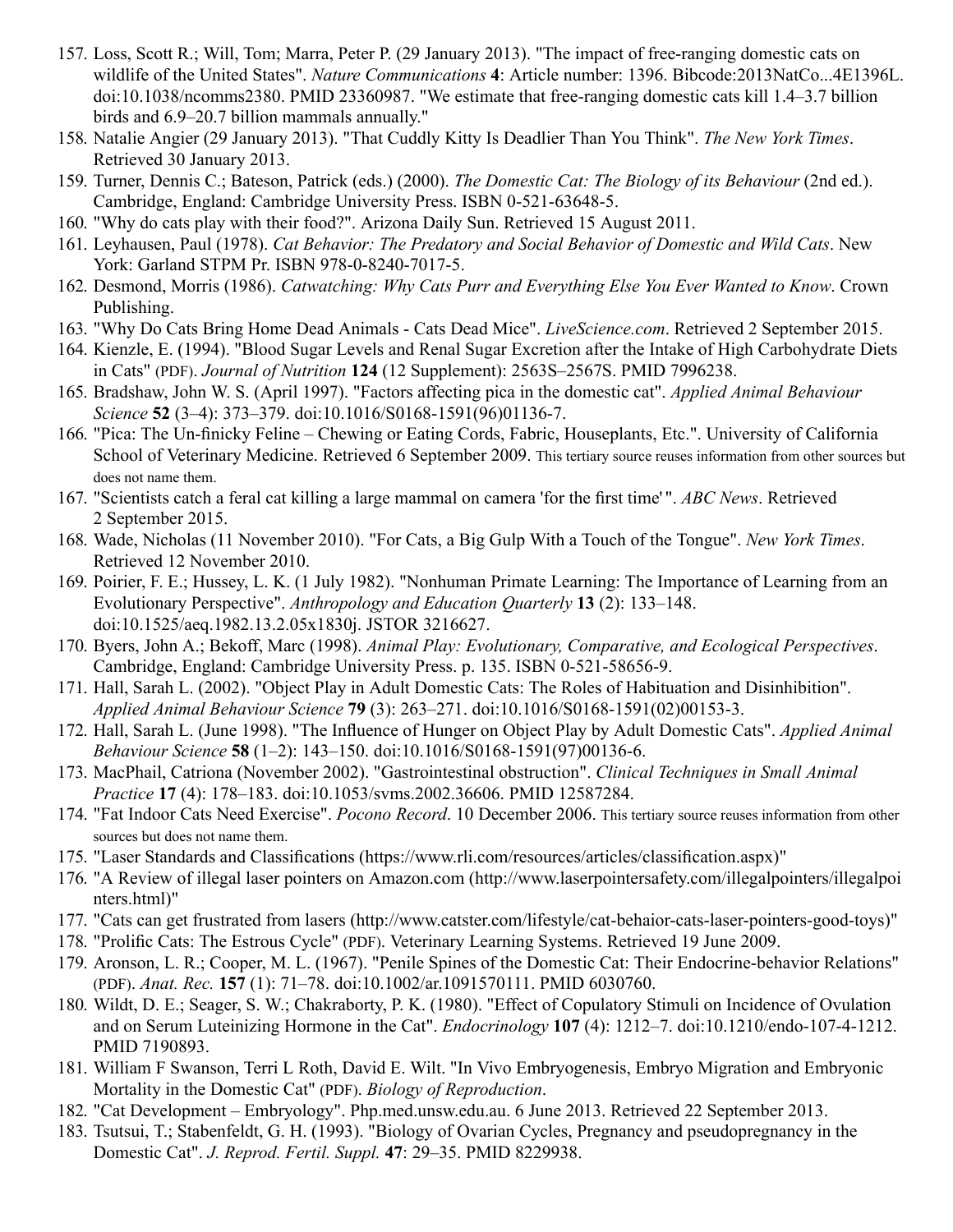- <span id="page-27-0"></span>157. Loss, Scott R.; Will, Tom; Marra, Peter P. (29 January 2013). "The impact of free-ranging domestic cats on wildlife of the United States". *Nature Communications* **4**: Article number: 1396. [Bibcode:](https://en.wikipedia.org/wiki/Bibcode)[2013NatCo...4E1396L](http://adsabs.harvard.edu/abs/2013NatCo...4E1396L). [doi](https://en.wikipedia.org/wiki/Digital_object_identifier):[10.1038/ncomms2380.](https://dx.doi.org/10.1038%2Fncomms2380) [PMID](https://en.wikipedia.org/wiki/PubMed_Identifier) [23360987.](https://www.ncbi.nlm.nih.gov/pubmed/23360987) "We estimate that free-ranging domestic cats kill 1.4–3.7 billion birds and 6.9–20.7 billion mammals annually."
- <span id="page-27-1"></span>158. Natalie Angier (29 January 2013). ["That Cuddly Kitty Is Deadlier Than You Think"](http://www.nytimes.com/2013/01/30/science/that-cuddly-kitty-of-yours-is-a-killer.html). *The New York Times*. Retrieved 30 January 2013.
- <span id="page-27-2"></span>159. Turner, Dennis C.; Bateson, Patrick (eds.) (2000). *The Domestic Cat: The Biology of its Behaviour* (2nd ed.). Cambridge, England: Cambridge University Press. [ISBN](https://en.wikipedia.org/wiki/International_Standard_Book_Number) [0-521-63648-5.](https://en.wikipedia.org/wiki/Special:BookSources/0-521-63648-5)
- <span id="page-27-3"></span>160. ["Why do cats play with their food?".](http://azdailysun.com/lifestyles/pets/article_46a97775-232d-5e56-b0ea-dd1c8782b062.html) Arizona Daily Sun. Retrieved 15 August 2011.
- <span id="page-27-4"></span>161. Leyhausen, Paul (1978). *Cat Behavior: The Predatory and Social Behavior of Domestic and Wild Cats*. New York: Garland STPM Pr. [ISBN](https://en.wikipedia.org/wiki/International_Standard_Book_Number) [978-0-8240-7017-5.](https://en.wikipedia.org/wiki/Special:BookSources/978-0-8240-7017-5)
- <span id="page-27-5"></span>162. Desmond, Morris (1986). *Catwatching: Why Cats Purr and Everything Else You Ever Wanted to Know*. Crown Publishing.
- <span id="page-27-6"></span>163. ["Why Do Cats Bring Home Dead Animals - Cats Dead Mice"](http://www.livescience.com/34471-cats-dead-animals.html). *LiveScience.com*. Retrieved 2 September 2015.
- <span id="page-27-7"></span>164. [Kienzle, E. \(1994\). "Blood Sugar Levels and Renal Sugar Excretion after the Intake of High Carbohydrate Diets](http://jn.nutrition.org/content/124/12_Suppl/2563S.full.pdf) in Cats" (PDF). *Journal of Nutrition* **124** (12 Supplement): 2563S–2567S. [PMID](https://en.wikipedia.org/wiki/PubMed_Identifier) [7996238](https://www.ncbi.nlm.nih.gov/pubmed/7996238).
- <span id="page-27-8"></span>165. Bradshaw, John W. S. (April 1997). "Factors affecting pica in the domestic cat". *Applied Animal Behaviour Science* **52** (3–4): 373–379. [doi](https://en.wikipedia.org/wiki/Digital_object_identifier)[:10.1016/S0168-1591\(96\)01136-7](https://dx.doi.org/10.1016%2FS0168-1591%2896%2901136-7).
- <span id="page-27-9"></span>166. "Pica: The Un-finicky Feline [– Chewing or Eating Cords, Fabric, Houseplants, Etc."](http://www.vmth.ucdavis.edu/home/beh/feline_behavior/pica.html). University of California School of Veterinary Medicine. Retrieved 6 September 2009. This [tertiary source](https://en.wikipedia.org/wiki/Wikipedia:Tertiary_sources) reuses information from other sources but does not name them.
- <span id="page-27-10"></span>167. ["Scientists catch a feral cat killing a large mammal on camera 'for the first time' "](http://www.abc.net.au/news/2015-03-30/scientists-catch-a-feral-cat-killing-a-large-mammal-on-camera-f/6357868). *ABC News*. Retrieved 2 September 2015.
- <span id="page-27-11"></span>168. Wade, Nicholas (11 November 2010). ["For Cats, a Big Gulp With a Touch of the Tongue".](http://www.nytimes.com/2010/11/12/science/12cats.html) *New York Times*. Retrieved 12 November 2010.
- <span id="page-27-12"></span>169. Poirier, F. E.; Hussey, L. K. (1 July 1982). "Nonhuman Primate Learning: The Importance of Learning from an Evolutionary Perspective". *Anthropology and Education Quarterly* **13** (2): 133–148. [doi](https://en.wikipedia.org/wiki/Digital_object_identifier):[10.1525/aeq.1982.13.2.05x1830j](https://dx.doi.org/10.1525%2Faeq.1982.13.2.05x1830j). [JSTOR](https://en.wikipedia.org/wiki/JSTOR) [3216627](https://www.jstor.org/stable/3216627).
- <span id="page-27-13"></span>170. Byers, John A.; Bekoff, Marc (1998). *Animal Play: Evolutionary, Comparative, and Ecological Perspectives*. Cambridge, England: [Cambridge University Press](https://en.wikipedia.org/wiki/Cambridge_University_Press). p. 135. [ISBN](https://en.wikipedia.org/wiki/International_Standard_Book_Number) [0-521-58656-9](https://en.wikipedia.org/wiki/Special:BookSources/0-521-58656-9).
- <span id="page-27-14"></span>171. Hall, Sarah L. (2002). "Object Play in Adult Domestic Cats: The Roles of Habituation and Disinhibition". *Applied Animal Behaviour Science* **79** (3): 263–271. [doi](https://en.wikipedia.org/wiki/Digital_object_identifier)[:10.1016/S0168-1591\(02\)00153-3.](https://dx.doi.org/10.1016%2FS0168-1591%2802%2900153-3)
- <span id="page-27-15"></span>172. Hall, Sarah L. (June 1998). "The Influence of Hunger on Object Play by Adult Domestic Cats". *Applied Animal Behaviour Science* **58** (1–2): 143–150. [doi:](https://en.wikipedia.org/wiki/Digital_object_identifier)[10.1016/S0168-1591\(97\)00136-6](https://dx.doi.org/10.1016%2FS0168-1591%2897%2900136-6).
- <span id="page-27-16"></span>173. MacPhail, Catriona (November 2002). "Gastrointestinal obstruction". *Clinical Techniques in Small Animal Practice* **17** (4): 178–183. [doi:](https://en.wikipedia.org/wiki/Digital_object_identifier)[10.1053/svms.2002.36606](https://dx.doi.org/10.1053%2Fsvms.2002.36606). [PMID](https://en.wikipedia.org/wiki/PubMed_Identifier) [12587284.](https://www.ncbi.nlm.nih.gov/pubmed/12587284)
- <span id="page-27-17"></span>174. ["Fat Indoor Cats Need Exercise".](http://www.poconorecord.com/apps/pbcs.dll/article?AID=/20061210/NEWS01/612100320/-1/NEWS) *[Pocono Record](https://en.wikipedia.org/wiki/Pocono_Record)*. 10 December 2006. This [tertiary source](https://en.wikipedia.org/wiki/Wikipedia:Tertiary_sources) reuses information from other sources but does not name them.
- <span id="page-27-18"></span>175. "[Laser Standards and Classifications \(https://www.rli.com/resources/articles/classification.aspx\)"](https://www.rli.com/resources/articles/classification.aspx)
- <span id="page-27-19"></span>176. ["A Review of illegal laser pointers on Amazon.com \(http://www.laserpointersafety.com/illegalpointers/illegalpoi](http://www.laserpointersafety.com/illegalpointers/illegalpointers.html) nters.html)"
- <span id="page-27-20"></span>177. "[Cats can get frustrated from lasers \(http://www.catster.com/lifestyle/cat-behaior-cats-laser-pointers-good-toys\)](http://www.catster.com/lifestyle/cat-behaior-cats-laser-pointers-good-toys)"
- <span id="page-27-21"></span>178. ["Prolific Cats: The Estrous Cycle"](http://vlsstore.com/Media/PublicationsArticle/PV_23_12_1049.pdf) (PDF). Veterinary Learning Systems. Retrieved 19 June 2009.
- <span id="page-27-22"></span>179. Aronson, L. R.; Cooper, M. L. (1967). ["Penile Spines of the Domestic Cat: Their Endocrine-behavior Relations"](http://www.catcollection.org/files/PenileSpines.pdf) (PDF). *Anat. Rec.* **157** (1): 71–78. [doi](https://en.wikipedia.org/wiki/Digital_object_identifier):[10.1002/ar.1091570111](https://dx.doi.org/10.1002%2Far.1091570111). [PMID](https://en.wikipedia.org/wiki/PubMed_Identifier) [6030760.](https://www.ncbi.nlm.nih.gov/pubmed/6030760)
- <span id="page-27-23"></span>180. Wildt, D. E.; Seager, S. W.; Chakraborty, P. K. (1980). "Effect of Copulatory Stimuli on Incidence of Ovulation and on Serum Luteinizing Hormone in the Cat". *Endocrinology* **107** (4): 1212–7. [doi](https://en.wikipedia.org/wiki/Digital_object_identifier)[:10.1210/endo-107-4-1212.](https://dx.doi.org/10.1210%2Fendo-107-4-1212) [PMID](https://en.wikipedia.org/wiki/PubMed_Identifier) [7190893.](https://www.ncbi.nlm.nih.gov/pubmed/7190893)
- <span id="page-27-24"></span>181. [William F Swanson, Terri L Roth, David E. Wilt. "In Vivo Embryogenesis, Embryo Migration and Embryonic](http://www.biolreprod.org/content/51/3/452.full.pdf) Mortality in the Domestic Cat" (PDF). *Biology of Reproduction*.
- <span id="page-27-25"></span>182. ["Cat Development](http://php.med.unsw.edu.au/embryology/index.php?title=Cat_Development#cite_note-4) – Embryology". Php.med.unsw.edu.au. 6 June 2013. Retrieved 22 September 2013.
- <span id="page-27-26"></span>183. Tsutsui, T.; Stabenfeldt, G. H. (1993). "Biology of Ovarian Cycles, Pregnancy and pseudopregnancy in the Domestic Cat". *J. Reprod. Fertil. Suppl.* **47**: 29–35. [PMID](https://en.wikipedia.org/wiki/PubMed_Identifier) [8229938.](https://www.ncbi.nlm.nih.gov/pubmed/8229938)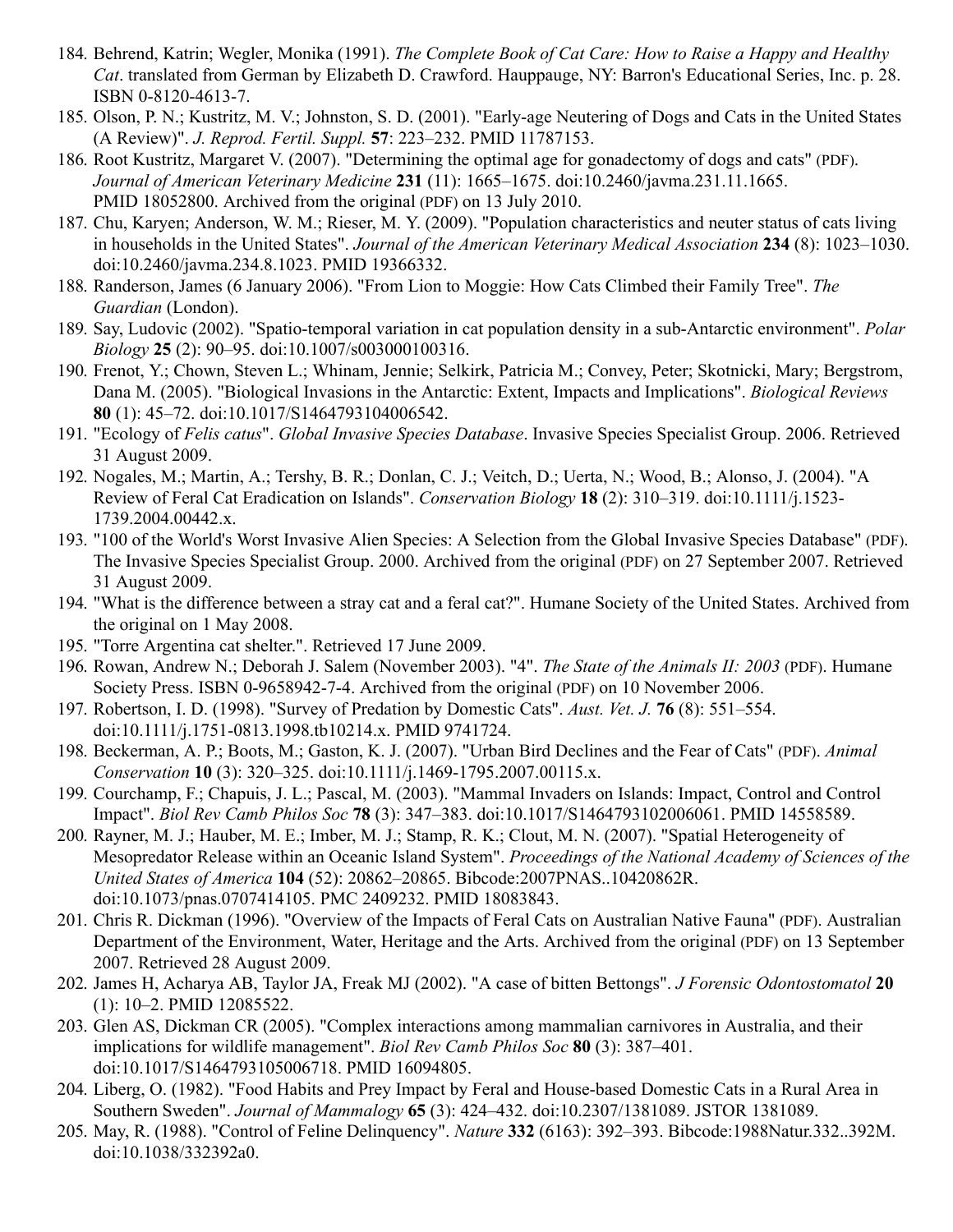- <span id="page-28-0"></span>184. Behrend, Katrin; Wegler, Monika (1991). *The Complete Book of Cat Care: How to Raise a Happy and Healthy Cat*. translated from German by Elizabeth D. Crawford. Hauppauge, NY: Barron's Educational Series, Inc. p. 28. [ISBN](https://en.wikipedia.org/wiki/International_Standard_Book_Number) [0-8120-4613-7](https://en.wikipedia.org/wiki/Special:BookSources/0-8120-4613-7).
- <span id="page-28-1"></span>185. Olson, P. N.; Kustritz, M. V.; Johnston, S. D. (2001). "Early-age Neutering of Dogs and Cats in the United States (A Review)". *J. Reprod. Fertil. Suppl.* **57**: 223–232. [PMID](https://en.wikipedia.org/wiki/PubMed_Identifier) [11787153.](https://www.ncbi.nlm.nih.gov/pubmed/11787153)
- <span id="page-28-2"></span>186. Root Kustritz, Margaret V. (2007). ["Determining the optimal age for gonadectomy of dogs and cats"](http://web.archive.org/web/20100713133619/http://www.imom.org/spay-neuter/pdf/kustritz.pdf) (PDF). *Journal of American Veterinary Medicine* **231** (11): 1665–1675. [doi:](https://en.wikipedia.org/wiki/Digital_object_identifier)[10.2460/javma.231.11.1665](https://dx.doi.org/10.2460%2Fjavma.231.11.1665). [PMID](https://en.wikipedia.org/wiki/PubMed_Identifier) [18052800](https://www.ncbi.nlm.nih.gov/pubmed/18052800). Archived from [the original](http://www.imom.org/spay-neuter/pdf/kustritz.pdf) (PDF) on 13 July 2010.
- <span id="page-28-3"></span>187. Chu, Karyen; Anderson, W. M.; Rieser, M. Y. (2009). "Population characteristics and neuter status of cats living in households in the United States". *Journal of the American Veterinary Medical Association* **234** (8): 1023–1030. [doi](https://en.wikipedia.org/wiki/Digital_object_identifier):[10.2460/javma.234.8.1023](https://dx.doi.org/10.2460%2Fjavma.234.8.1023). [PMID](https://en.wikipedia.org/wiki/PubMed_Identifier) [19366332.](https://www.ncbi.nlm.nih.gov/pubmed/19366332)
- <span id="page-28-4"></span>188. [Randerson, James \(6 January 2006\). "From Lion to Moggie: How Cats Climbed their Family Tree".](https://en.wikipedia.org/wiki/The_Guardian) *The Guardian* (London).
- <span id="page-28-5"></span>189. Say, Ludovic (2002). "Spatio-temporal variation in cat population density in a sub-Antarctic environment". *Polar Biology* **25** (2): 90–95. [doi](https://en.wikipedia.org/wiki/Digital_object_identifier):[10.1007/s003000100316](https://dx.doi.org/10.1007%2Fs003000100316).
- <span id="page-28-6"></span>190. Frenot, Y.; Chown, Steven L.; Whinam, Jennie; Selkirk, Patricia M.; Convey, Peter; Skotnicki, Mary; Bergstrom, Dana M. (2005). "Biological Invasions in the Antarctic: Extent, Impacts and Implications". *Biological Reviews* **80** (1): 45–72. [doi](https://en.wikipedia.org/wiki/Digital_object_identifier)[:10.1017/S1464793104006542](https://dx.doi.org/10.1017%2FS1464793104006542).
- <span id="page-28-7"></span>191. ["Ecology of](http://www.issg.org/database/species/ecology.asp?si=24&fr=1&sts=sss&lang=EN) *Felis catus*". *Global Invasive Species Database*. Invasive Species Specialist Group. 2006. Retrieved 31 August 2009.
- <span id="page-28-8"></span>192. Nogales, M.; Martin, A.; Tershy, B. R.; Donlan, C. J.; Veitch, D.; Uerta, N.; Wood, B.; Alonso, J. (2004). "A [Review of Feral Cat Eradication on Islands".](https://dx.doi.org/10.1111%2Fj.1523-1739.2004.00442.x) *Conservation Biology* **18** (2): 310–319. [doi:](https://en.wikipedia.org/wiki/Digital_object_identifier)10.1111/j.1523- 1739.2004.00442.x.
- <span id="page-28-9"></span>193. ["100 of the World's Worst Invasive Alien Species: A Selection from the Global Invasive Species Database"](https://web.archive.org/web/20070927223530/http://www.issg.org/booklet.pdf) (PDF). The Invasive Species Specialist Group. 2000. Archived from [the original](http://www.issg.org/booklet.pdf) (PDF) on 27 September 2007. Retrieved 31 August 2009.
- <span id="page-28-10"></span>194. ["What is the difference between a stray cat and a feral cat?".](https://web.archive.org/web/20080501093143/http://www.hsus.org/pets/issues_affecting_our_pets/feral_cats/feral_cats_frequently_asked_questions.html#1_What_is_a_feral_cat) Humane Society of the United States. Archived from [the original](http://www.hsus.org/pets/issues_affecting_our_pets/feral_cats/feral_cats_frequently_asked_questions.html#1_What_is_a_feral_cat) on 1 May 2008.
- <span id="page-28-11"></span>195. ["Torre Argentina cat shelter.".](http://www.romancats.com/index_eng.php) Retrieved 17 June 2009.
- <span id="page-28-12"></span>196. Rowan, Andrew N.; Deborah J. Salem (November 2003). "4". *[The State of the Animals II: 2003](https://web.archive.org/web/20061110230426/http://www.hsus.org/web-files/PDF/hsp/SOA_3-2005_Chap4.pdf)* (PDF). Humane Society Press. [ISBN](https://en.wikipedia.org/wiki/International_Standard_Book_Number) [0-9658942-7-4](https://en.wikipedia.org/wiki/Special:BookSources/0-9658942-7-4). Archived from [the original](http://www.hsus.org/web-files/PDF/hsp/SOA_3-2005_Chap4.pdf) (PDF) on 10 November 2006.
- <span id="page-28-13"></span>197. Robertson, I. D. (1998). "Survey of Predation by Domestic Cats". *Aust. Vet. J.* **76** (8): 551–554. [doi](https://en.wikipedia.org/wiki/Digital_object_identifier):[10.1111/j.1751-0813.1998.tb10214.x.](https://dx.doi.org/10.1111%2Fj.1751-0813.1998.tb10214.x) [PMID](https://en.wikipedia.org/wiki/PubMed_Identifier) [9741724.](https://www.ncbi.nlm.nih.gov/pubmed/9741724)
- <span id="page-28-14"></span>198. Beckerman, A. P.; Boots, M.; Gaston, K. J. (2007). ["Urban Bird Declines and the Fear of Cats"](http://img2.tapuz.co.il/forums/1_102419784.pdf) (PDF). *Animal Conservation* **10** (3): 320–325. [doi:](https://en.wikipedia.org/wiki/Digital_object_identifier)[10.1111/j.1469-1795.2007.00115.x.](https://dx.doi.org/10.1111%2Fj.1469-1795.2007.00115.x)
- <span id="page-28-15"></span>199. Courchamp, F.; Chapuis, J. L.; Pascal, M. (2003). "Mammal Invaders on Islands: Impact, Control and Control Impact". *Biol Rev Camb Philos Soc* **78** (3): 347–383. [doi](https://en.wikipedia.org/wiki/Digital_object_identifier)[:10.1017/S1464793102006061.](https://dx.doi.org/10.1017%2FS1464793102006061) [PMID](https://en.wikipedia.org/wiki/PubMed_Identifier) [14558589.](https://www.ncbi.nlm.nih.gov/pubmed/14558589)
- <span id="page-28-16"></span>200. [Rayner, M. J.; Hauber, M. E.; Imber, M. J.; Stamp, R. K.; Clout, M. N. \(2007\). "Spatial Heterogeneity of](https://www.ncbi.nlm.nih.gov/pmc/articles/PMC2409232) Mesopredator Release within an Oceanic Island System". *Proceedings of the National Academy of Sciences of the United States of America* **104** (52): 20862–20865. [Bibcode](https://en.wikipedia.org/wiki/Bibcode)[:2007PNAS..10420862R](http://adsabs.harvard.edu/abs/2007PNAS..10420862R). [doi](https://en.wikipedia.org/wiki/Digital_object_identifier):[10.1073/pnas.0707414105.](https://dx.doi.org/10.1073%2Fpnas.0707414105) [PMC](https://en.wikipedia.org/wiki/PubMed_Central) [2409232](https://www.ncbi.nlm.nih.gov/pmc/articles/PMC2409232). [PMID](https://en.wikipedia.org/wiki/PubMed_Identifier) [18083843](https://www.ncbi.nlm.nih.gov/pubmed/18083843).
- <span id="page-28-17"></span>201. Chris R. Dickman (1996). ["Overview of the Impacts of Feral Cats on Australian Native Fauna"](https://web.archive.org/web/20070913172757/http://www.environment.gov.au/biodiversity/invasive/publications/cat-impacts/pubs/impacts-feral-cats.pdf) (PDF). Australian Department of the Environment, Water, Heritage and the Arts. Archived from [the original](http://www.environment.gov.au/biodiversity/invasive/publications/cat-impacts/pubs/impacts-feral-cats.pdf) (PDF) on 13 September 2007. Retrieved 28 August 2009.
- <span id="page-28-18"></span>202. James H, Acharya AB, Taylor JA, Freak MJ (2002). "A case of bitten Bettongs". *J Forensic Odontostomatol* **20** (1): 10–2. [PMID](https://en.wikipedia.org/wiki/PubMed_Identifier) [12085522.](https://www.ncbi.nlm.nih.gov/pubmed/12085522)
- <span id="page-28-19"></span>203. Glen AS, Dickman CR (2005). "Complex interactions among mammalian carnivores in Australia, and their implications for wildlife management". *Biol Rev Camb Philos Soc* **80** (3): 387–401. [doi](https://en.wikipedia.org/wiki/Digital_object_identifier):[10.1017/S1464793105006718.](https://dx.doi.org/10.1017%2FS1464793105006718) [PMID](https://en.wikipedia.org/wiki/PubMed_Identifier) [16094805.](https://www.ncbi.nlm.nih.gov/pubmed/16094805)
- <span id="page-28-20"></span>204. Liberg, O. (1982). "Food Habits and Prey Impact by Feral and House-based Domestic Cats in a Rural Area in Southern Sweden". *Journal of Mammalogy* **65** (3): 424–432. [doi](https://en.wikipedia.org/wiki/Digital_object_identifier):[10.2307/1381089.](https://dx.doi.org/10.2307%2F1381089) [JSTOR](https://en.wikipedia.org/wiki/JSTOR) [1381089](https://www.jstor.org/stable/1381089).
- <span id="page-28-21"></span>205. May, R. (1988). "Control of Feline Delinquency". *Nature* **332** (6163): 392–393. [Bibcode:](https://en.wikipedia.org/wiki/Bibcode)[1988Natur.332..392M.](http://adsabs.harvard.edu/abs/1988Natur.332..392M) [doi](https://en.wikipedia.org/wiki/Digital_object_identifier):[10.1038/332392a0.](https://dx.doi.org/10.1038%2F332392a0)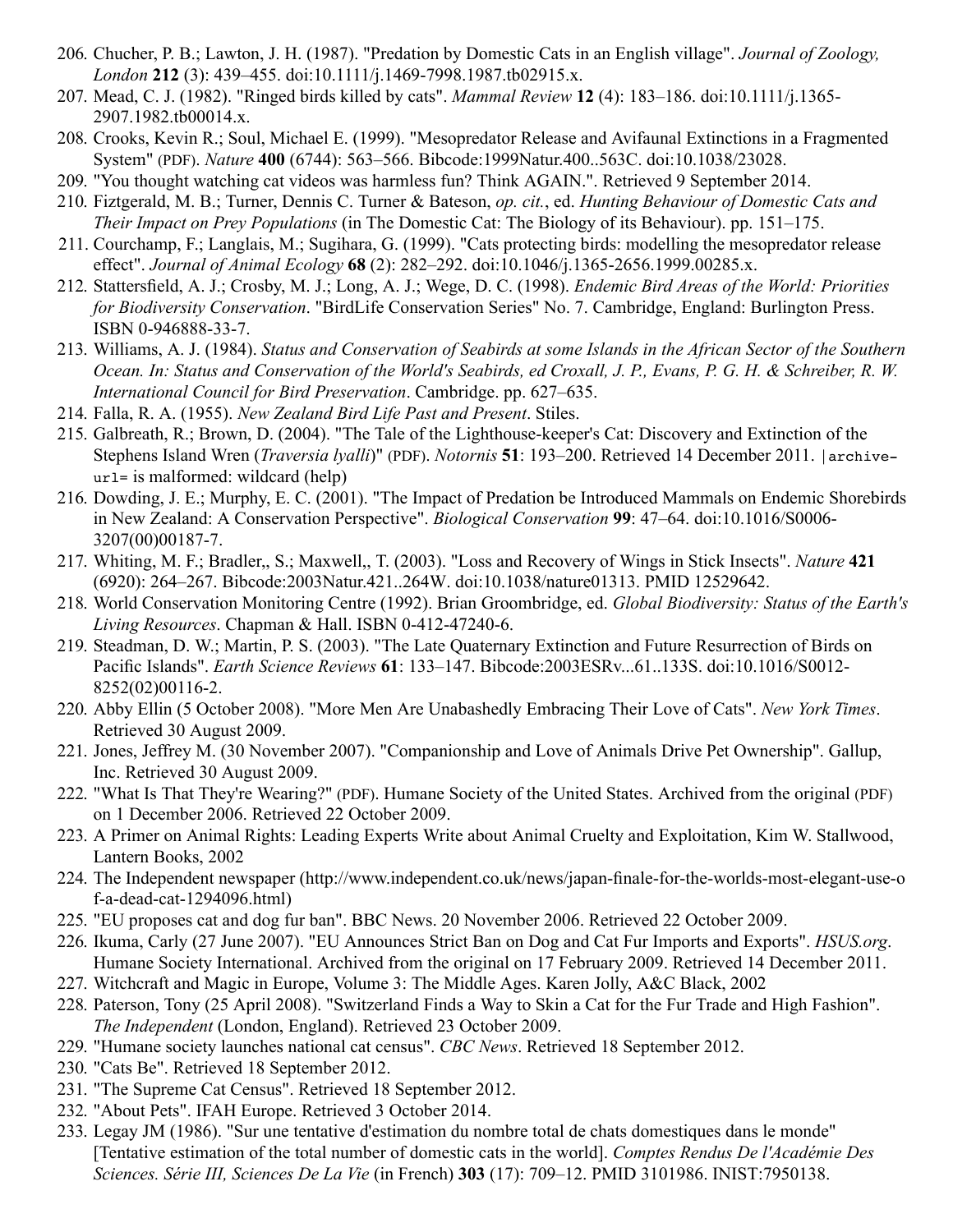- <span id="page-29-0"></span>206. Chucher, P. B.; Lawton, J. H. (1987). "Predation by Domestic Cats in an English village". *Journal of Zoology, London* **212** (3): 439–455. [doi](https://en.wikipedia.org/wiki/Digital_object_identifier)[:10.1111/j.1469-7998.1987.tb02915.x.](https://dx.doi.org/10.1111%2Fj.1469-7998.1987.tb02915.x)
- <span id="page-29-1"></span>207. [Mead, C. J. \(1982\). "Ringed birds killed by cats".](https://dx.doi.org/10.1111%2Fj.1365-2907.1982.tb00014.x) *Mammal Review* **12** (4): 183–186. [doi:](https://en.wikipedia.org/wiki/Digital_object_identifier)10.1111/j.1365- 2907.1982.tb00014.x.
- <span id="page-29-2"></span>208. [Crooks, Kevin R.; Soul, Michael E. \(1999\). "Mesopredator Release and Avifaunal Extinctions in a Fragmented](http://www38.homepage.villanova.edu/jameson.chace/Urban%20Ecology/Crooks&Soule_Mesopredator_release.pdf) System" (PDF). *Nature* **400** (6744): 563–566. [Bibcode](https://en.wikipedia.org/wiki/Bibcode)[:1999Natur.400..563C.](http://adsabs.harvard.edu/abs/1999Natur.400..563C) [doi](https://en.wikipedia.org/wiki/Digital_object_identifier)[:10.1038/23028.](https://dx.doi.org/10.1038%2F23028)
- <span id="page-29-3"></span>209. ["You thought watching cat videos was harmless fun? Think AGAIN."](http://www.theregister.co.uk/2013/01/30/cat_videos_cat_killing_spree/). Retrieved 9 September 2014.
- <span id="page-29-4"></span>210. Fiztgerald, M. B.; Turner, Dennis C. Turner & Bateson, *op. cit.*, ed. *Hunting Behaviour of Domestic Cats and Their Impact on Prey Populations* (in The Domestic Cat: The Biology of its Behaviour). pp. 151–175.
- <span id="page-29-5"></span>211. Courchamp, F.; Langlais, M.; Sugihara, G. (1999). "Cats protecting birds: modelling the mesopredator release effect". *Journal of Animal Ecology* **68** (2): 282–292. [doi](https://en.wikipedia.org/wiki/Digital_object_identifier)[:10.1046/j.1365-2656.1999.00285.x](https://dx.doi.org/10.1046%2Fj.1365-2656.1999.00285.x).
- <span id="page-29-6"></span>212. Stattersfield, A. J.; Crosby, M. J.; Long, A. J.; Wege, D. C. (1998). *Endemic Bird Areas of the World: Priorities for Biodiversity Conservation*. "BirdLife Conservation Series" No. 7. Cambridge, England: Burlington Press. [ISBN](https://en.wikipedia.org/wiki/International_Standard_Book_Number) [0-946888-33-7](https://en.wikipedia.org/wiki/Special:BookSources/0-946888-33-7).
- <span id="page-29-7"></span>213. Williams, A. J. (1984). *Status and Conservation of Seabirds at some Islands in the African Sector of the Southern Ocean. In: Status and Conservation of the World's Seabirds, ed Croxall, J. P., Evans, P. G. H. & Schreiber, R. W. International Council for Bird Preservation*. Cambridge. pp. 627–635.
- <span id="page-29-8"></span>214. Falla, R. A. (1955). *New Zealand Bird Life Past and Present*. Stiles.
- <span id="page-29-9"></span>215. [Galbreath, R.; Brown, D. \(2004\). "The Tale of the Lighthouse-keeper's Cat: Discovery and Extinction of the](http://www.notornis.org.nz/free_issues/Notornis_51-2004/Notornis_51_4_193.pdf) Stephens Island Wren (*Traversia lyalli*)" (PDF). *Notornis* **51**: 193–200. Retrieved 14 December 2011. |archiveurl= is malformed: wildcard [\(help](https://en.wikipedia.org/wiki/Help:CS1_errors#archive_url))
- <span id="page-29-10"></span>216. Dowding, J. E.; Murphy, E. C. (2001). "The Impact of Predation be Introduced Mammals on Endemic Shorebirds [in New Zealand: A Conservation Perspective".](https://dx.doi.org/10.1016%2FS0006-3207%2800%2900187-7) *Biological Conservation* **99**: 47–64. [doi:](https://en.wikipedia.org/wiki/Digital_object_identifier)10.1016/S0006- 3207(00)00187-7.
- <span id="page-29-11"></span>217. Whiting, M. F.; Bradler,, S.; Maxwell,, T. (2003). "Loss and Recovery of Wings in Stick Insects". *Nature* **421** (6920): 264–267. [Bibcode](https://en.wikipedia.org/wiki/Bibcode):[2003Natur.421..264W.](http://adsabs.harvard.edu/abs/2003Natur.421..264W) [doi:](https://en.wikipedia.org/wiki/Digital_object_identifier)[10.1038/nature01313](https://dx.doi.org/10.1038%2Fnature01313). [PMID](https://en.wikipedia.org/wiki/PubMed_Identifier) [12529642](https://www.ncbi.nlm.nih.gov/pubmed/12529642).
- <span id="page-29-12"></span>218. [World Conservation Monitoring Centre \(1992\). Brian Groombridge, ed.](https://archive.org/details/globalbiodiversi92wcmc) *Global Biodiversity: Status of the Earth's Living Resources*. [Chapman & Hall.](https://en.wikipedia.org/wiki/Chapman_%26_Hall) [ISBN](https://en.wikipedia.org/wiki/International_Standard_Book_Number) [0-412-47240-6.](https://en.wikipedia.org/wiki/Special:BookSources/0-412-47240-6)
- <span id="page-29-13"></span>219. Steadman, D. W.; Martin, P. S. (2003). "The Late Quaternary Extinction and Future Resurrection of Birds on Pacific Islands". *Earth Science Reviews* **61**[: 133–147.](https://dx.doi.org/10.1016%2FS0012-8252%2802%2900116-2) [Bibcode](https://en.wikipedia.org/wiki/Bibcode)[:](https://dx.doi.org/10.1016%2FS0012-8252%2802%2900116-2)[2003ESRv...61..133](http://adsabs.harvard.edu/abs/2003ESRv...61..133S)[S. d](https://dx.doi.org/10.1016%2FS0012-8252%2802%2900116-2)[o](https://en.wikipedia.org/wiki/Digital_object_identifier)[i:10.1016/S0012-](https://dx.doi.org/10.1016%2FS0012-8252%2802%2900116-2) 8252(02)00116-2.
- <span id="page-29-14"></span>220. Abby Ellin (5 October 2008). ["More Men Are Unabashedly Embracing Their Love of Cats".](http://www.nytimes.com/2008/10/05/fashion/05cats.html) *New York Times*. Retrieved 30 August 2009.
- <span id="page-29-15"></span>221. Jones, Jeffrey M. (30 November 2007). ["Companionship and Love of Animals Drive Pet Ownership".](http://www.gallup.com/poll/102952/companionship-love-animals-drive-pet-ownership.aspx) Gallup, Inc. Retrieved 30 August 2009.
- <span id="page-29-16"></span>222. ["What Is That They're Wearing?"](https://web.archive.org/web/20061201153853/http://www.hsus.org/web-files/PDF/What-is-that-they-re-wearing_FurBooklet.pdf) (PDF). Humane Society of the United States. Archived from [the original](http://www.hsus.org/web-files/PDF/What-is-that-they-re-wearing_FurBooklet.pdf) (PDF) on 1 December 2006. Retrieved 22 October 2009.
- <span id="page-29-17"></span>223. A Primer on Animal Rights: Leading Experts Write about Animal Cruelty and Exploitation, Kim W. Stallwood, Lantern Books, 2002
- <span id="page-29-18"></span>224. [The Independent newspaper \(http://www.independent.co.uk/news/japan-finale-for-the-worlds-most-elegant-use-o](http://www.independent.co.uk/news/japan-finale-for-the-worlds-most-elegant-use-of-a-dead-cat-1294096.html) f-a-dead-cat-1294096.html)
- <span id="page-29-19"></span>225. ["EU proposes cat and dog fur ban".](http://news.bbc.co.uk/2/hi/europe/6165786.stm) BBC News. 20 November 2006. Retrieved 22 October 2009.
- <span id="page-29-20"></span>226. Ikuma, Carly (27 June 2007). ["EU Announces Strict Ban on Dog and Cat Fur Imports and Exports"](https://web.archive.org/web/20090217153420/http://www.hsus.org/about_us/humane_society_international_hsi/hsi_europe/dog_cat_fur/). *HSUS.org*. Humane Society International. Archived from [the original](http://www.hsus.org/about_us/humane_society_international_hsi/hsi_europe/dog_cat_fur/) on 17 February 2009. Retrieved 14 December 2011.
- <span id="page-29-21"></span>227. Witchcraft and Magic in Europe, Volume 3: The Middle Ages. Karen Jolly, A&C Black, 2002
- <span id="page-29-22"></span>228. Paterson, Tony (25 April 2008). ["Switzerland Finds a Way to Skin a Cat for the Fur Trade and High Fashion".](http://www.independent.co.uk/news/world/europe/switzerland-finds-a-way-to-skin-a-cat-for-the-fur-trade-and-high-fashion-815426.html) *The Independent* (London, England). Retrieved 23 October 2009.
- <span id="page-29-23"></span>229. ["Humane society launches national cat census".](http://www.cbc.ca/news/canada/new-brunswick/story/2012/07/17/nb-cat-census-1000.html) *CBC News*. Retrieved 18 September 2012.
- <span id="page-29-24"></span>230. ["Cats Be".](http://www.catsbe.com/) Retrieved 18 September 2012.
- <span id="page-29-25"></span>231. ["The Supreme Cat Census"](http://www.supremecatcensus.co.za/). Retrieved 18 September 2012.
- <span id="page-29-26"></span>232. ["About Pets"](http://www.ifaheurope.org/companion-animals/about-pets.html). IFAH Europe. Retrieved 3 October 2014.
- <span id="page-29-27"></span>233. Legay JM (1986). "Sur une tentative d'estimation du nombre total de chats domestiques dans le monde" [Tentative estimation of the total number of domestic cats in the world]. *Comptes Rendus De l'Académie Des Sciences. Série III, Sciences De La Vie* (in French) **303** (17): 709–12. [PMID](https://en.wikipedia.org/wiki/PubMed_Identifier) [3101986](https://www.ncbi.nlm.nih.gov/pubmed/3101986). [INIST:](https://en.wikipedia.org/wiki/Institut_de_l%27information_scientifique_et_technique)[7950138.](http://cat.inist.fr/?aModele=afficheN&cpsidt=7950138)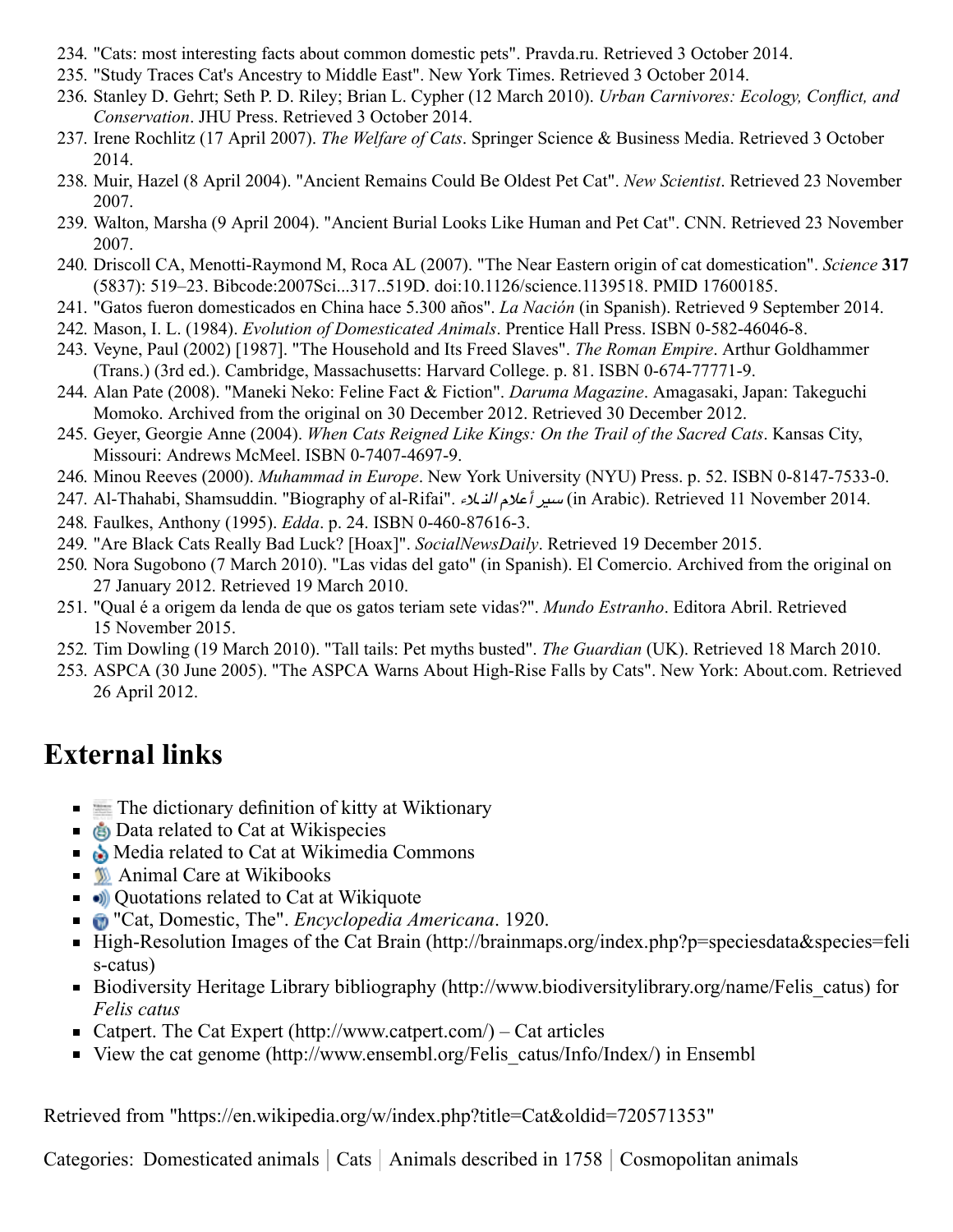- <span id="page-30-1"></span>234. ["Cats: most interesting facts about common domestic pets".](http://english.pravda.ru/society/family/09-01-2006/9478-cats-0/) Pravda.ru. Retrieved 3 October 2014.
- <span id="page-30-2"></span>235. ["Study Traces Cat's Ancestry to Middle East".](http://www.nytimes.com/2007/06/29/science/29cat.html?_r=1&) New York Times. Retrieved 3 October 2014.
- <span id="page-30-3"></span>236. [Stanley D. Gehrt; Seth P. D. Riley; Brian L. Cypher \(12 March 2010\).](https://books.google.com/books?id=xYKqluO6c8UC&lpg=PA157&dq=million%20cats%20worldwide&pg=PA157#v=onepage&q=million%20cats%20worldwide&f=false) *Urban Carnivores: Ecology, Conflict, and Conservation*. JHU Press. Retrieved 3 October 2014.
- <span id="page-30-4"></span>237. Irene Rochlitz (17 April 2007). *[The Welfare of Cats](https://books.google.com/books?id=0HmB3ix5IQ8C&lpg=PA47&dq=million%20cats%20worldwide&pg=PA47#v=onepage&q=million%20cats%20worldwide&f=false)*. Springer Science & Business Media. Retrieved 3 October 2014.
- <span id="page-30-5"></span>238. Muir, Hazel (8 April 2004). ["Ancient Remains Could Be Oldest Pet Cat".](http://www.newscientist.com/article/dn4867.html) *[New Scientist](https://en.wikipedia.org/wiki/New_Scientist)*. Retrieved 23 November 2007.
- <span id="page-30-6"></span>239. Walton, Marsha (9 April 2004). ["Ancient Burial Looks Like Human and Pet Cat"](http://edition.cnn.com/2004/TECH/science/04/08/cats.cyprus/index.html). CNN. Retrieved 23 November 2007.
- <span id="page-30-7"></span>240. Driscoll CA, Menotti-Raymond M, Roca AL (2007). "The Near Eastern origin of cat domestication". *Science* **317** (5837): 519–23. [Bibcode](https://en.wikipedia.org/wiki/Bibcode)[:2007Sci...317..519D](http://adsabs.harvard.edu/abs/2007Sci...317..519D). [doi](https://en.wikipedia.org/wiki/Digital_object_identifier)[:10.1126/science.1139518.](https://dx.doi.org/10.1126%2Fscience.1139518) [PMID](https://en.wikipedia.org/wiki/PubMed_Identifier) [17600185](https://www.ncbi.nlm.nih.gov/pubmed/17600185).
- <span id="page-30-8"></span>241. ["Gatos fueron domesticados en China hace 5.300 años".](http://www.nacion.com/vivir/ciencia/Gatos-domesticados-China-hace-anos_0_1385061482.html) *La Nación* (in Spanish). Retrieved 9 September 2014.
- <span id="page-30-9"></span>242. Mason, I. L. (1984). *Evolution of Domesticated Animals*. Prentice Hall Press. [ISBN](https://en.wikipedia.org/wiki/International_Standard_Book_Number) [0-582-46046-8](https://en.wikipedia.org/wiki/Special:BookSources/0-582-46046-8).
- <span id="page-30-10"></span>243. Veyne, Paul (2002) [1987]. "The Household and Its Freed Slaves". *[The Roman Empire](https://books.google.com/?id=JmpOH8AVV4EC)*. [Arthur Goldhammer](https://en.wikipedia.org/wiki/Arthur_Goldhammer) (Trans.) (3rd ed.). Cambridge, Massachusetts: Harvard College. p. 81. [ISBN](https://en.wikipedia.org/wiki/International_Standard_Book_Number) [0-674-77771-9.](https://en.wikipedia.org/wiki/Special:BookSources/0-674-77771-9)
- <span id="page-30-11"></span>244. Alan Pate (2008). ["Maneki Neko: Feline Fact & Fiction"](http://www.webcitation.org/6DIDy4b8G). *Daruma Magazine*. Amagasaki, Japan: Takeguchi Momoko. Archived from [the original](http://www.darumamagazine.com/new/articles-excerpts/maneki-neko-feline-fact-fiction/) on 30 December 2012. Retrieved 30 December 2012.
- <span id="page-30-12"></span>245. Geyer, Georgie Anne (2004). *When Cats Reigned Like Kings: On the Trail of the Sacred Cats*. Kansas City, Missouri: Andrews McMeel. [ISBN](https://en.wikipedia.org/wiki/International_Standard_Book_Number) [0-7407-4697-9](https://en.wikipedia.org/wiki/Special:BookSources/0-7407-4697-9).
- <span id="page-30-13"></span>246. Minou Reeves (2000). *Muhammad in Europe*. New York University (NYU) Press. p. 52. [ISBN](https://en.wikipedia.org/wiki/International_Standard_Book_Number) [0-8147-7533-0.](https://en.wikipedia.org/wiki/Special:BookSources/0-8147-7533-0)
- <span id="page-30-14"></span>247. Al-Thahabi, Shamsuddin. ["Biography of al-Rifai".](http://library.islamweb.net/newlibrary/display_book.php?idfrom=5401&idto=5401&bk_no=60&ID=5263) سيد أعلام الذبلاء (in Arabic). Retrieved 11 November 2014
- <span id="page-30-15"></span>248. Faulkes, Anthony (1995). *Edda*. p. 24. [ISBN](https://en.wikipedia.org/wiki/International_Standard_Book_Number) [0-460-87616-3](https://en.wikipedia.org/wiki/Special:BookSources/0-460-87616-3).
- <span id="page-30-16"></span>249. ["Are Black Cats Really Bad Luck? \[Hoax\]"](http://socialnewsdaily.com/58901/are-black-cats-really-bad-luck-hoax/). *SocialNewsDaily*. Retrieved 19 December 2015.
- <span id="page-30-17"></span>250. Nora Sugobono (7 March 2010). ["Las vidas del gato"](https://web.archive.org/20120127052854/http://elcomercio.pe/impresa/notas/vidas-gato/20100307/423959) (in Spanish). El Comercio. Archived from [the original](http://elcomercio.pe/impresa/notas/vidas-gato/20100307/423959) on 27 January 2012. Retrieved 19 March 2010.
- <span id="page-30-18"></span>251. ["Qual é a origem da lenda de que os gatos teriam sete vidas?".](http://mundoestranho.abril.com.br/materia/qual-e-a-origem-da-lenda-de-que-os-gatos-teriam-sete-vidas) *[Mundo Estranho](https://en.wikipedia.org/wiki/Mundo_Estranho)*. [Editora Abril.](https://en.wikipedia.org/wiki/Editora_Abril) Retrieved 15 November 2015.
- <span id="page-30-19"></span>252. Tim Dowling (19 March 2010). ["Tall tails: Pet myths busted"](http://www.guardian.co.uk/lifeandstyle/gallery/2010/mar/18/guide-to-pets-pet-myths?picture=360591960). *The Guardian* (UK). Retrieved 18 March 2010.
- <span id="page-30-20"></span>253. ASPCA (30 June 2005). ["The ASPCA Warns About High-Rise Falls by Cats".](http://cats.about.com/od/catsafety/a/highrisefalls.htm) New York: About.com. Retrieved 26 April 2012.

## <span id="page-30-0"></span>**External links**

- $\blacksquare$  The dictionary definition of [kitty](https://en.wiktionary.org/wiki/cat) at Wiktionary
- $\blacksquare$   $\blacksquare$  Data related to [Cat](https://species.wikimedia.org/wiki/Felis_sylvestris_catus) at Wikispecies
- Nedia related to [Cat](https://commons.wikimedia.org/wiki/Felis_silvestris_catus) at Wikimedia Commons
- **W** [Animal Care](https://en.wikibooks.org/wiki/Animal_Care) at Wikibooks
- $\Box$ ) Quotations related to [Cat](https://en.wikiquote.org/wiki/Special:Search/Cat) at Wikiquote
- **[Cat, Domestic, The](https://en.wikisource.org/wiki/The_Encyclopedia_Americana_(1920)/Cat,_Domestic,_The)".** *[Encyclopedia Americana](https://en.wikipedia.org/wiki/Encyclopedia_Americana)*. 1920.
- [High-Resolution Images of the Cat Brain \(http://brainmaps.org/index.php?p=speciesdata&species=feli](http://brainmaps.org/index.php?p=speciesdata&species=felis-catus) s-catus)
- Biodiversity Heritage Library bibliography (http://www.biodiversitylibrary.org/name/Felis catus) for *Felis catus*
- [Catpert. The Cat Expert \(http://www.catpert.com/\)](http://www.catpert.com/) Cat articles
- View the [cat genome \(http://www.ensembl.org/Felis\\_catus/Info/Index/\)](http://www.ensembl.org/Felis_catus/Info/Index/) in [Ensembl](https://en.wikipedia.org/wiki/Ensembl)

Retrieved from ["https://en.wikipedia.org/w/index.php?title=Cat&oldid=720571353](https://en.wikipedia.org/w/index.php?title=Cat&oldid=720571353)"

[Categories](https://en.wikipedia.org/wiki/Help:Category): [Domesticated animals](https://en.wikipedia.org/wiki/Category:Domesticated_animals) [Cats](https://en.wikipedia.org/wiki/Category:Cats) | [Animals described in 1758](https://en.wikipedia.org/wiki/Category:Animals_described_in_1758) | [Cosmopolitan animals](https://en.wikipedia.org/wiki/Category:Cosmopolitan_animals)